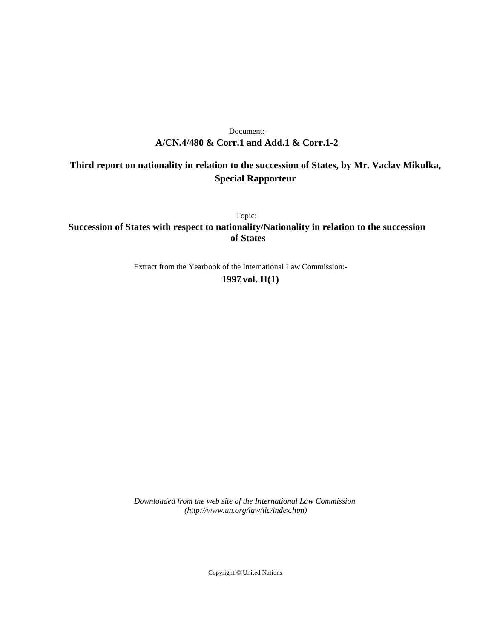# **A/CN.4/480 & Corr.1 and Add.1 & Corr.1-2** Document:-

# **Third report on nationality in relation to the succession of States, by Mr. Vaclav Mikulka, Special Rapporteur**

Topic: **Succession of States with respect to nationality/Nationality in relation to the succession of States**

Extract from the Yearbook of the International Law Commission:-

**1997** ,**vol. II(1)**

*Downloaded from the web site of the International Law Commission (http://www.un.org/law/ilc/index.htm)*

Copyright © United Nations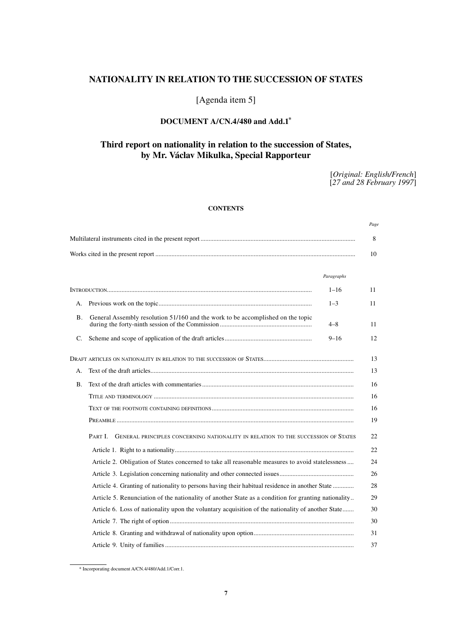# **NATIONALITY IN RELATION TO THE SUCCESSION OF STATES**

# [Agenda item 5]

# **DOCUMENT A/CN.4/480 and Add.1\***

# **Third report on nationality in relation to the succession of States, by Mr. Václav Mikulka, Special Rapporteur**

[*Original: English/French*] [*27 and 28 February 1997*]

*Page*

# **CONTENTS**

|           |                                                                                                     | Paragraphs |  |  |
|-----------|-----------------------------------------------------------------------------------------------------|------------|--|--|
|           |                                                                                                     | $1 - 16$   |  |  |
| А.        |                                                                                                     | $1 - 3$    |  |  |
| <b>B.</b> | General Assembly resolution 51/160 and the work to be accomplished on the topic                     | $4 - 8$    |  |  |
| C.        |                                                                                                     | $9 - 16$   |  |  |
|           |                                                                                                     |            |  |  |
| А.        |                                                                                                     |            |  |  |
| B.        |                                                                                                     |            |  |  |
|           |                                                                                                     |            |  |  |
|           |                                                                                                     |            |  |  |
|           |                                                                                                     |            |  |  |
|           | PART I.<br>GENERAL PRINCIPLES CONCERNING NATIONALITY IN RELATION TO THE SUCCESSION OF STATES        |            |  |  |
|           |                                                                                                     |            |  |  |
|           | Article 2. Obligation of States concerned to take all reasonable measures to avoid statelessness    |            |  |  |
|           |                                                                                                     |            |  |  |
|           | Article 4. Granting of nationality to persons having their habitual residence in another State      |            |  |  |
|           | Article 5. Renunciation of the nationality of another State as a condition for granting nationality |            |  |  |
|           | Article 6. Loss of nationality upon the voluntary acquisition of the nationality of another State   |            |  |  |
|           |                                                                                                     |            |  |  |
|           |                                                                                                     |            |  |  |
|           |                                                                                                     |            |  |  |

<sup>\*</sup> Incorporating document A/CN.4/480/Add.1/Corr.1.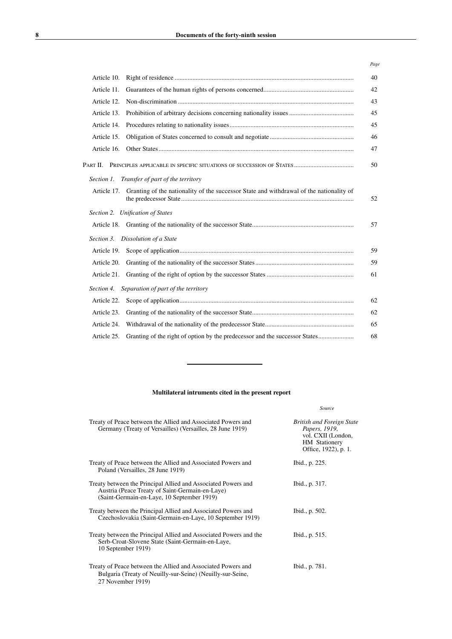|                                  |                                                                                         | Page |  |  |  |
|----------------------------------|-----------------------------------------------------------------------------------------|------|--|--|--|
| Article 10.                      |                                                                                         | 40   |  |  |  |
| Article 11.                      |                                                                                         | 42   |  |  |  |
| Article 12.                      |                                                                                         | 43   |  |  |  |
| Article 13.                      |                                                                                         | 45   |  |  |  |
| Article 14.                      |                                                                                         | 45   |  |  |  |
| Article 15.                      |                                                                                         | 46   |  |  |  |
| Article 16.                      |                                                                                         | 47   |  |  |  |
|                                  |                                                                                         | 50   |  |  |  |
|                                  | Section 1. Transfer of part of the territory                                            |      |  |  |  |
| Article 17.                      | Granting of the nationality of the successor State and withdrawal of the nationality of | 52   |  |  |  |
| Section 2. Unification of States |                                                                                         |      |  |  |  |
|                                  |                                                                                         | 57   |  |  |  |
|                                  | Section 3. Dissolution of a State                                                       |      |  |  |  |
| Article 19.                      |                                                                                         | 59   |  |  |  |
| Article 20.                      |                                                                                         | 59   |  |  |  |
| Article 21.                      |                                                                                         | 61   |  |  |  |
|                                  | Section 4. Separation of part of the territory                                          |      |  |  |  |
| Article 22.                      |                                                                                         | 62   |  |  |  |
| Article 23.                      |                                                                                         | 62   |  |  |  |
| Article 24.                      |                                                                                         | 65   |  |  |  |
| Article 25.                      | Granting of the right of option by the predecessor and the successor States             | 68   |  |  |  |
|                                  |                                                                                         |      |  |  |  |

# **Multilateral intruments cited in the present report**

*Source*

| Treaty of Peace between the Allied and Associated Powers and<br>Germany (Treaty of Versailles) (Versailles, 28 June 1919)                                      | <b>British and Foreign State</b><br>Papers, 1919,<br>vol. CXII (London,<br>HM Stationery<br>Office, 1922), p. 1. |
|----------------------------------------------------------------------------------------------------------------------------------------------------------------|------------------------------------------------------------------------------------------------------------------|
| Treaty of Peace between the Allied and Associated Powers and<br>Poland (Versailles, 28 June 1919)                                                              | Ibid., p. 225.                                                                                                   |
| Treaty between the Principal Allied and Associated Powers and<br>Austria (Peace Treaty of Saint-Germain-en-Laye)<br>(Saint-Germain-en-Laye, 10 September 1919) | Ibid., p. 317.                                                                                                   |
| Treaty between the Principal Allied and Associated Powers and<br>Czechoslovakia (Saint-Germain-en-Laye, 10 September 1919)                                     | Ibid., p. 502.                                                                                                   |
| Treaty between the Principal Allied and Associated Powers and the<br>Serb-Croat-Slovene State (Saint-Germain-en-Laye,<br>10 September 1919)                    | Ibid., p. 515.                                                                                                   |
| Treaty of Peace between the Allied and Associated Powers and<br>Bulgaria (Treaty of Neuilly-sur-Seine) (Neuilly-sur-Seine,<br>27 November 1919)                | Ibid., p. 781.                                                                                                   |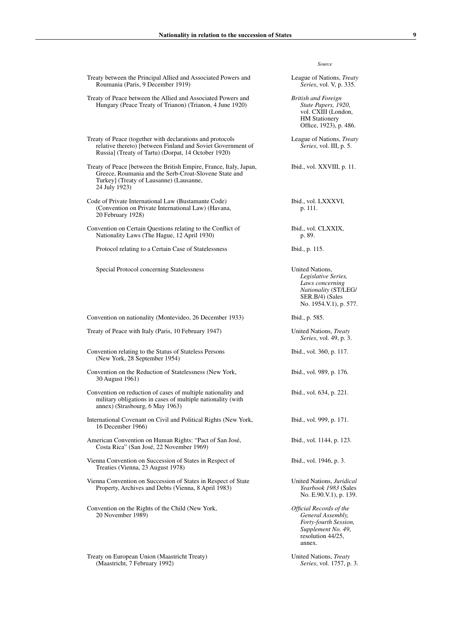*Source*

| Treaty between the Principal Allied and Associated Powers and<br>Roumania (Paris, 9 December 1919)                                                                                      | League of Nations, Treaty<br>Series, vol. V, p. 335.                                                                           |  |
|-----------------------------------------------------------------------------------------------------------------------------------------------------------------------------------------|--------------------------------------------------------------------------------------------------------------------------------|--|
| Treaty of Peace between the Allied and Associated Powers and<br>Hungary (Peace Treaty of Trianon) (Trianon, 4 June 1920)                                                                | <b>British and Foreign</b><br>State Papers, 1920,<br>vol. CXIII (London,<br><b>HM</b> Stationery<br>Office, 1923), p. 486.     |  |
| Treaty of Peace (together with declarations and protocols<br>relative thereto) [between Finland and Soviet Government of<br>Russia] (Treaty of Tartu) (Dorpat, 14 October 1920)         | League of Nations, Treaty<br>Series, vol. III, p. 5.                                                                           |  |
| Treaty of Peace [between the British Empire, France, Italy, Japan,<br>Greece, Roumania and the Serb-Croat-Slovene State and<br>Turkey] (Treaty of Lausanne) (Lausanne,<br>24 July 1923) | Ibid., vol. XXVIII, p. 11.                                                                                                     |  |
| Code of Private International Law (Bustamante Code)<br>(Convention on Private International Law) (Havana,<br>20 February 1928)                                                          | Ibid., vol. LXXXVI,<br>p. 111.                                                                                                 |  |
| Convention on Certain Questions relating to the Conflict of<br>Nationality Laws (The Hague, 12 April 1930)                                                                              | Ibid., vol. CLXXIX,<br>p. 89.                                                                                                  |  |
| Protocol relating to a Certain Case of Statelessness                                                                                                                                    | Ibid., p. 115.                                                                                                                 |  |
| Special Protocol concerning Statelessness                                                                                                                                               | United Nations,<br>Legislative Series,<br>Laws concerning<br>Nationality (ST/LEG/<br>SER.B/4) (Sales<br>No. 1954.V.1), p. 577. |  |
| Convention on nationality (Montevideo, 26 December 1933)                                                                                                                                | Ibid., p. 585.                                                                                                                 |  |
| Treaty of Peace with Italy (Paris, 10 February 1947)                                                                                                                                    | United Nations, Treaty<br>Series, vol. 49, p. 3.                                                                               |  |
| Convention relating to the Status of Stateless Persons<br>(New York, 28 September 1954)                                                                                                 | Ibid., vol. 360, p. 117.                                                                                                       |  |
| Convention on the Reduction of Statelessness (New York,<br>30 August 1961)                                                                                                              | Ibid., vol. 989, p. 176.                                                                                                       |  |
| Convention on reduction of cases of multiple nationality and<br>military obligations in cases of multiple nationality (with<br>annex) (Strasbourg, 6 May 1963)                          | Ibid., vol. 634, p. 221.                                                                                                       |  |
| International Covenant on Civil and Political Rights (New York,<br>16 December 1966)                                                                                                    | Ibid., vol. 999, p. 171.                                                                                                       |  |
| American Convention on Human Rights: "Pact of San José,<br>Costa Rica" (San José, 22 November 1969)                                                                                     | Ibid., vol. 1144, p. 123.                                                                                                      |  |
| Vienna Convention on Succession of States in Respect of<br>Treaties (Vienna, 23 August 1978)                                                                                            | Ibid., vol. 1946, p. 3.                                                                                                        |  |
| Vienna Convention on Succession of States in Respect of State<br>Property, Archives and Debts (Vienna, 8 April 1983)                                                                    | United Nations, Juridical<br><i>Yearbook 1983</i> (Sales<br>No. E.90.V.1), p. 139.                                             |  |
| Convention on the Rights of the Child (New York,<br>20 November 1989)                                                                                                                   | Official Records of the<br>General Assembly,<br>Forty-fourth Session,<br>Supplement No. 49,<br>resolution 44/25,<br>annex.     |  |
| Treaty on European Union (Maastricht Treaty)                                                                                                                                            | United Nations, Treaty                                                                                                         |  |

(Maastricht, 7 February 1992)

*Series*, vol. 1757, p. 3.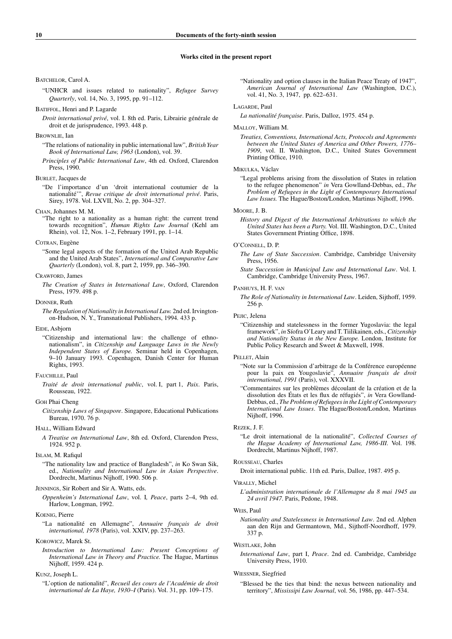### **Works cited in the present report**

#### BATCHELOR, Carol A.

"UNHCR and issues related to nationality", *Refugee Survey Quarterly*, vol. 14, No. 3, 1995, pp. 91–112.

#### Batiffol, Henri and P. Lagarde

*Droit international privé*, vol. I. 8th ed. Paris, Librairie générale de droit et de jurisprudence, 1993. 448 p.

### Brownlie, Ian

"The relations of nationality in public international law", *British Year Book of International Law, 1963* (London), vol. 39.

*Principles of Public International Law*, 4th ed. Oxford, Clarendon Press, 1990.

### Burlet, Jacques de

"De l'importance d'un 'droit international coutumier de la nationalité'", *Revue critique de droit international privé*. Paris, Sirey, 1978. Vol. LXVII, No. 2, pp. 304–327.

#### Chan, Johannes M. M.

"The right to a nationality as a human right: the current trend towards recognition", *Human Rights Law Journal* (Kehl am Rhein), vol. 12, Nos. 1–2, February 1991, pp. 1–14.

#### COTRAN, Eugène

"Some legal aspects of the formation of the United Arab Republic and the United Arab States", *International and Comparative Law Quarterly* (London), vol. 8, part 2, 1959, pp. 346–390.

#### Crawford, James

*The Creation of States in International Law*, Oxford, Clarendon Press, 1979. 498 p.

#### Donner, Ruth

*The Regulation of Nationality in International Law.* 2nd ed. Irvingtonon-Hudson, N. Y., Transnational Publishers, 1994*.* 433 p.

#### EIDE, Asbiorn

"Citizenship and international law: the challenge of ethnonationalism", in *Citizenship and Language Laws in the Newly Independent States of Europe.* Seminar held in Copenhagen, 9–10 January 1993*.* Copenhagen, Danish Center for Human Rights, 1993.

#### FAUCHILLE, Paul

*Traité de droit international public*, vol. I, part 1, *Paix*. Paris, Rousseau, 1922.

### Goh Phai Cheng

*Citizenship Laws of Singapore*. Singapore, Educational Publications Bureau, 1970. 76 p.

# HALL, William Edward

*A Treatise on International Law*, 8th ed. Oxford, Clarendon Press, 1924. 952 p.

### Islam, M. Rafiqul

"The nationality law and practice of Bangladesh", *in* Ko Swan Sik, ed., *Nationality and International Law in Asian Perspective*. Dordrecht, Martinus Nijhoff, 1990. 506 p.

### Jennings, Sir Robert and Sir A. Watts, eds.

*Oppenheim's International Law*, vol. I*, Peace*, parts 2–4, 9th ed. Harlow, Longman, 1992.

#### Koenig, Pierre

"La nationalité en Allemagne", *Annuaire français de droit international, 1978* (Paris), vol. XXIV, pp. 237–263.

#### Korowicz, Marek St.

*Introduction to International Law: Present Conceptions of International Law in Theory and Practice.* The Hague, Martinus Nijhoff, 1959. 424 p.

#### Kunz, Joseph L.

"L'option de nationalité", *Recueil des cours de l'Académie de droit international de La Haye, 1930–I* (Paris). Vol. 31, pp. 109–175.

"Nationality and option clauses in the Italian Peace Treaty of 1947", *American Journal of International Law* (Washington, D.C.), vol. 41, No. 3, 1947, pp. 622–631.

# Lagarde, Paul

*La nationalité française*. Paris, Dalloz, 1975. 454 p.

#### Malloy, William M.

*Treaties, Conventions, International Acts, Protocols and Agreements between the United States of America and Other Powers, 1776– 1909*, vol. II. Washington, D.C., United States Government Printing Office, 1910.

#### Mikulka, Václav

"Legal problems arising from the dissolution of States in relation to the refugee phenomenon" *in* Vera Gowlland-Debbas, ed., *The Problem of Refugees in the Light of Contemporary International Law Issues.* The Hague/Boston/London, Martinus Nijhoff, 1996.

#### Moore, J. B.

*History and Digest of the International Arbitrations to which the United States has been a Party.* Vol. III. Washington, D.C., United States Government Printing Office, 1898.

### O'Connell, D. P.

*The Law of State Succession*. Cambridge, Cambridge University Press, 1956.

*State Succession in Municipal Law and International Law*. Vol. I. Cambridge, Cambridge University Press, 1967.

#### Panhuys, H. F. van

*The Role of Nationality in International Law*. Leiden, Sijthoff, 1959. 256 p.

#### PEJIC, Jelena

"Citizenship and statelessness in the former Yugoslavia: the legal framework", *in* Síofra O'Leary and T. Tiilikainen, eds., *Citizenship and Nationality Status in the New Europe.* London, Institute for Public Policy Research and Sweet & Maxwell, 1998.

#### PELLET, Alain

- "Note sur la Commission d'arbitrage de la Conférence européenne pour la paix en Yougoslavie", *Annuaire français de droit international, 1991* (Paris), vol. XXXVII.
- "Commentaires sur les problèmes découlant de la création et de la dissolution des États et les flux de réfugiés", *in* Vera Gowlland-Debbas, ed., *The Problem of Refugees in the Light of Contemporary International Law Issues*. The Hague/Boston/London, Martinus Nijhoff, 1996.

### Rezek, J. F.

"Le droit international de la nationalité", *Collected Courses of the Hague Academy of International Law, 1986-III.* Vol. 198. Dordrecht, Martinus Nijhoff, 1987.

#### Rousseau, Charles

Droit international public. 11th ed. Paris, Dalloz, 1987. 495 p.

#### Virally, Michel

*L'administration internationale de l'Allemagne du 8 mai 1945 au 24 avril 1947*. Paris, Pedone, 1948.

#### Weis, Paul

*Nationality and Statelessness in International Law*. 2nd ed. Alphen aan den Rijn and Germantown, Md., Sijthoff-Noordhoff, 1979. 337 p.

### WESTLAKE, John

*International Law*, part I, *Peace*. 2nd ed. Cambridge, Cambridge University Press, 1910.

#### Wiessner, Siegfried

"Blessed be the ties that bind: the nexus between nationality and territory", *Mississipi Law Journal*, vol. 56, 1986, pp. 447–534.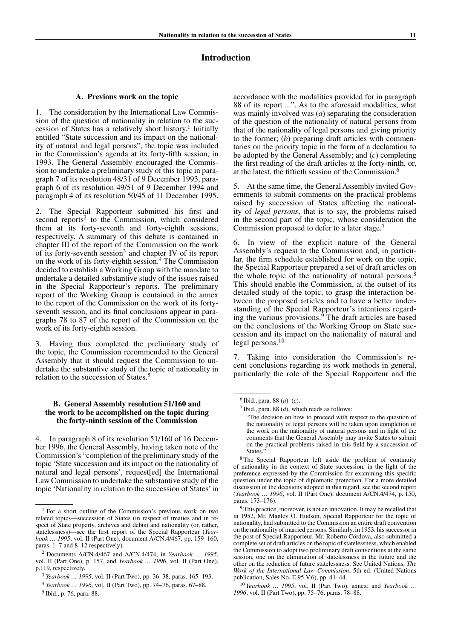# **Introduction**

# **A. Previous work on the topic**

The consideration by the International Law Commission of the question of nationality in relation to the succession of States has a relatively short history.<sup>1</sup> Initially entitled "State succession and its impact on the nationality of natural and legal persons", the topic was included in the Commission's agenda at its forty-fifth session, in 1993. The General Assembly encouraged the Commission to undertake a preliminary study of this topic in paragraph 7 of its resolution 48/31 of 9 December 1993, paragraph 6 of its resolution 49/51 of 9 December 1994 and paragraph 4 of its resolution 50/45 of 11 December 1995.

2. The Special Rapporteur submitted his first and second reports<sup>2</sup> to the Commission, which considered them at its forty-seventh and forty-eighth sessions, respectively. A summary of this debate is contained in chapter III of the report of the Commission on the work of its forty-seventh session<sup>3</sup> and chapter IV of its report on the work of its forty-eighth session.4 The Commission decided to establish a Working Group with the mandate to undertake a detailed substantive study of the issues raised in the Special Rapporteur's reports. The preliminary report of the Working Group is contained in the annex to the report of the Commission on the work of its fortyseventh session, and its final conclusions appear in paragraphs 78 to 87 of the report of the Commission on the work of its forty-eighth session.

3. Having thus completed the preliminary study of the topic, the Commission recommended to the General Assembly that it should request the Commission to undertake the substantive study of the topic of nationality in relation to the succession of States.<sup>5</sup>

# **B. General Assembly resolution 51/160 and the work to be accomplished on the topic during the forty-ninth session of the Commission**

4. In paragraph 8 of its resolution 51/160 of 16 December 1996, the General Assembly, having taken note of the Commission's "completion of the preliminary study of the topic 'State succession and its impact on the nationality of natural and legal persons', request[ed] the International Law Commission to undertake the substantive study of the topic 'Nationality in relation to the succession of States' in

accordance with the modalities provided for in paragraph 88 of its report ...". As to the aforesaid modalities, what was mainly involved was (*a*) separating the consideration of the question of the nationality of natural persons from that of the nationality of legal persons and giving priority to the former; (*b*) preparing draft articles with commentaries on the priority topic in the form of a declaration to be adopted by the General Assembly; and (*c*) completing the first reading of the draft articles at the forty-ninth, or, at the latest, the fiftieth session of the Commission.<sup>6</sup>

5. At the same time, the General Assembly invited Governments to submit comments on the practical problems raised by succession of States affecting the nationality of *legal persons*, that is to say, the problems raised in the second part of the topic, whose consideration the Commission proposed to defer to a later stage.7

6. In view of the explicit nature of the General Assembly's request to the Commission and, in particular, the firm schedule established for work on the topic, the Special Rapporteur prepared a set of draft articles on the whole topic of the nationality of natural persons. $8$ This should enable the Commission, at the outset of its detailed study of the topic, to grasp the interaction between the proposed articles and to have a better understanding of the Special Rapporteur's intentions regarding the various provisions.<sup>9</sup> The draft articles are based on the conclusions of the Working Group on State succession and its impact on the nationality of natural and legal persons.<sup>10</sup>

7. Taking into consideration the Commission's recent conclusions regarding its work methods in general, particularly the role of the Special Rapporteur and the

<sup>10</sup> *Yearbook … 1995*, vol. II (Part Two), annex; and *Yearbook … 1996*, vol. II (Part Two), pp. 75–76, paras. 78–88.

<sup>1</sup> For a short outline of the Commission's previous work on two related topics—succession of States (in respect of treaties and in respect of State property, archives and debts) and nationality (or, rather, statelessness)—see the first report of the Special Rapporteur (*Yearbook … 1995*, vol. II (Part One), document A/CN.4/467, pp. 159–160, paras. 1–7 and 8–12 respectively).

<sup>2</sup> Documents A/CN.4/467 and A/CN.4/474, in *Yearbook … 1995*, vol. II (Part One), p. 157, and *Yearbook … 1996*, vol. II (Part One), p.119, respectively.

<sup>3</sup>*Yearbook … 1995*, vol. II (Part Two), pp. 36–38, paras. 165–193.

<sup>4</sup>*Yearbook … 1996*, vol. II (Part Two), pp. 74–76, paras. 67–88.

<sup>5</sup> Ibid., p. 76, para. 88.

<sup>6</sup> Ibid., para. 88 (*a*)–(*c*).

<sup>7</sup> Ibid., para. 88 (*d*), which reads as follows:

<sup>&</sup>quot;The decision on how to proceed with respect to the question of the nationality of legal persons will be taken upon completion of the work on the nationality of natural persons and in light of the comments that the General Assembly may invite States to submit on the practical problems raised in this field by a succession of States.

<sup>8</sup> The Special Rapporteur left aside the problem of continuity of nationality in the context of State succession, in the light of the preference expressed by the Commission for examining this specific question under the topic of diplomatic protection. For a more detailed discussion of the decisions adopted in this regard, see the second report (*Yearbook … 1996*, vol. II (Part One), document A/CN.4/474, p. 150, paras. 173–176).

<sup>9</sup> This practice, moreover, is not an innovation. It may be recalled that in 1952, Mr. Manley O. Hudson, Special Rapporteur for the topic of nationality, had submitted to the Commission an entire draft convention on the nationality of married persons. Similarly, in 1953, his successor in the post of Special Rapporteur, Mr. Roberto Córdova, also submitted a complete set of draft articles on the topic of statelessness, which enabled the Commission to adopt two preliminary draft conventions at the same session, one on the elimination of statelessness in the future and the other on the reduction of future statelessness. See United Nations, *The Work of the International Law Commission*, 5th ed. (United Nations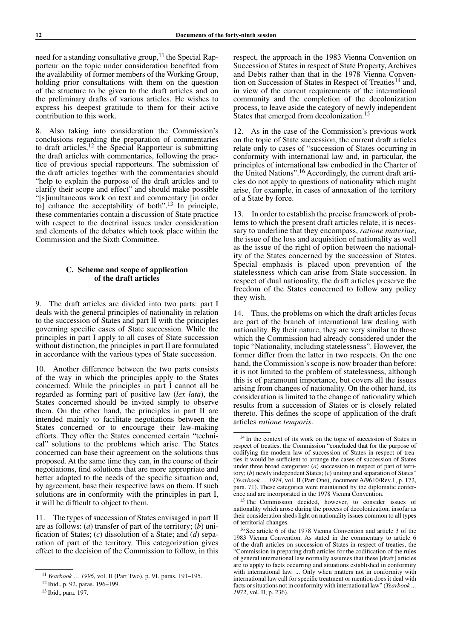need for a standing consultative group,  $11$  the Special Rapporteur on the topic under consideration benefited from the availability of former members of the Working Group, holding prior consultations with them on the question of the structure to be given to the draft articles and on the preliminary drafts of various articles. He wishes to express his deepest gratitude to them for their active contribution to this work.

8. Also taking into consideration the Commission's conclusions regarding the preparation of commentaries to draft articles,<sup>12</sup> the Special Rapporteur is submitting the draft articles with commentaries, following the practice of previous special rapporteurs. The submission of the draft articles together with the commentaries should "help to explain the purpose of the draft articles and to clarify their scope and effect" and should make possible "[s]imultaneous work on text and commentary [in order to] enhance the acceptability of both".<sup>13</sup> In principle, these commentaries contain a discussion of State practice with respect to the doctrinal issues under consideration and elements of the debates which took place within the Commission and the Sixth Committee.

# **C. Scheme and scope of application of the draft articles**

9. The draft articles are divided into two parts: part I deals with the general principles of nationality in relation to the succession of States and part II with the principles governing specific cases of State succession. While the principles in part I apply to all cases of State succession without distinction, the principles in part II are formulated in accordance with the various types of State succession.

10. Another difference between the two parts consists of the way in which the principles apply to the States concerned. While the principles in part I cannot all be regarded as forming part of positive law (*lex lata*), the States concerned should be invited simply to observe them. On the other hand, the principles in part II are intended mainly to facilitate negotiations between the States concerned or to encourage their law-making efforts. They offer the States concerned certain "technical" solutions to the problems which arise. The States concerned can base their agreement on the solutions thus proposed. At the same time they can, in the course of their negotiations, find solutions that are more appropriate and better adapted to the needs of the specific situation and, by agreement, base their respective laws on them. If such solutions are in conformity with the principles in part I, it will be difficult to object to them.

11. The types of succession of States envisaged in part II are as follows: (*a*) transfer of part of the territory; ( $\tilde{b}$ ) unification of States; (*c*) dissolution of a State; and (*d*) separation of part of the territory. This categorization gives effect to the decision of the Commission to follow, in this

respect, the approach in the 1983 Vienna Convention on Succession of States in respect of State Property, Archives and Debts rather than that in the 1978 Vienna Convention on Succession of States in Respect of Treaties<sup>14</sup> and, in view of the current requirements of the international community and the completion of the decolonization process, to leave aside the category of newly independent States that emerged from decolonization.<sup>15</sup>

12. As in the case of the Commission's previous work on the topic of State succession, the current draft articles relate only to cases of "succession of States occurring in conformity with international law and, in particular, the principles of international law embodied in the Charter of the United Nations".16 Accordingly, the current draft articles do not apply to questions of nationality which might arise, for example, in cases of annexation of the territory of a State by force.

13. In order to establish the precise framework of problems to which the present draft articles relate, it is necessary to underline that they encompass, *ratione materiae*, the issue of the loss and acquisition of nationality as well as the issue of the right of option between the nationality of the States concerned by the succession of States. Special emphasis is placed upon prevention of the statelessness which can arise from State succession. In respect of dual nationality, the draft articles preserve the freedom of the States concerned to follow any policy they wish.

14. Thus, the problems on which the draft articles focus are part of the branch of international law dealing with nationality. By their nature, they are very similar to those which the Commission had already considered under the topic "Nationality, including statelessness". However, the former differ from the latter in two respects. On the one hand, the Commission's scope is now broader than before: it is not limited to the problem of statelessness, although this is of paramount importance, but covers all the issues arising from changes of nationality. On the other hand, its consideration is limited to the change of nationality which results from a succession of States or is closely related thereto. This defines the scope of application of the draft articles *ratione temporis*.

<sup>11</sup> *Yearbook … 1996*, vol. II (Part Two), p. 91, paras. 191–195.

<sup>12</sup> Ibid., p. 92, paras. 196–199.

<sup>13</sup> Ibid., para. 197.

<sup>&</sup>lt;sup>14</sup> In the context of its work on the topic of succession of States in respect of treaties, the Commission "concluded that for the purpose of codifying the modern law of succession of States in respect of treaties it would be sufficient to arrange the cases of succession of States under three broad categories: (*a*) succession in respect of part of territory; (*b*) newly independent States; (*c*) uniting and separation of States" (*Yearbook … 1974*, vol. II (Part One), document A/9610/Rev.1, p. 172, para. 71). These categories were maintained by the diplomatic conference and are incorporated in the 1978 Vienna Convention.

<sup>15</sup> The Commission decided, however, to consider issues of nationality which arose during the process of decolonization, insofar as their consideration sheds light on nationality issues common to all types of territorial changes.

<sup>16</sup> See article 6 of the 1978 Vienna Convention and article 3 of the 1983 Vienna Convention. As stated in the commentary to article 6 of the draft articles on succession of States in respect of treaties, the "Commission in preparing draft articles for the codification of the rules of general international law normally assumes that these [draft] articles are to apply to facts occurring and situations established in conformity with international law. ... Only when matters not in conformity with international law call for specific treatment or mention does it deal with facts or situations not in conformity with international law" (*Yearbook ... 1972*, vol. II, p. 236).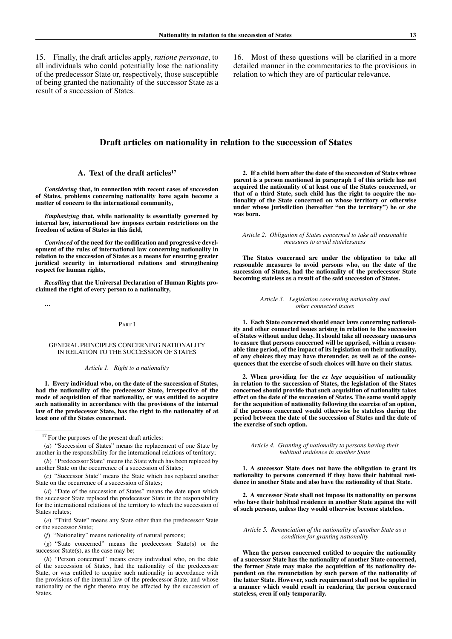15. Finally, the draft articles apply, *ratione personae*, to all individuals who could potentially lose the nationality of the predecessor State or, respectively, those susceptible of being granted the nationality of the successor State as a result of a succession of States.

16. Most of these questions will be clarified in a more detailed manner in the commentaries to the provisions in relation to which they are of particular relevance.

# **Draft articles on nationality in relation to the succession of States**

# **A. Text of the draft articles17**

*Considering* **that, in connection with recent cases of succession of States, problems concerning nationality have again become a matter of concern to the international community,**

*Emphasizing* **that, while nationality is essentially governed by internal law, international law imposes certain restrictions on the freedom of action of States in this field,**

*Convinced* **of the need for the codification and progressive development of the rules of international law concerning nationality in relation to the succession of States as a means for ensuring greater juridical security in international relations and strengthening respect for human rights,**

*Recalling* **that the Universal Declaration of Human Rights proclaimed the right of every person to a nationality,**

#### Part I

...

### GENERAL PRINCIPLES CONCERNING NATIONALITY IN RELATION TO THE SUCCESSION OF STATES

#### *Article 1. Right to a nationality*

**1. Every individual who, on the date of the succession of States, had the nationality of the predecessor State, irrespective of the mode of acquisition of that nationality, or was entitled to acquire such nationality in accordance with the provisions of the internal law of the predecessor State, has the right to the nationality of at least one of the States concerned.**

**2. If a child born after the date of the succession of States whose parent is a person mentioned in paragraph 1 of this article has not acquired the nationality of at least one of the States concerned, or that of a third State, such child has the right to acquire the nationality of the State concerned on whose territory or otherwise under whose jurisdiction (hereafter "on the territory") he or she was born.**

#### *Article 2. Obligation of States concerned to take all reasonable measures to avoid statelessness*

**The States concerned are under the obligation to take all reasonable measures to avoid persons who, on the date of the succession of States, had the nationality of the predecessor State becoming stateless as a result of the said succession of States.** 

#### *Article 3. Legislation concerning nationality and other connected issues*

**1. Each State concerned should enact laws concerning nationality and other connected issues arising in relation to the succession of States without undue delay. It should take all necessary measures to ensure that persons concerned will be apprised, within a reasonable time period, of the impact of its legislation on their nationality, of any choices they may have thereunder, as well as of the consequences that the exercise of such choices will have on their status.**

**2. When providing for the** *ex lege* **acquisition of nationality in relation to the succession of States, the legislation of the States concerned should provide that such acquisition of nationality takes effect on the date of the succession of States. The same would apply for the acquisition of nationality following the exercise of an option, if the persons concerned would otherwise be stateless during the period between the date of the succession of States and the date of the exercise of such option.** 

#### *Article 4. Granting of nationality to persons having their habitual residence in another State*

**1. A successor State does not have the obligation to grant its nationality to persons concerned if they have their habitual residence in another State and also have the nationality of that State.**

**2. A successor State shall not impose its nationality on persons who have their habitual residence in another State against the will of such persons, unless they would otherwise become stateless.**

#### *Article 5. Renunciation of the nationality of another State as a condition for granting nationality*

**When the person concerned entitled to acquire the nationality of a successor State has the nationality of another State concerned, the former State may make the acquisition of its nationality dependent on the renunciation by such person of the nationality of the latter State. However, such requirement shall not be applied in a manner which would result in rendering the person concerned stateless, even if only temporarily.**

<sup>&</sup>lt;sup>17</sup> For the purposes of the present draft articles:

<sup>(</sup>*a*) "Succession of States" means the replacement of one State by another in the responsibility for the international relations of territory;

<sup>(</sup>*b*) "Predecessor State" means the State which has been replaced by another State on the occurrence of a succession of States;

<sup>(</sup>*c*) "Successor State" means the State which has replaced another State on the occurrence of a succession of States;

<sup>(</sup>*d*) "Date of the succession of States" means the date upon which the successor State replaced the predecessor State in the responsibility for the international relations of the territory to which the succession of States relates;

<sup>(</sup>*e*) "Third State" means any State other than the predecessor State or the successor State;

<sup>(</sup>*f*) "Nationality" means nationality of natural persons;

<sup>(</sup>*g*) "State concerned" means the predecessor State(s) or the successor State(s), as the case may be;

<sup>(</sup>*h*) "Person concerned" means every individual who, on the date of the succession of States, had the nationality of the predecessor State, or was entitled to acquire such nationality in accordance with the provisions of the internal law of the predecessor State, and whose nationality or the right thereto may be affected by the succession of States.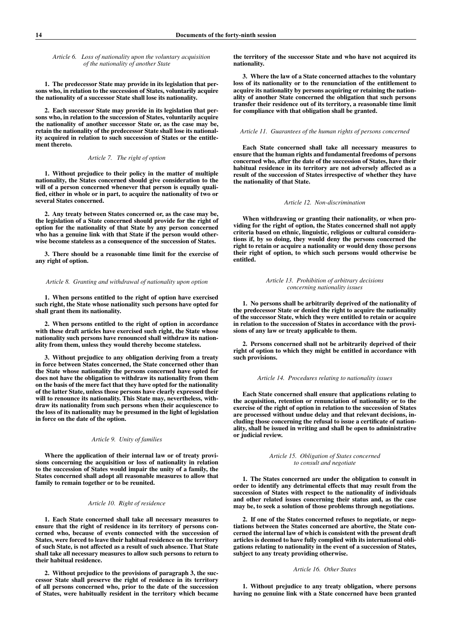*Article 6. Loss of nationality upon the voluntary acquisition of the nationality of another State*

**1. The predecessor State may provide in its legislation that persons who, in relation to the succession of States, voluntarily acquire the nationality of a successor State shall lose its nationality.**

**2. Each successor State may provide in its legislation that persons who, in relation to the succession of States, voluntarily acquire the nationality of another successor State or, as the case may be, retain the nationality of the predecessor State shall lose its nationality acquired in relation to such succession of States or the entitlement thereto.**

# *Article 7. The right of option*

**1. Without prejudice to their policy in the matter of multiple nationality, the States concerned should give consideration to the will of a person concerned whenever that person is equally qualified, either in whole or in part, to acquire the nationality of two or several States concerned.**

**2. Any treaty between States concerned or, as the case may be, the legislation of a State concerned should provide for the right of option for the nationality of that State by any person concerned who has a genuine link with that State if the person would otherwise become stateless as a consequence of the succession of States.**

**3. There should be a reasonable time limit for the exercise of any right of option.** 

#### *Article 8. Granting and withdrawal of nationality upon option*

**1. When persons entitled to the right of option have exercised such right, the State whose nationality such persons have opted for shall grant them its nationality.**

**2. When persons entitled to the right of option in accordance with these draft articles have exercised such right, the State whose nationality such persons have renounced shall withdraw its nationality from them, unless they would thereby become stateless.**

**3. Without prejudice to any obligation deriving from a treaty in force between States concerned, the State concerned other than the State whose nationality the persons concerned have opted for does not have the obligation to withdraw its nationality from them on the basis of the mere fact that they have opted for the nationality of the latter State, unless those persons have clearly expressed their**  will to renounce its nationality. This State may, nevertheless, with**draw its nationality from such persons when their acquiescence to the loss of its nationality may be presumed in the light of legislation in force on the date of the option.**

# *Article 9. Unity of families*

**Where the application of their internal law or of treaty provisions concerning the acquisition or loss of nationality in relation to the succession of States would impair the unity of a family, the States concerned shall adopt all reasonable measures to allow that family to remain together or to be reunited.**

#### *Article 10. Right of residence*

**1. Each State concerned shall take all necessary measures to ensure that the right of residence in its territory of persons concerned who, because of events connected with the succession of States, were forced to leave their habitual residence on the territory of such State, is not affected as a result of such absence. That State shall take all necessary measures to allow such persons to return to their habitual residence.** 

**2. Without prejudice to the provisions of paragraph 3, the successor State shall preserve the right of residence in its territory of all persons concerned who, prior to the date of the succession of States, were habitually resident in the territory which became** 

**the territory of the successor State and who have not acquired its nationality.**

**3. Where the law of a State concerned attaches to the voluntary loss of its nationality or to the renunciation of the entitlement to acquire its nationality by persons acquiring or retaining the nationality of another State concerned the obligation that such persons transfer their residence out of its territory, a reasonable time limit for compliance with that obligation shall be granted.**

#### *Article 11. Guarantees of the human rights of persons concerned*

**Each State concerned shall take all necessary measures to ensure that the human rights and fundamental freedoms of persons concerned who, after the date of the succession of States, have their habitual residence in its territory are not adversely affected as a result of the succession of States irrespective of whether they have the nationality of that State.**

### *Article 12. Non-discrimination*

**When withdrawing or granting their nationality, or when providing for the right of option, the States concerned shall not apply criteria based on ethnic, linguistic, religious or cultural considerations if, by so doing, they would deny the persons concerned the right to retain or acquire a nationality or would deny those persons their right of option, to which such persons would otherwise be entitled.**

#### *Article 13. Prohibition of arbitrary decisions concerning nationality issues*

**1. No persons shall be arbitrarily deprived of the nationality of the predecessor State or denied the right to acquire the nationality of the successor State, which they were entitled to retain or acquire in relation to the succession of States in accordance with the provisions of any law or treaty applicable to them.**

**2. Persons concerned shall not be arbitrarily deprived of their right of option to which they might be entitled in accordance with such provisions.**

### *Article 14. Procedures relating to nationality issues*

**Each State concerned shall ensure that applications relating to the acquisition, retention or renunciation of nationality or to the exercise of the right of option in relation to the succession of States are processed without undue delay and that relevant decisions, including those concerning the refusal to issue a certificate of nationality, shall be issued in writing and shall be open to administrative or judicial review.**

#### *Article 15. Obligation of States concerned to consult and negotiate*

**1. The States concerned are under the obligation to consult in order to identify any detrimental effects that may result from the succession of States with respect to the nationality of individuals and other related issues concerning their status and, as the case may be, to seek a solution of those problems through negotiations.** 

**2. If one of the States concerned refuses to negotiate, or negotiations between the States concerned are abortive, the State concerned the internal law of which is consistent with the present draft articles is deemed to have fully complied with its international obligations relating to nationality in the event of a succession of States, subject to any treaty providing otherwise.**

### *Article 16. Other States*

**1. Without prejudice to any treaty obligation, where persons having no genuine link with a State concerned have been granted**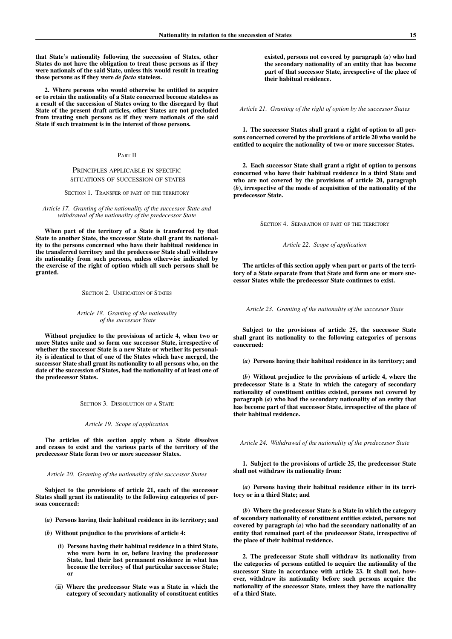**that State's nationality following the succession of States, other States do not have the obligation to treat those persons as if they were nationals of the said State, unless this would result in treating those persons as if they were** *de facto* **stateless.**

**2. Where persons who would otherwise be entitled to acquire or to retain the nationality of a State concerned become stateless as a result of the succession of States owing to the disregard by that State of the present draft articles, other States are not precluded from treating such persons as if they were nationals of the said State if such treatment is in the interest of those persons.**

### Part II

# Principles applicable in specific situations of succession of states

#### SECTION 1 TRANSFER OF PART OF THE TERRITORY

*Article 17. Granting of the nationality of the successor State and withdrawal of the nationality of the predecessor State*

**When part of the territory of a State is transferred by that State to another State, the successor State shall grant its nationality to the persons concerned who have their habitual residence in the transferred territory and the predecessor State shall withdraw its nationality from such persons, unless otherwise indicated by the exercise of the right of option which all such persons shall be granted.**

SECTION 2. UNIFICATION OF STATES

#### *Article 18. Granting of the nationality of the successor State*

**Without prejudice to the provisions of article 4, when two or more States unite and so form one successor State, irrespective of whether the successor State is a new State or whether its personality is identical to that of one of the States which have merged, the successor State shall grant its nationality to all persons who, on the date of the succession of States, had the nationality of at least one of the predecessor States.**

SECTION 3. DISSOLUTION OF A STATE

*Article 19. Scope of application*

**The articles of this section apply when a State dissolves and ceases to exist and the various parts of the territory of the predecessor State form two or more successor States.**

*Article 20. Granting of the nationality of the successor States*

**Subject to the provisions of article 21, each of the successor States shall grant its nationality to the following categories of persons concerned:**

- **(***a***) Persons having their habitual residence in its territory; and**
- **(***b***) Without prejudice to the provisions of article 4:**
	- **i(i) Persons having their habitual residence in a third State, who were born in or, before leaving the predecessor State, had their last permanent residence in what has become the territory of that particular successor State; or**
	- **(ii) Where the predecessor State was a State in which the category of secondary nationality of constituent entities**

**existed, persons not covered by paragraph (***a***) who had the secondary nationality of an entity that has become part of that successor State, irrespective of the place of their habitual residence.**

*Article 21. Granting of the right of option by the successor States*

**1. The successor States shall grant a right of option to all persons concerned covered by the provisions of article 20 who would be entitled to acquire the nationality of two or more successor States.**

**2. Each successor State shall grant a right of option to persons concerned who have their habitual residence in a third State and who are not covered by the provisions of article 20, paragraph (***b***), irrespective of the mode of acquisition of the nationality of the predecessor State.**

SECTION 4. SEPARATION OF PART OF THE TERRITORY

*Article 22. Scope of application*

**The articles of this section apply when part or parts of the territory of a State separate from that State and form one or more successor States while the predecessor State continues to exist.**

*Article 23. Granting of the nationality of the successor State*

**Subject to the provisions of article 25, the successor State shall grant its nationality to the following categories of persons concerned:**

**(***a***) Persons having their habitual residence in its territory; and** 

**(***b***) Without prejudice to the provisions of article 4, where the predecessor State is a State in which the category of secondary nationality of constituent entities existed, persons not covered by paragraph (***a***) who had the secondary nationality of an entity that has become part of that successor State, irrespective of the place of their habitual residence.** 

*Article 24. Withdrawal of the nationality of the predecessor State*

**1. Subject to the provisions of article 25, the predecessor State shall not withdraw its nationality from:**

**(***a***) Persons having their habitual residence either in its territory or in a third State; and** 

**(***b***) Where the predecessor State is a State in which the category of secondary nationality of constituent entities existed, persons not covered by paragraph (***a***) who had the secondary nationality of an entity that remained part of the predecessor State, irrespective of the place of their habitual residence.**

**2. The predecessor State shall withdraw its nationality from the categories of persons entitled to acquire the nationality of the successor State in accordance with article 23. It shall not, however, withdraw its nationality before such persons acquire the nationality of the successor State, unless they have the nationality of a third State.**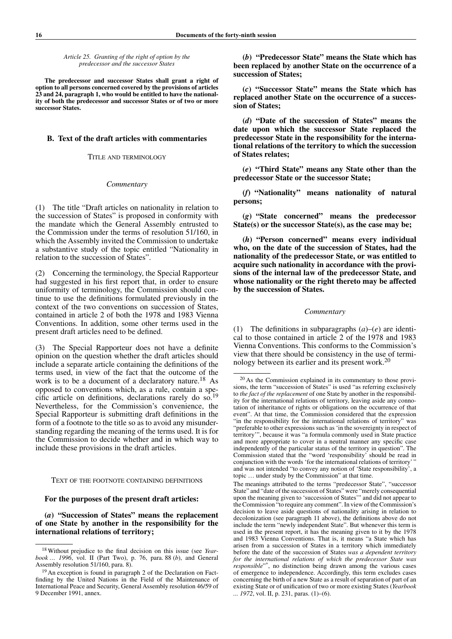*Article 25. Granting of the right of option by the predecessor and the successor States*

**The predecessor and successor States shall grant a right of option to all persons concerned covered by the provisions of articles 23 and 24, paragraph 1, who would be entitled to have the nationality of both the predecessor and successor States or of two or more successor States.**

## **B. Text of the draft articles with commentaries**

TITLE AND TERMINOLOGY

### *Commentary*

(1) The title "Draft articles on nationality in relation to the succession of States" is proposed in conformity with the mandate which the General Assembly entrusted to the Commission under the terms of resolution 51/160, in which the Assembly invited the Commission to undertake a substantive study of the topic entitled "Nationality in relation to the succession of States".

(2) Concerning the terminology, the Special Rapporteur had suggested in his first report that, in order to ensure uniformity of terminology, the Commission should continue to use the definitions formulated previously in the context of the two conventions on succession of States, contained in article 2 of both the 1978 and 1983 Vienna Conventions. In addition, some other terms used in the present draft articles need to be defined.

(3) The Special Rapporteur does not have a definite opinion on the question whether the draft articles should include a separate article containing the definitions of the terms used, in view of the fact that the outcome of the work is to be a document of a declaratory nature.<sup>18</sup> As opposed to conventions which, as a rule, contain a specific article on definitions, declarations rarely do so.<sup>19</sup> Nevertheless, for the Commission's convenience, the Special Rapporteur is submitting draft definitions in the form of a footnote to the title so as to avoid any misunderstanding regarding the meaning of the terms used. It is for the Commission to decide whether and in which way to include these provisions in the draft articles.

Text of the footnote containing definitions

### **For the purposes of the present draft articles:**

**(***a***) "Succession of States" means the replacement of one State by another in the responsibility for the international relations of territory;**

**(***b***) "Predecessor State" means the State which has been replaced by another State on the occurrence of a succession of States;**

**(***c***) "Successor State" means the State which has replaced another State on the occurrence of a succession of States;**

**(***d***) "Date of the succession of States" means the date upon which the successor State replaced the predecessor State in the responsibility for the international relations of the territory to which the succession of States relates;**

**(***e***) "Third State" means any State other than the predecessor State or the successor State;**

**(***f***) "Nationality" means nationality of natural persons;**

**(***g***) "State concerned" means the predecessor State(s) or the successor State(s), as the case may be;**

**(***h***) "Person concerned" means every individual who, on the date of the succession of States, had the nationality of the predecessor State, or was entitled to acquire such nationality in accordance with the provisions of the internal law of the predecessor State, and whose nationality or the right thereto may be affected by the succession of States.**

### *Commentary*

(1) The definitions in subparagraphs (*a*)–(*e*) are identical to those contained in article 2 of the 1978 and 1983 Vienna Conventions. This conforms to the Commission's view that there should be consistency in the use of terminology between its earlier and its present work.20

<sup>18</sup> Without prejudice to the final decision on this issue (see *Yearbook … 1996*, vol. II (Part Two), p. 76, para. 88 (*b*), and General Assembly resolution 51/160, para. 8).

<sup>19</sup> An exception is found in paragraph 2 of the Declaration on Factfinding by the United Nations in the Field of the Maintenance of International Peace and Security, General Assembly resolution 46/59 of 9 December 1991, annex.

<sup>20</sup> As the Commission explained in its commentary to those provisions, the term "succession of States" is used "as referring exclusively to *the fact of the replacement* of one State by another in the responsibility for the international relations of territory, leaving aside any connotation of inheritance of rights or obligations on the occurrence of that event". At that time, the Commission considered that the expression "in the responsibility for the international relations of territory" was "preferable to other expressions such as 'in the sovereignty in respect of territory'", because it was "a formula commonly used in State practice and more appropriate to cover in a neutral manner any specific case independently of the particular status of the territory in question". The Commission stated that the "word 'responsibility' should be read in conjunction with the words 'for the international relations of territory' and was not intended "to convey any notion of 'State responsibility', a topic … under study by the Commission" at that time.

The meanings attributed to the terms "predecessor State", "successor State" and "date of the succession of States" were "merely consequential upon the meaning given to 'succession of States'" and did not appear to the Commission "to require any comment". In view of the Commission's decision to leave aside questions of nationality arising in relation to decolonization (see paragraph 11 above), the definitions above do not include the term "newly independent State". But whenever this term is used in the present report, it has the meaning given to it by the 1978 and 1983 Vienna Conventions. That is, it means "a State which has arisen from a succession of States in a territory which immediately before the date of the succession of States *was a dependent territory for the international relations of which the predecessor State was responsible*"\*, no distinction being drawn among the various cases of emergence to independence. Accordingly, this term excludes cases concerning the birth of a new State as a result of separation of part of an existing State or of unification of two or more existing States (*Yearbook ... 1972*, vol. II, p. 231, paras. (1)–(6).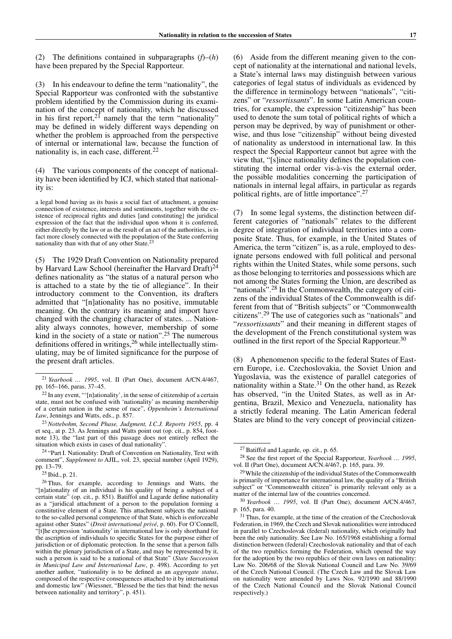(2) The definitions contained in subparagraphs (*f*)–(*h*) have been prepared by the Special Rapporteur.

(3) In his endeavour to define the term "nationality", the Special Rapporteur was confronted with the substantive problem identified by the Commission during its examination of the concept of nationality, which he discussed in his first report, $2<sup>f</sup>$  namely that the term "nationality" may be defined in widely different ways depending on whether the problem is approached from the perspective of internal or international law, because the function of nationality is, in each case, different.<sup>22</sup>

(4) The various components of the concept of nationality have been identified by ICJ, which stated that nationality is:

a legal bond having as its basis a social fact of attachment, a genuine connection of existence, interests and sentiments, together with the existence of reciprocal rights and duties [and constituting] the juridical expression of the fact that the individual upon whom it is conferred, either directly by the law or as the result of an act of the authorities, is in fact more closely connected with the population of the State conferring nationality than with that of any other State.23

(5) The 1929 Draft Convention on Nationality prepared by Harvard Law School (hereinafter the Harvard Draft)<sup>24</sup> defines nationality as "the status of a natural person who is attached to a state by the tie of allegiance". In their introductory comment to the Convention, its drafters admitted that "[n]ationality has no positive, immutable meaning. On the contrary its meaning and import have changed with the changing character of states. ... Nationality always connotes, however, membership of some kind in the society of a state or nation".25 The numerous definitions offered in writings,<sup>26</sup> while intellectually stimulating, may be of limited significance for the purpose of the present draft articles.

(6) Aside from the different meaning given to the concept of nationality at the international and national levels, a State's internal laws may distinguish between various categories of legal status of individuals as evidenced by the difference in terminology between "nationals", "citizens" or "*ressortissants*". In some Latin American countries, for example, the expression "citizenship" has been used to denote the sum total of political rights of which a person may be deprived, by way of punishment or otherwise, and thus lose "citizenship" without being divested of nationality as understood in international law. In this respect the Special Rapporteur cannot but agree with the view that, "[s]ince nationality defines the population constituting the internal order vis-à-vis the external order, the possible modalities concerning the participation of nationals in internal legal affairs, in particular as regards political rights, are of little importance".27

(7) In some legal systems, the distinction between different categories of "nationals" relates to the different degree of integration of individual territories into a composite State. Thus, for example, in the United States of America, the term "citizen" is, as a rule, employed to designate persons endowed with full political and personal rights within the United States, while some persons, such as those belonging to territories and possessions which are not among the States forming the Union, are described as "nationals"<sup>28</sup> In the Commonwealth, the category of citizens of the individual States of the Commonwealth is different from that of "British subjects" or "Commonwealth citizens".29 The use of categories such as "nationals" and "*ressortissants*" and their meaning in different stages of the development of the French constitutional system was outlined in the first report of the Special Rapporteur.<sup>30</sup>

(8) A phenomenon specific to the federal States of Eastern Europe, i.e. Czechoslovakia, the Soviet Union and Yugoslavia, was the existence of parallel categories of nationality within a State. $31$  On the other hand, as Rezek has observed, "in the United States, as well as in Argentina, Brazil, Mexico and Venezuela, nationality has a strictly federal meaning. The Latin American federal States are blind to the very concept of provincial citizen-

<sup>21</sup> *Yearbook … 1995*, vol. II (Part One), document A/CN.4/467, pp. 165–166, paras. 37–45.

<sup>&</sup>lt;sup>22</sup> In any event, "'[n]ationality', in the sense of citizenship of a certain state, must not be confused with 'nationality' as meaning membership of a certain nation in the sense of race", *Oppenheim's International Law*, Jennings and Watts, eds., p. 857.

<sup>23</sup> *Nottebohm, Second Phase, Judgment, I.C.J. Reports 1955*, pp. 4 et seq., at p. 23. As Jennings and Watts point out (op. cit., p. 854, footnote 13), the "last part of this passage does not entirely reflect the situation which exists in cases of dual nationality".

<sup>24</sup> "Part I. Nationality: Draft of Convention on Nationality, Text with comment", *Supplement to* AJIL, vol. 23, special number (April 1929), pp. 13–79.

 $25$  Ibid., p. 21.

<sup>26</sup> Thus, for example, according to Jennings and Watts, the "[n]ationality of an individual is his quality of being a subject of a certain state" (op. cit., p. 851). Batiffol and Lagarde define nationality as a "juridical attachment of a person to the population forming a constitutive element of a State. This attachment subjects the national to the so-called personal competence of that State, which is enforceable against other States" (*Droit international privé*, p. 60). For O'Connell, "[t]he expression 'nationality' in international law is only shorthand for the ascription of individuals to specific States for the purpose either of jurisdiction or of diplomatic protection. In the sense that a person falls within the plenary jurisdiction of a State, and may be represented by it, such a person is said to be a national of that State" (*State Succession in Municipal Law and International Law*, p. 498). According to yet another author, "nationality is to be defined as an *aggregate status*, composed of the respective consequences attached to it by international and domestic law" (Wiessner, "Blessed be the ties that bind: the nexus between nationality and territory", p. 451).

<sup>27</sup> Batiffol and Lagarde, op. cit., p. 65.

<sup>28</sup> See the first report of the Special Rapporteur, *Yearbook … 1995*, vol. II (Part One), document A/CN.4/467, p. 165, para. 39.

<sup>29</sup> While the citizenship of the individual States of the Commonwealth is primarily of importance for international law, the quality of a "British subject" or "Commonwealth citizen" is primarily relevant only as a matter of the internal law of the countries concerned.

<sup>30</sup> *Yearbook … 1995*, vol. II (Part One), document A/CN.4/467, p. 165, para. 40.

<sup>&</sup>lt;sup>31</sup> Thus, for example, at the time of the creation of the Czechoslovak Federation, in 1969, the Czech and Slovak nationalities were introduced in parallel to Czechoslovak (federal) nationality, which originally had been the only nationality. See Law No. 165/1968 establishing a formal distinction between (federal) Czechoslovak nationality and that of each of the two republics forming the Federation, which opened the way for the adoption by the two republics of their own laws on nationality: Law No. 206/68 of the Slovak National Council and Law No. 39/69 of the Czech National Council. (The Czech Law and the Slovak Law on nationality were amended by Laws Nos. 92/1990 and 88/1990 of the Czech National Council and the Slovak National Council respectively.)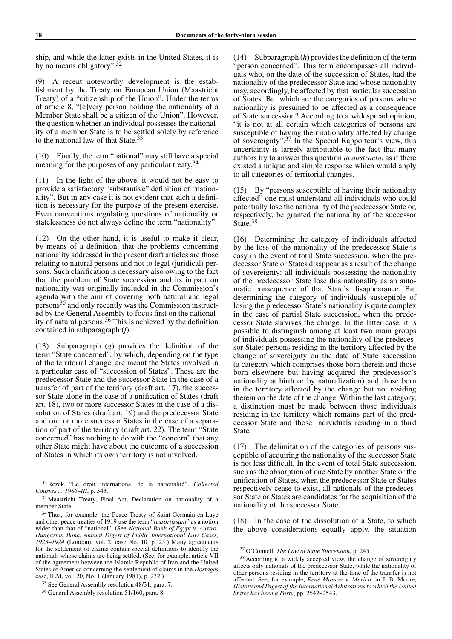ship, and while the latter exists in the United States, it is by no means obligatory".<sup>32</sup>

(9) A recent noteworthy development is the establishment by the Treaty on European Union (Maastricht Treaty) of a "citizenship of the Union". Under the terms of article 8, "[e]very person holding the nationality of a Member State shall be a citizen of the Union". However, the question whether an individual possesses the nationality of a member State is to be settled solely by reference to the national law of that State.33

(10) Finally, the term "national" may still have a special meaning for the purposes of any particular treaty.<sup>34</sup>

(11) In the light of the above, it would not be easy to provide a satisfactory "substantive" definition of "nationality". But in any case it is not evident that such a definition is necessary for the purpose of the present exercise. Even conventions regulating questions of nationality or statelessness do not always define the term "nationality".

(12) On the other hand, it is useful to make it clear, by means of a definition, that the problems concerning nationality addressed in the present draft articles are those relating to natural persons and not to legal (juridical) persons. Such clarification is necessary also owing to the fact that the problem of State succession and its impact on nationality was originally included in the Commission's agenda with the aim of covering both natural and legal persons35 and only recently was the Commission instructed by the General Assembly to focus first on the nationality of natural persons.36 This is achieved by the definition contained in subparagraph (*f*).

(13) Subparagraph (*g*) provides the definition of the term "State concerned", by which, depending on the type of the territorial change, are meant the States involved in a particular case of "succession of States". These are the predecessor State and the successor State in the case of a transfer of part of the territory (draft art. 17), the successor State alone in the case of a unification of States (draft art. 18), two or more successor States in the case of a dissolution of States (draft art. 19) and the predecessor State and one or more successor States in the case of a separation of part of the territory (draft art. 22). The term "State concerned" has nothing to do with the "concern" that any other State might have about the outcome of a succession of States in which its own territory is not involved.

(14) Subparagraph (*h*) provides the definition of the term "person concerned". This term encompasses all individuals who, on the date of the succession of States, had the nationality of the predecessor State and whose nationality may, accordingly, be affected by that particular succession of States. But which are the categories of persons whose nationality is presumed to be affected as a consequence of State succession? According to a widespread opinion, "it is not at all certain which categories of persons are susceptible of having their nationality affected by change of sovereignty".37 In the Special Rapporteur's view, this uncertainty is largely attributable to the fact that many authors try to answer this question *in abstracto*, as if there existed a unique and simple response which would apply to all categories of territorial changes.

(15) By "persons susceptible of having their nationality affected" one must understand all individuals who could potentially lose the nationality of the predecessor State or, respectively, be granted the nationality of the successor State.<sup>38</sup>

(16) Determining the category of individuals affected by the loss of the nationality of the predecessor State is easy in the event of total State succession, when the predecessor State or States disappear as a result of the change of sovereignty: all individuals possessing the nationality of the predecessor State lose this nationality as an automatic consequence of that State's disappearance. But determining the category of individuals susceptible of losing the predecessor State's nationality is quite complex in the case of partial State succession, when the predecessor State survives the change. In the latter case, it is possible to distinguish among at least two main groups of individuals possessing the nationality of the predecessor State: persons residing in the territory affected by the change of sovereignty on the date of State succession (a category which comprises those born therein and those born elsewhere but having acquired the predecessor's nationality at birth or by naturalization) and those born in the territory affected by the change but not residing therein on the date of the change. Within the last category, a distinction must be made between those individuals residing in the territory which remains part of the predecessor State and those individuals residing in a third State.

(17) The delimitation of the categories of persons susceptible of acquiring the nationality of the successor State is not less difficult. In the event of total State succession, such as the absorption of one State by another State or the unification of States, when the predecessor State or States respectively cease to exist, all nationals of the predecessor State or States are candidates for the acquisition of the nationality of the successor State.

(18) In the case of the dissolution of a State, to which the above considerations equally apply, the situation

<sup>32</sup> Rezek, "Le droit international de la nationalité", *Collected Courses ... 1986–III*, p. 343.

<sup>33</sup> Maastricht Treaty, Final Act, Declaration on nationality of a member State.

<sup>34</sup> Thus, for example, the Peace Treaty of Saint-Germain-en-Laye and other peace treaties of 1919 use the term "*ressortissant*" as a notion wider than that of "national". (See *National Bank of Egypt* v. *Austro-Hungarian Bank*, *Annual Digest of Public International Law Cases, 1923–1924* (London), vol. 2, case No. 10, p. 25.) Many agreements for the settlement of claims contain special definitions to identify the nationals whose claims are being settled. (See, for example, article VII of the agreement between the Islamic Republic of Iran and the United States of America concerning the settlement of claims in the *Hostages* case, ILM, vol. 20, No. 1 (January 1981), p. 232.)

<sup>35</sup> See General Assembly resolution 48/31, para. 7.

<sup>36</sup> General Assembly resolution 51/160, para. 8.

<sup>37</sup> O'Connell, *The Law of State Succession*, p. 245.

<sup>38</sup> According to a widely accepted view, the change of sovereignty affects only nationals of the predecessor State, while the nationality of other persons residing in the territory at the time of the transfer is not affected. See, for example, *René Masson* v. *Mexico*, in J. B. Moore, *History and Digest of the International Arbitrations to which the United States has been a Party*, pp. 2542–2543.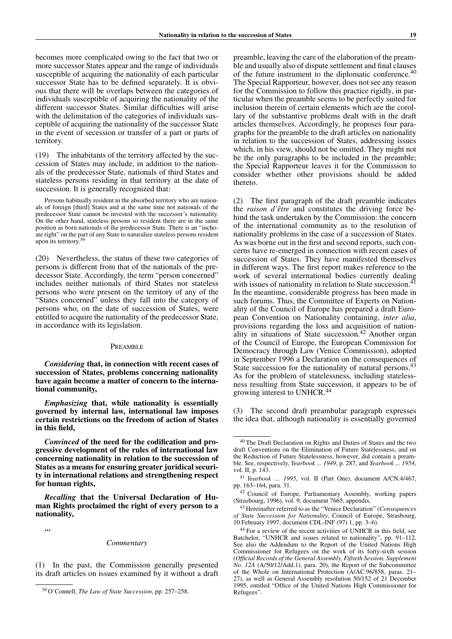becomes more complicated owing to the fact that two or more successor States appear and the range of individuals susceptible of acquiring the nationality of each particular successor State has to be defined separately. It is obvious that there will be overlaps between the categories of individuals susceptible of acquiring the nationality of the different successor States. Similar difficulties will arise with the delimitation of the categories of individuals susceptible of acquiring the nationality of the successor State in the event of secession or transfer of a part or parts of territory.

(19) The inhabitants of the territory affected by the succession of States may include, in addition to the nationals of the predecessor State, nationals of third States and stateless persons residing in that territory at the date of succession. It is generally recognized that:

Persons habitually resident in the absorbed territory who are nationals of foreign [third] States and at the same time not nationals of the predecessor State cannot be invested with the successor's nationality. On the other hand, stateless persons so resident there are in the same position as born nationals of the predecessor State. There is an "inchoate right" on the part of any State to naturalize stateless persons resident upon its territory.39

(20) Nevertheless, the status of these two categories of persons is different from that of the nationals of the predecessor State. Accordingly, the term "person concerned" includes neither nationals of third States nor stateless persons who were present on the territory of any of the "States concerned" unless they fall into the category of persons who, on the date of succession of States, were entitled to acquire the nationality of the predecessor State, in accordance with its legislation.

### **PREAMBLE**

*Considering* **that, in connection with recent cases of succession of States, problems concerning nationality have again become a matter of concern to the international community,**

*Emphasizing* **that, while nationality is essentially governed by internal law, international law imposes certain restrictions on the freedom of action of States in this field,**

*Convinced* **of the need for the codification and progressive development of the rules of international law concerning nationality in relation to the succession of States as a means for ensuring greater juridical security in international relations and strengthening respect for human rights,**

*Recalling* **that the Universal Declaration of Human Rights proclaimed the right of every person to a nationality,**

**...**

# *Commentary*

(1) In the past, the Commission generally presented its draft articles on issues examined by it without a draft preamble, leaving the care of the elaboration of the preamble and usually also of dispute settlement and final clauses of the future instrument to the diplomatic conference.<sup>40</sup> The Special Rapporteur, however, does not see any reason for the Commission to follow this practice rigidly, in particular when the preamble seems to be perfectly suited for inclusion therein of certain elements which are the corollary of the substantive problems dealt with in the draft articles themselves. Accordingly, he proposes four paragraphs for the preamble to the draft articles on nationality in relation to the succession of States, addressing issues which, in his view, should not be omitted. They might not be the only paragraphs to be included in the preamble; the Special Rapporteur leaves it for the Commission to consider whether other provisions should be added thereto.

(2) The first paragraph of the draft preamble indicates the *raison d'être* and constitutes the driving force behind the task undertaken by the Commission: the concern of the international community as to the resolution of nationality problems in the case of a succession of States. As was borne out in the first and second reports, such concerns have re-emerged in connection with recent cases of succession of States. They have manifested themselves in different ways. The first report makes reference to the work of several international bodies currently dealing with issues of nationality in relation to State succession.<sup>41</sup> In the meantime, considerable progress has been made in such forums. Thus, the Committee of Experts on Nationality of the Council of Europe has prepared a draft European Convention on Nationality containing, *inter alia*, provisions regarding the loss and acquisition of nationality in situations of State succession.42 Another organ of the Council of Europe, the European Commission for Democracy through Law (Venice Commission), adopted in September 1996 a Declaration on the consequences of State succession for the nationality of natural persons.<sup>43</sup> As for the problem of statelessness, including statelessness resulting from State succession, it appears to be of growing interest to UNHCR.44

(3) The second draft preambular paragraph expresses the idea that, although nationality is essentially governed

<sup>39</sup> O'Connell, *The Law of State Succession*, pp. 257–258.

<sup>40</sup> The Draft Declaration on Rights and Duties of States and the two draft Conventions on the Elimination of Future Statelessness, and on the Reduction of Future Statelessness, however, did contain a preamble. See, respectively, *Yearbook ... 1949*, p. 287, and *Yearbook ... 1954*, vol. II, p. 143.

<sup>41</sup>*Yearbook … 1995*, vol. II (Part One), document A/CN.4/467, pp. 163–164, para. 31.

<sup>42</sup> Council of Europe, Parliamentary Assembly, working papers (Strasbourg, 1996), vol. 9, document 7665, appendix.

<sup>43</sup> Hereinafter referred to as the "Venice Declaration" (*Consequences of State Succession for Nationality*, Council of Europe, Strasbourg, 10 February 1997, document CDL-INF (97) 1, pp. 3–6).

<sup>44</sup> For a review of the recent activities of UNHCR in this field, see Batchelor, "UNHCR and issues related to nationality", pp. 91–112. See also the Addendum to the Report of the United Nations High Commissioner for Refugees on the work of its forty-sixth session (*Official Records of the General Assembly, Fiftieth Session, Supplement No. 12A* (A/50/12/Add.1), para. 20), the Report of the Subcommittee of the Whole on International Protection (A/AC.96/858, paras. 21– 27), as well as General Assembly resolution 50/152 of 21 December 1995, entitled "Office of the United Nations High Commissioner for Refugees".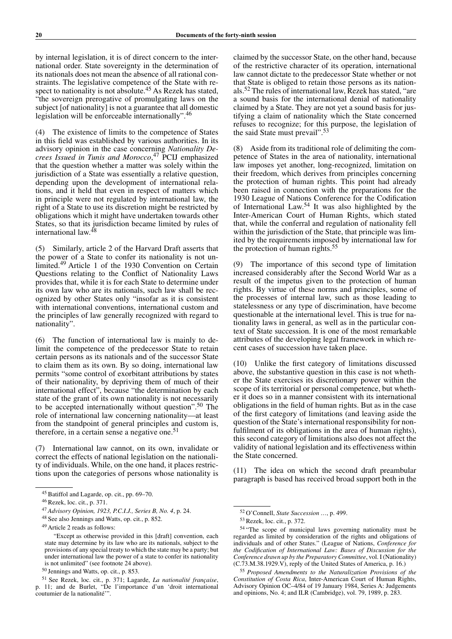by internal legislation, it is of direct concern to the international order. State sovereignty in the determination of its nationals does not mean the absence of all rational constraints. The legislative competence of the State with respect to nationality is not absolute.<sup>45</sup> As Rezek has stated, "the sovereign prerogative of promulgating laws on the subject [of nationality] is not a guarantee that all domestic legislation will be enforceable internationally".<sup>46</sup>

(4) The existence of limits to the competence of States in this field was established by various authorities. In its advisory opinion in the case concerning *Nationality Decrees Issued in Tunis and Morocco*, 47 PCIJ emphasized that the question whether a matter was solely within the jurisdiction of a State was essentially a relative question, depending upon the development of international relations, and it held that even in respect of matters which in principle were not regulated by international law, the right of a State to use its discretion might be restricted by obligations which it might have undertaken towards other States, so that its jurisdiction became limited by rules of international law.<sup>48</sup>

(5) Similarly, article 2 of the Harvard Draft asserts that the power of a State to confer its nationality is not unlimited.49 Article 1 of the 1930 Convention on Certain Questions relating to the Conflict of Nationality Laws provides that, while it is for each State to determine under its own law who are its nationals, such law shall be recognized by other States only "insofar as it is consistent with international conventions, international custom and the principles of law generally recognized with regard to nationality".

(6) The function of international law is mainly to delimit the competence of the predecessor State to retain certain persons as its nationals and of the successor State to claim them as its own. By so doing, international law permits "some control of exorbitant attributions by states of their nationality, by depriving them of much of their international effect", because "the determination by each state of the grant of its own nationality is not necessarily to be accepted internationally without question".50 The role of international law concerning nationality—at least from the standpoint of general principles and custom is, therefore, in a certain sense a negative one.<sup>51</sup>

(7) International law cannot, on its own, invalidate or correct the effects of national legislation on the nationality of individuals. While, on the one hand, it places restrictions upon the categories of persons whose nationality is

claimed by the successor State, on the other hand, because of the restrictive character of its operation, international law cannot dictate to the predecessor State whether or not that State is obliged to retain those persons as its nationals.52 The rules of international law, Rezek has stated, "are a sound basis for the international denial of nationality claimed by a State. They are not yet a sound basis for justifying a claim of nationality which the State concerned refuses to recognize; for this purpose, the legislation of the said State must prevail".<sup>5</sup>

(8) Aside from its traditional role of delimiting the competence of States in the area of nationality, international law imposes yet another, long-recognized, limitation on their freedom, which derives from principles concerning the protection of human rights. This point had already been raised in connection with the preparations for the 1930 League of Nations Conference for the Codification of International Law.54 It was also highlighted by the Inter-American Court of Human Rights, which stated that, while the conferral and regulation of nationality fell within the jurisdiction of the State, that principle was limited by the requirements imposed by international law for the protection of human rights.<sup>55</sup>

(9) The importance of this second type of limitation increased considerably after the Second World War as a result of the impetus given to the protection of human rights. By virtue of these norms and principles, some of the processes of internal law, such as those leading to statelessness or any type of discrimination, have become questionable at the international level. This is true for nationality laws in general, as well as in the particular context of State succession. It is one of the most remarkable attributes of the developing legal framework in which recent cases of succession have taken place.

(10) Unlike the first category of limitations discussed above, the substantive question in this case is not whether the State exercises its discretionary power within the scope of its territorial or personal competence, but whether it does so in a manner consistent with its international obligations in the field of human rights. But as in the case of the first category of limitations (and leaving aside the question of the State's international responsibility for nonfulfilment of its obligations in the area of human rights), this second category of limitations also does not affect the validity of national legislation and its effectiveness within the State concerned.

(11) The idea on which the second draft preambular paragraph is based has received broad support both in the

<sup>45</sup> Batiffol and Lagarde, op. cit., pp. 69–70.

<sup>46</sup> Rezek, loc. cit., p. 371.

<sup>47</sup> *Advisory Opinion, 1923, P.C.I.J., Series B, No. 4*, p. 24.

<sup>48</sup> See also Jennings and Watts, op. cit., p. 852.

<sup>49</sup> Article 2 reads as follows:

<sup>&</sup>quot;Except as otherwise provided in this [draft] convention, each state may determine by its law who are its nationals, subject to the provisions of any special treaty to which the state may be a party; but under international law the power of a state to confer its nationality is not unlimited" (see footnote 24 above).

<sup>50</sup> Jennings and Watts, op. cit., p. 853.

<sup>51</sup> See Rezek, loc. cit., p. 371; Lagarde, *La nationalité française*, p. 11; and de Burlet, "De l'importance d'un 'droit international coutumier de la nationalité'".

<sup>52</sup> O'Connell, *State Succession …*, p. 499.

<sup>53</sup> Rezek, loc. cit., p. 372.

<sup>54</sup> "The scope of municipal laws governing nationality must be regarded as limited by consideration of the rights and obligations of individuals and of other States." (League of Nations, *Conference for the Codification of International Law: Bases of Discussion for the Conference drawn up by the Preparatory Committee*, vol. I (Nationality) (C.73.M.38.1929.V), reply of the United States of America, p. 16.)

<sup>55</sup>*Proposed amendments to the naturalization Provisions of the Constitution of Costa Rica*, Inter-American Court of Human Rights, Advisory Opinion OC–4/84 of 19 January 1984, Series A: Judgements and opinions, No. 4; and ILR (Cambridge), vol. 79, 1989, p. 283.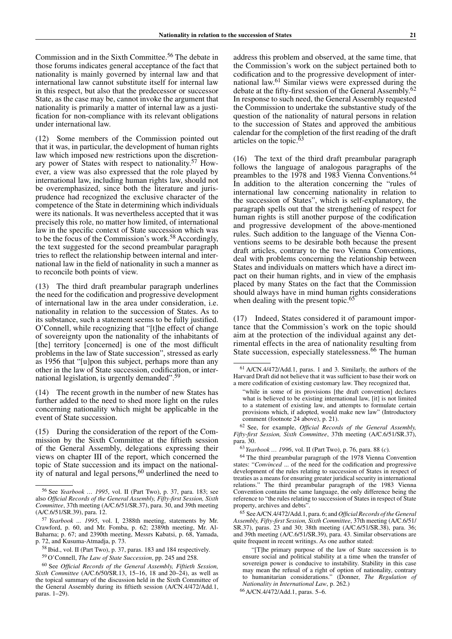Commission and in the Sixth Committee.56 The debate in those forums indicates general acceptance of the fact that nationality is mainly governed by internal law and that international law cannot substitute itself for internal law in this respect, but also that the predecessor or successor State, as the case may be, cannot invoke the argument that nationality is primarily a matter of internal law as a justification for non-compliance with its relevant obligations under international law.

(12) Some members of the Commission pointed out that it was, in particular, the development of human rights law which imposed new restrictions upon the discretionary power of States with respect to nationality.57 However, a view was also expressed that the role played by international law, including human rights law, should not be overemphasized, since both the literature and jurisprudence had recognized the exclusive character of the competence of the State in determining which individuals were its nationals. It was nevertheless accepted that it was precisely this role, no matter how limited, of international law in the specific context of State succession which was to be the focus of the Commission's work.58 Accordingly, the text suggested for the second preambular paragraph tries to reflect the relationship between internal and international law in the field of nationality in such a manner as to reconcile both points of view.

(13) The third draft preambular paragraph underlines the need for the codification and progressive development of international law in the area under consideration, i.e. nationality in relation to the succession of States. As to its substance, such a statement seems to be fully justified. O'Connell, while recognizing that "[t]he effect of change of sovereignty upon the nationality of the inhabitants of [the] territory [concerned] is one of the most difficult problems in the law of State succession", stressed as early as 1956 that "[u]pon this subject, perhaps more than any other in the law of State succession, codification, or international legislation, is urgently demanded".59

(14) The recent growth in the number of new States has further added to the need to shed more light on the rules concerning nationality which might be applicable in the event of State succession.

(15) During the consideration of the report of the Commission by the Sixth Committee at the fiftieth session of the General Assembly, delegations expressing their views on chapter III of the report, which concerned the topic of State succession and its impact on the nationality of natural and legal persons,<sup>60</sup> underlined the need to

59 O'Connell, *The Law of State Succession*, pp. 245 and 258.

address this problem and observed, at the same time, that the Commission's work on the subject pertained both to codification and to the progressive development of international law.61 Similar views were expressed during the debate at the fifty-first session of the General Assembly.<sup>62</sup> In response to such need, the General Assembly requested the Commission to undertake the substantive study of the question of the nationality of natural persons in relation to the succession of States and approved the ambitious calendar for the completion of the first reading of the draft articles on the topic.63

(16) The text of the third draft preambular paragraph follows the language of analogous paragraphs of the preambles to the 1978 and 1983 Vienna Conventions.<sup>64</sup> In addition to the alteration concerning the "rules of international law concerning nationality in relation to the succession of States", which is self-explanatory, the paragraph spells out that the strengthening of respect for human rights is still another purpose of the codification and progressive development of the above-mentioned rules. Such addition to the language of the Vienna Conventions seems to be desirable both because the present draft articles, contrary to the two Vienna Conventions, deal with problems concerning the relationship between States and individuals on matters which have a direct impact on their human rights, and in view of the emphasis placed by many States on the fact that the Commission should always have in mind human rights considerations when dealing with the present topic.<sup>65</sup>

(17) Indeed, States considered it of paramount importance that the Commission's work on the topic should aim at the protection of the individual against any detrimental effects in the area of nationality resulting from State succession, especially statelessness.<sup>66</sup> The human

<sup>62</sup> See, for example, *Official Records of the General Assembly, Fifty-first Session, Sixth Committee*, 37th meeting (A/C.6/51/SR.37), para. 30.

<sup>63</sup>*Yearbook … 1996*, vol. II (Part Two), p. 76, para. 88 (*c*)*.*

<sup>65</sup> See A/CN.4/472/Add.1, para. 6; and *Official Records of the General Assembly, Fifty-first Session, Sixth Committee*, 37th meeting (A/C.6/51/ SR.37), paras. 23 and 30; 38th meeting (A/C.6/51/SR.38), para. 36; and 39th meeting (A/C.6/51/SR.39), para. 43. Similar observations are quite frequent in recent writings. As one author stated:

"[T]he primary purpose of the law of State succession is to ensure social and political stability at a time when the transfer of sovereign power is conducive to instability. Stability in this case may mean the refusal of a right of option of nationality, contrary to humanitarian considerations." (Donner, *The Regulation of Nationality in International Law*, p. 262.) 66 A/CN.4/472/Add.1, paras. 5–6.

<sup>56</sup> See *Yearbook … 1995*, vol. II (Part Two), p. 37, para. 183; see also *Official Records of the General Assembly, Fifty-first Session, Sixth Committee*, 37th meeting (A/C.6/51/SR.37), para. 30, and 39th meeting (A/C.6/51/SR.39), para. 12.

<sup>57</sup>*Yearbook ... 1995*, vol. I, 2388th meeting, statements by Mr. Crawford, p. 60, and Mr. Fomba, p. 62; 2389th meeting, Mr. Al-Baharna; p. 67; and 2390th meeting, Messrs Kabatsi, p. 68, Yamada, p. 72, and Kusuma-Atmadja, p. 73.

<sup>58</sup> Ibid., vol. II (Part Two), p. 37, paras. 183 and 184 respectively.

<sup>60</sup> See *Official Records of the General Assembly, Fiftieth Session, Sixth Committee* (A/C.6/50/SR.13, 15–16, 18 and 20–24), as well as the topical summary of the discussion held in the Sixth Committee of the General Assembly during its fiftieth session (A/CN.4/472/Add.1, paras. 1–29).

<sup>61</sup> A/CN.4/472/Add.1, paras. 1 and 3. Similarly, the authors of the Harvard Draft did not believe that it was sufficient to base their work on a mere codification of existing customary law. They recognized that,

<sup>&</sup>quot;while in some of its provisions [the draft convention] declares what is believed to be existing international law, [it] is not limited to a statement of existing law, and attempts to formulate certain provisions which, if adopted, would make new law" (Introductory comment (footnote 24 above), p. 21).

<sup>64</sup> The third preambular paragraph of the 1978 Vienna Convention states: "*Convinced* ... of the need for the codification and progressive development of the rules relating to succession of States in respect of treaties as a means for ensuring greater juridical security in international relations." The third preambular paragraph of the 1983 Vienna Convention contains the same language, the only difference being the reference to "the rules relating to succession of States in respect of State property, archives and debts".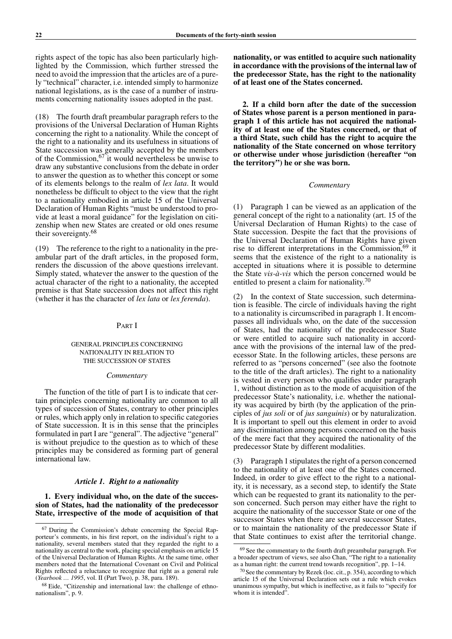rights aspect of the topic has also been particularly highlighted by the Commission, which further stressed the need to avoid the impression that the articles are of a purely "technical" character, i.e. intended simply to harmonize national legislations, as is the case of a number of instruments concerning nationality issues adopted in the past.

(18) The fourth draft preambular paragraph refers to the provisions of the Universal Declaration of Human Rights concerning the right to a nationality. While the concept of the right to a nationality and its usefulness in situations of State succession was generally accepted by the members of the Commission,  $67$  it would nevertheless be unwise to draw any substantive conclusions from the debate in order to answer the question as to whether this concept or some of its elements belongs to the realm of *lex lata*. It would nonetheless be difficult to object to the view that the right to a nationality embodied in article 15 of the Universal Declaration of Human Rights "must be understood to provide at least a moral guidance" for the legislation on citizenship when new States are created or old ones resume their sovereignty.68

(19) The reference to the right to a nationality in the preambular part of the draft articles, in the proposed form, renders the discussion of the above questions irrelevant. Simply stated, whatever the answer to the question of the actual character of the right to a nationality, the accepted premise is that State succession does not affect this right (whether it has the character of *lex lata* or *lex ferenda*).

### PART I

# General principles concerning nationality in relation to THE SUCCESSION OF STATES

#### *Commentary*

The function of the title of part I is to indicate that certain principles concerning nationality are common to all types of succession of States, contrary to other principles or rules, which apply only in relation to specific categories of State succession. It is in this sense that the principles formulated in part I are "general". The adjective "general" is without prejudice to the question as to which of these principles may be considered as forming part of general international law.

### *Article 1. Right to a nationality*

**1. Every individual who, on the date of the succession of States, had the nationality of the predecessor State, irrespective of the mode of acquisition of that**  **nationality, or was entitled to acquire such nationality in accordance with the provisions of the internal law of the predecessor State, has the right to the nationality of at least one of the States concerned.**

**2. If a child born after the date of the succession of States whose parent is a person mentioned in paragraph 1 of this article has not acquired the nationality of at least one of the States concerned, or that of a third State, such child has the right to acquire the nationality of the State concerned on whose territory or otherwise under whose jurisdiction (hereafter "on the territory") he or she was born.**

## *Commentary*

(1) Paragraph 1 can be viewed as an application of the general concept of the right to a nationality (art. 15 of the Universal Declaration of Human Rights) to the case of State succession. Despite the fact that the provisions of the Universal Declaration of Human Rights have given rise to different interpretations in the Commission,<sup>69</sup> it seems that the existence of the right to a nationality is accepted in situations where it is possible to determine the State *vis-à-vis* which the person concerned would be entitled to present a claim for nationality.<sup>70</sup>

(2) In the context of State succession, such determination is feasible. The circle of individuals having the right to a nationality is circumscribed in paragraph 1. It encompasses all individuals who, on the date of the succession of States, had the nationality of the predecessor State or were entitled to acquire such nationality in accordance with the provisions of the internal law of the predecessor State. In the following articles, these persons are referred to as "persons concerned" (see also the footnote to the title of the draft articles). The right to a nationality is vested in every person who qualifies under paragraph 1, without distinction as to the mode of acquisition of the predecessor State's nationality, i.e. whether the nationality was acquired by birth (by the application of the principles of *jus soli* or of *jus sanguinis*) or by naturalization. It is important to spell out this element in order to avoid any discrimination among persons concerned on the basis of the mere fact that they acquired the nationality of the predecessor State by different modalities.

(3) Paragraph 1 stipulates the right of a person concerned to the nationality of at least one of the States concerned. Indeed, in order to give effect to the right to a nationality, it is necessary, as a second step, to identify the State which can be requested to grant its nationality to the person concerned. Such person may either have the right to acquire the nationality of the successor State or one of the successor States when there are several successor States, or to maintain the nationality of the predecessor State if that State continues to exist after the territorial change.

<sup>67</sup> During the Commission's debate concerning the Special Rapporteur's comments, in his first report, on the individual's right to a nationality, several members stated that they regarded the right to a nationality as central to the work, placing special emphasis on article 15 of the Universal Declaration of Human Rights. At the same time, other members noted that the International Covenant on Civil and Political Rights reflected a reluctance to recognize that right as a general rule (*Yearbook … 1995*, vol. II (Part Two), p. 38, para. 189).

<sup>68</sup> Eide, "Citizenship and international law: the challenge of ethnonationalism", p. 9.

<sup>&</sup>lt;sup>69</sup> See the commentary to the fourth draft preambular paragraph. For a broader spectrum of views, see also Chan, "The right to a nationality as a human right: the current trend towards recognition", pp. 1–14.

<sup>70</sup> See the commentary by Rezek (loc. cit., p. 354), according to which article 15 of the Universal Declaration sets out a rule which evokes unanimous sympathy, but which is ineffective, as it fails to "specify for whom it is intended".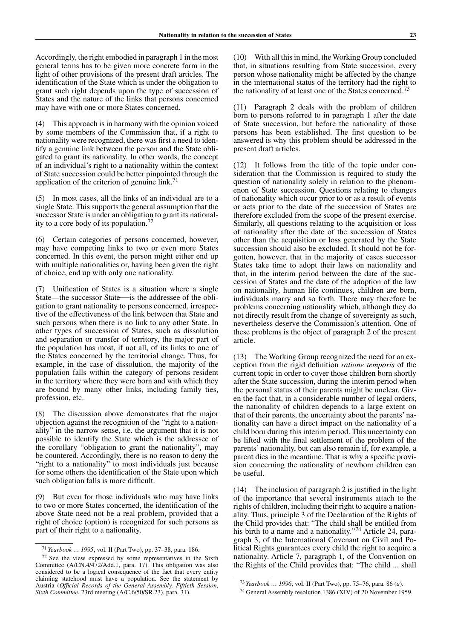Accordingly, the right embodied in paragraph 1 in the most general terms has to be given more concrete form in the light of other provisions of the present draft articles. The identification of the State which is under the obligation to grant such right depends upon the type of succession of States and the nature of the links that persons concerned may have with one or more States concerned.

(4) This approach is in harmony with the opinion voiced by some members of the Commission that, if a right to nationality were recognized, there was first a need to identify a genuine link between the person and the State obligated to grant its nationality. In other words, the concept of an individual's right to a nationality within the context of State succession could be better pinpointed through the application of the criterion of genuine link.<sup>71</sup>

(5) In most cases, all the links of an individual are to a single State. This supports the general assumption that the successor State is under an obligation to grant its nationality to a core body of its population.72

(6) Certain categories of persons concerned, however, may have competing links to two or even more States concerned. In this event, the person might either end up with multiple nationalities or, having been given the right of choice, end up with only one nationality.

(7) Unification of States is a situation where a single State—the successor State—is the addressee of the obligation to grant nationality to persons concerned, irrespective of the effectiveness of the link between that State and such persons when there is no link to any other State. In other types of succession of States, such as dissolution and separation or transfer of territory, the major part of the population has most, if not all, of its links to one of the States concerned by the territorial change. Thus, for example, in the case of dissolution, the majority of the population falls within the category of persons resident in the territory where they were born and with which they are bound by many other links, including family ties, profession, etc.

(8) The discussion above demonstrates that the major objection against the recognition of the "right to a nationality" in the narrow sense, i.e. the argument that it is not possible to identify the State which is the addressee of the corollary "obligation to grant the nationality", may be countered. Accordingly, there is no reason to deny the "right to a nationality" to most individuals just because for some others the identification of the State upon which such obligation falls is more difficult.

(9) But even for those individuals who may have links to two or more States concerned, the identification of the above State need not be a real problem, provided that a right of choice (option) is recognized for such persons as part of their right to a nationality.

(10) With all this in mind, the Working Group concluded that, in situations resulting from State succession, every person whose nationality might be affected by the change in the international status of the territory had the right to the nationality of at least one of the States concerned.<sup>73</sup>

(11) Paragraph 2 deals with the problem of children born to persons referred to in paragraph 1 after the date of State succession, but before the nationality of those persons has been established. The first question to be answered is why this problem should be addressed in the present draft articles.

(12) It follows from the title of the topic under consideration that the Commission is required to study the question of nationality solely in relation to the phenomenon of State succession. Questions relating to changes of nationality which occur prior to or as a result of events or acts prior to the date of the succession of States are therefore excluded from the scope of the present exercise. Similarly, all questions relating to the acquisition or loss of nationality after the date of the succession of States other than the acquisition or loss generated by the State succession should also be excluded. It should not be forgotten, however, that in the majority of cases successor States take time to adopt their laws on nationality and that, in the interim period between the date of the succession of States and the date of the adoption of the law on nationality, human life continues, children are born, individuals marry and so forth. There may therefore be problems concerning nationality which, although they do not directly result from the change of sovereignty as such, nevertheless deserve the Commission's attention. One of these problems is the object of paragraph 2 of the present article.

(13) The Working Group recognized the need for an exception from the rigid definition *ratione temporis* of the current topic in order to cover those children born shortly after the State succession, during the interim period when the personal status of their parents might be unclear. Given the fact that, in a considerable number of legal orders, the nationality of children depends to a large extent on that of their parents, the uncertainty about the parents' nationality can have a direct impact on the nationality of a child born during this interim period. This uncertainty can be lifted with the final settlement of the problem of the parents' nationality, but can also remain if, for example, a parent dies in the meantime. That is why a specific provision concerning the nationality of newborn children can be useful.

(14) The inclusion of paragraph 2 is justified in the light of the importance that several instruments attach to the rights of children, including their right to acquire a nationality. Thus, principle 3 of the Declaration of the Rights of the Child provides that: "The child shall be entitled from his birth to a name and a nationality."<sup>74</sup> Article 24, paragraph 3, of the International Covenant on Civil and Political Rights guarantees every child the right to acquire a nationality. Article 7, paragraph 1, of the Convention on the Rights of the Child provides that: "The child ... shall

<sup>71</sup>*Yearbook … 1995*, vol. II (Part Two), pp. 37–38, para. 186.

<sup>72</sup> See the view expressed by some representatives in the Sixth Committee (A/CN.4/472/Add.1, para. 17). This obligation was also considered to be a logical consequence of the fact that every entity claiming statehood must have a population. See the statement by Austria (*Official Records of the General Assembly, Fiftieth Session, Sixth Committee*, 23rd meeting (A/C.6/50/SR.23), para. 31).

<sup>73</sup>*Yearbook … 1996*, vol. II (Part Two), pp. 75–76, para. 86 (*a*).

<sup>74</sup> General Assembly resolution 1386 (XIV) of 20 November 1959.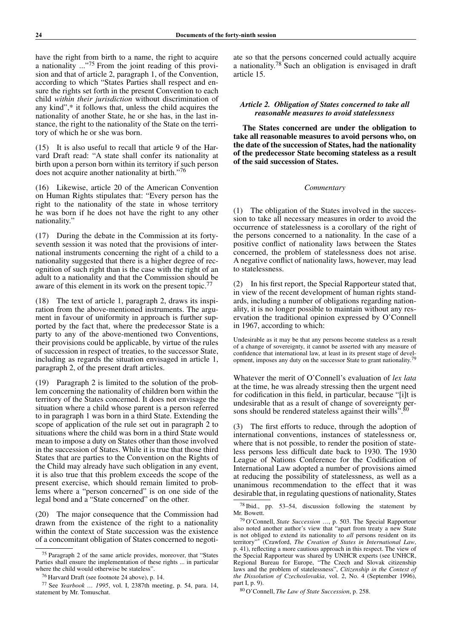have the right from birth to a name, the right to acquire a nationality  $\cdots$ <sup>75</sup> From the joint reading of this provision and that of article 2, paragraph 1, of the Convention, according to which "States Parties shall respect and ensure the rights set forth in the present Convention to each child *within their jurisdiction* without discrimination of any kind",\* it follows that, unless the child acquires the nationality of another State, he or she has, in the last instance, the right to the nationality of the State on the territory of which he or she was born.

(15) It is also useful to recall that article 9 of the Harvard Draft read: "A state shall confer its nationality at birth upon a person born within its territory if such person does not acquire another nationality at birth."76

(16) Likewise, article 20 of the American Convention on Human Rights stipulates that: "Every person has the right to the nationality of the state in whose territory he was born if he does not have the right to any other nationality."

(17) During the debate in the Commission at its fortyseventh session it was noted that the provisions of international instruments concerning the right of a child to a nationality suggested that there is a higher degree of recognition of such right than is the case with the right of an adult to a nationality and that the Commission should be aware of this element in its work on the present topic.<sup>77</sup>

(18) The text of article 1, paragraph 2, draws its inspiration from the above-mentioned instruments. The argument in favour of uniformity in approach is further supported by the fact that, where the predecessor State is a party to any of the above-mentioned two Conventions, their provisions could be applicable, by virtue of the rules of succession in respect of treaties, to the successor State, including as regards the situation envisaged in article 1, paragraph 2, of the present draft articles.

(19) Paragraph 2 is limited to the solution of the problem concerning the nationality of children born within the territory of the States concerned. It does not envisage the situation where a child whose parent is a person referred to in paragraph 1 was born in a third State. Extending the scope of application of the rule set out in paragraph 2 to situations where the child was born in a third State would mean to impose a duty on States other than those involved in the succession of States. While it is true that those third States that are parties to the Convention on the Rights of the Child may already have such obligation in any event, it is also true that this problem exceeds the scope of the present exercise, which should remain limited to problems where a "person concerned" is on one side of the legal bond and a "State concerned" on the other.

(20) The major consequence that the Commission had drawn from the existence of the right to a nationality within the context of State succession was the existence of a concomitant obligation of States concerned to negotiate so that the persons concerned could actually acquire a nationality.78 Such an obligation is envisaged in draft article 15.

# *Article 2. Obligation of States concerned to take all reasonable measures to avoid statelessness*

**The States concerned are under the obligation to take all reasonable measures to avoid persons who, on the date of the succession of States, had the nationality of the predecessor State becoming stateless as a result of the said succession of States.**

#### *Commentary*

(1) The obligation of the States involved in the succession to take all necessary measures in order to avoid the occurrence of statelessness is a corollary of the right of the persons concerned to a nationality. In the case of a positive conflict of nationality laws between the States concerned, the problem of statelessness does not arise. A negative conflict of nationality laws, however, may lead to statelessness.

(2) In his first report, the Special Rapporteur stated that, in view of the recent development of human rights standards, including a number of obligations regarding nationality, it is no longer possible to maintain without any reservation the traditional opinion expressed by O'Connell in 1967, according to which:

Undesirable as it may be that any persons become stateless as a result of a change of sovereignty, it cannot be asserted with any measure of confidence that international law, at least in its present stage of development, imposes any duty on the successor State to grant nationality.79

Whatever the merit of O'Connell's evaluation of *lex lata* at the time, he was already stressing then the urgent need for codification in this field, in particular, because "[i]t is undesirable that as a result of change of sovereignty persons should be rendered stateless against their wills".<sup>80</sup>

(3) The first efforts to reduce, through the adoption of international conventions, instances of statelessness or, where that is not possible, to render the position of stateless persons less difficult date back to 1930. The 1930 League of Nations Conference for the Codification of International Law adopted a number of provisions aimed at reducing the possibility of statelessness, as well as a unanimous recommendation to the effect that it was desirable that, in regulating questions of nationality, States

<sup>75</sup> Paragraph 2 of the same article provides, moreover, that "States Parties shall ensure the implementation of these rights ... in particular where the child would otherwise be stateless".<br><sup>76</sup> Harvard Draft (see footnote 24 above), p. 14.

<sup>77</sup> See *Yearbook … 1995*, vol. I, 2387th meeting, p. 54, para. 14, statement by Mr. Tomuschat.

<sup>78</sup> Ibid., pp. 53–54, discussion following the statement by Mr. Bowett.

<sup>79</sup> O'Connell, *State Succession …*, p. 503. The Special Rapporteur also noted another author's view that "apart from treaty a new State is not obliged to extend its nationality to *all* persons resident on its territory"\* (Crawford, *The Creation of States in International Law*, p. 41), reflecting a more cautious approach in this respect. The view of the Special Rapporteur was shared by UNHCR experts (see UNHCR, Regional Bureau for Europe, "The Czech and Slovak citizenship laws and the problem of statelessness", *Citizenship in the Context of the Dissolution of Czechoslovakia*, vol. 2, No. 4 (September 1996), part I, p. 9). 80 O'Connell, *The Law of State Succession*, p. 258.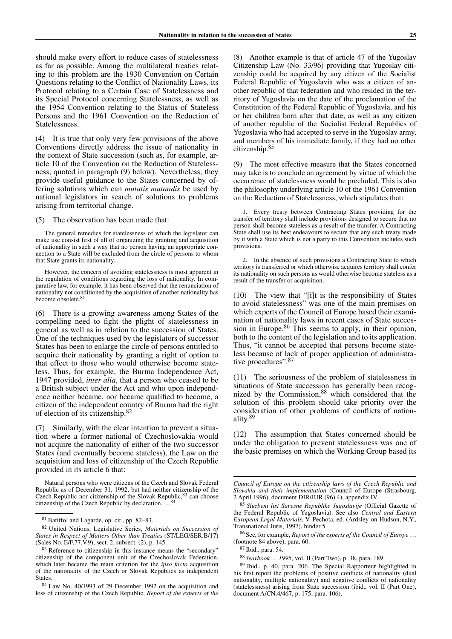should make every effort to reduce cases of statelessness as far as possible. Among the multilateral treaties relating to this problem are the 1930 Convention on Certain Questions relating to the Conflict of Nationality Laws, its Protocol relating to a Certain Case of Statelessness and its Special Protocol concerning Statelessness, as well as the 1954 Convention relating to the Status of Stateless Persons and the 1961 Convention on the Reduction of Statelessness.

(4) It is true that only very few provisions of the above Conventions directly address the issue of nationality in the context of State succession (such as, for example, article 10 of the Convention on the Reduction of Statelessness, quoted in paragraph (9) below). Nevertheless, they provide useful guidance to the States concerned by offering solutions which can *mutatis mutandis* be used by national legislators in search of solutions to problems arising from territorial change.

(5) The observation has been made that:

The general remedies for statelessness of which the legislator can make use consist first of all of organizing the granting and acquisition of nationality in such a way that no person having an appropriate connection to a State will be excluded from the circle of persons to whom that State grants its nationality. …

However, the concern of avoiding statelessness is most apparent in the regulation of conditions regarding the loss of nationality. In comparative law, for example, it has been observed that the renunciation of nationality not conditioned by the acquisition of another nationality has become obsolete.<sup>81</sup>

(6) There is a growing awareness among States of the compelling need to fight the plight of statelessness in general as well as in relation to the succession of States. One of the techniques used by the legislators of successor States has been to enlarge the circle of persons entitled to acquire their nationality by granting a right of option to that effect to those who would otherwise become stateless. Thus, for example, the Burma Independence Act, 1947 provided, *inter alia*, that a person who ceased to be a British subject under the Act and who upon independence neither became, nor became qualified to become, a citizen of the independent country of Burma had the right of election of its citizenship.<sup>82</sup>

(7) Similarly, with the clear intention to prevent a situation where a former national of Czechoslovakia would not acquire the nationality of either of the two successor States (and eventually become stateless), the Law on the acquisition and loss of citizenship of the Czech Republic provided in its article 6 that:

(8) Another example is that of article 47 of the Yugoslav Citizenship Law (No. 33/96) providing that Yugoslav citizenship could be acquired by any citizen of the Socialist Federal Republic of Yugoslavia who was a citizen of another republic of that federation and who resided in the territory of Yugoslavia on the date of the proclamation of the Constitution of the Federal Republic of Yugoslavia, and his or her children born after that date, as well as any citizen of another republic of the Socialist Federal Republics of Yugoslavia who had accepted to serve in the Yugoslav army, and members of his immediate family, if they had no other citizenship.<sup>85</sup>

(9) The most effective measure that the States concerned may take is to conclude an agreement by virtue of which the occurrence of statelessness would be precluded. This is also the philosophy underlying article 10 of the 1961 Convention on the Reduction of Statelessness, which stipulates that:

1. Every treaty between Contracting States providing for the transfer of territory shall include provisions designed to secure that no person shall become stateless as a result of the transfer. A Contracting State shall use its best endeavours to secure that any such treaty made by it with a State which is not a party to this Convention includes such provisions.

2. In the absence of such provisions a Contracting State to which territory is transferred or which otherwise acquires territory shall confer its nationality on such persons as would otherwise become stateless as a result of the transfer or acquisition.

(10) The view that "[i]t is the responsibility of States to avoid statelessness" was one of the main premises on which experts of the Council of Europe based their examination of nationality laws in recent cases of State succession in Europe. $86$  This seems to apply, in their opinion, both to the content of the legislation and to its application. Thus, "it cannot be accepted that persons become stateless because of lack of proper application of administrative procedures".87

(11) The seriousness of the problem of statelessness in situations of State succession has generally been recognized by the Commission,<sup>88</sup> which considered that the solution of this problem should take priority over the consideration of other problems of conflicts of nationality.<sup>89</sup>

(12) The assumption that States concerned should be under the obligation to prevent statelessness was one of the basic premises on which the Working Group based its

86 See, for example, *Report of the experts of the Council of Europe* … (footnote 84 above), para. 60.

87 Ibid., para. 54.

<sup>88</sup>*Yearbook … 1995*, vol. II (Part Two), p. 38, para. 189.

Natural persons who were citizens of the Czech and Slovak Federal Republic as of December 31, 1992, but had neither citizenship of the Czech Republic nor citizenship of the Slovak Republic, 83 can choose citizenship of the Czech Republic by declaration. …84

<sup>81</sup> Batiffol and Lagarde, op. cit., pp. 82–83.

<sup>82</sup> United Nations, Legislative Series, *Materials on Succession of States in Respect of Matters Other than Treaties* (ST/LEG/SER.B/17) (Sales No. E/F.77.V.9), sect. 2, subsect. (2), p. 145.

<sup>83</sup> Reference to citizenship in this instance means the "secondary" citizenship of the component unit of the Czechoslovak Federation, which later became the main criterion for the *ipso facto* acquisition of the nationality of the Czech or Slovak Republics as independent States.

<sup>84</sup> Law No. 40/1993 of 29 December 1992 on the acquisition and loss of citizenship of the Czech Republic, *Report of the experts of the* 

*Council of Europe on the citizenship laws of the Czech Republic and Slovakia and their implementation* (Council of Europe (Strasbourg, 2 April 1996), document DIR/JUR (96) 4), appendix IV.

<sup>85</sup> *Sluzbeni list Savezne Republike Jugoslavije* (Official Gazette of the Federal Republic of Yugoslavia). See also *Central and Eastern European Legal Materials*, V. Pechota, ed. (Ardsley-on-Hudson, N.Y., Transnational Juris, 1997), binder 5.

<sup>89</sup> Ibid., p. 40, para. 206. The Special Rapporteur highlighted in his first report the problems of positive conflicts of nationality (dual nationality, multiple nationality) and negative conflicts of nationality (statelessness) arising from State succession (ibid., vol. II (Part One), document A/CN.4/467, p. 175, para. 106).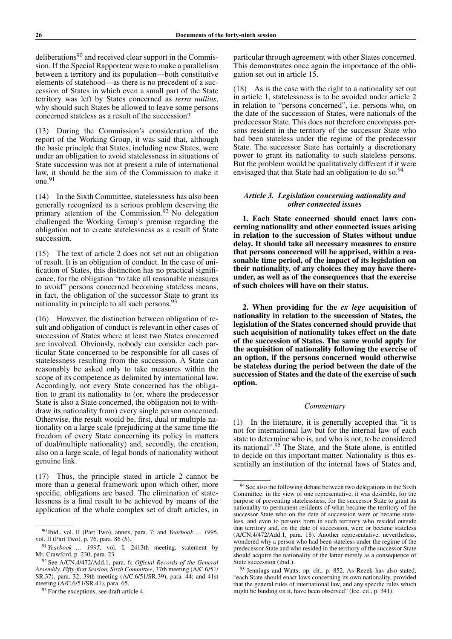deliberations<sup>90</sup> and received clear support in the Commission. If the Special Rapporteur were to make a parallelism between a territory and its population—both constitutive elements of statehood—as there is no precedent of a succession of States in which even a small part of the State territory was left by States concerned as *terra nullius*, why should such States be allowed to leave some persons concerned stateless as a result of the succession?

(13) During the Commission's consideration of the report of the Working Group, it was said that, although the basic principle that States, including new States, were under an obligation to avoid statelessness in situations of State succession was not at present a rule of international law, it should be the aim of the Commission to make it one.91

(14) In the Sixth Committee, statelessness has also been generally recognized as a serious problem deserving the primary attention of the Commission. $92$  No delegation challenged the Working Group's premise regarding the obligation not to create statelessness as a result of State succession.

(15) The text of article 2 does not set out an obligation of result. It is an obligation of conduct. In the case of unification of States, this distinction has no practical significance, for the obligation "to take all reasonable measures to avoid" persons concerned becoming stateless means, in fact, the obligation of the successor State to grant its nationality in principle to all such persons.<sup>93</sup>

(16) However, the distinction between obligation of result and obligation of conduct is relevant in other cases of succession of States where at least two States concerned are involved. Obviously, nobody can consider each particular State concerned to be responsible for all cases of statelessness resulting from the succession. A State can reasonably be asked only to take measures within the scope of its competence as delimited by international law. Accordingly, not every State concerned has the obligation to grant its nationality to (or, where the predecessor State is also a State concerned, the obligation not to withdraw its nationality from) every single person concerned. Otherwise, the result would be, first, dual or multiple nationality on a large scale (prejudicing at the same time the freedom of every State concerning its policy in matters of dual/multiple nationality) and, secondly, the creation, also on a large scale, of legal bonds of nationality without genuine link.

(17) Thus, the principle stated in article 2 cannot be more than a general framework upon which other, more specific, obligations are based. The elimination of statelessness is a final result to be achieved by means of the application of the whole complex set of draft articles, in

particular through agreement with other States concerned. This demonstrates once again the importance of the obligation set out in article 15.

(18) As is the case with the right to a nationality set out in article 1, statelessness is to be avoided under article 2 in relation to "persons concerned", i.e. persons who, on the date of the succession of States, were nationals of the predecessor State. This does not therefore encompass persons resident in the territory of the successor State who had been stateless under the regime of the predecessor State. The successor State has certainly a discretionary power to grant its nationality to such stateless persons. But the problem would be qualitatively different if it were envisaged that that State had an obligation to do so.<sup>94</sup>

# *Article 3. Legislation concerning nationality and other connected issues*

**1. Each State concerned should enact laws concerning nationality and other connected issues arising in relation to the succession of States without undue delay. It should take all necessary measures to ensure that persons concerned will be apprised, within a reasonable time period, of the impact of its legislation on their nationality, of any choices they may have thereunder, as well as of the consequences that the exercise of such choices will have on their status.**

**2. When providing for the** *ex lege* **acquisition of nationality in relation to the succession of States, the legislation of the States concerned should provide that such acquisition of nationality takes effect on the date of the succession of States. The same would apply for the acquisition of nationality following the exercise of an option, if the persons concerned would otherwise be stateless during the period between the date of the succession of States and the date of the exercise of such option.**

#### *Commentary*

(1) In the literature, it is generally accepted that "it is not for international law but for the internal law of each state to determine who is, and who is not, to be considered its national".95 The State, and the State alone, is entitled to decide on this important matter. Nationality is thus essentially an institution of the internal laws of States and,

<sup>90</sup> Ibid., vol. II (Part Two), annex, para. 7; and *Yearbook … 1996*, vol. II (Part Two), p. 76, para. 86 (*b*).

<sup>&</sup>lt;sup>91</sup>*Yearbook …* 1995, vol. I, 2413th meeting, statement by Mr. Crawford, p. 230, para. 23.

<sup>&</sup>lt;sup>92</sup> See A/CN.4/472/Add.1, para. 6; *Official Records of the General Assembly, Fifty-first Session, Sixth Committee*, 37th meeting (A/C.6/51/ SR.37), para. 32; 39th meeting (A/C.6/51/SR.39), para. 44; and 41st meeting (A/C.6/51/SR.41), para. 65.

<sup>&</sup>lt;sup>93</sup> For the exceptions, see draft article 4.

<sup>&</sup>lt;sup>94</sup> See also the following debate between two delegations in the Sixth Committee: in the view of one representative, it was desirable, for the purpose of preventing statelessness, for the successor State to grant its nationality to permanent residents of what became the territory of the successor State who on the date of succession were or became stateless, and even to persons born in such territory who resided outside that territory and, on the date of succession, were or became stateless (A/CN.4/472/Add.1, para. 18). Another representative, nevertheless, wondered why a person who had been stateless under the regime of the predecessor State and who resided in the territory of the successor State should acquire the nationality of the latter merely as a consequence of State succession (ibid.).

<sup>95</sup> Jennings and Watts, op. cit., p. 852. As Rezek has also stated, "each State should enact laws concerning its own nationality, provided that the general rules of international law, and any specific rules which might be binding on it, have been observed" (loc. cit., p. 341).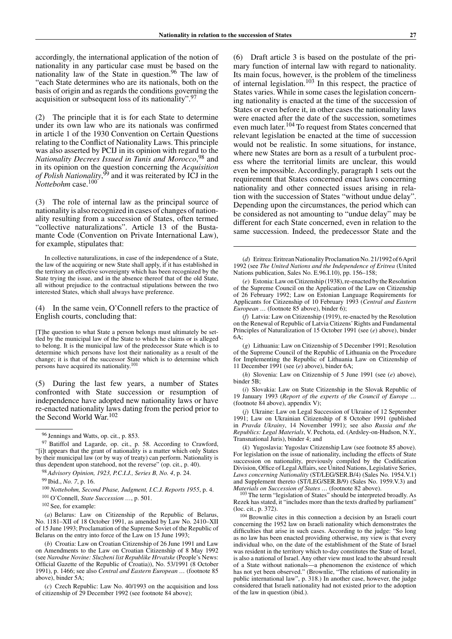accordingly, the international application of the notion of nationality in any particular case must be based on the nationality law of the State in question.<sup>96</sup> The law of "each State determines who are its nationals, both on the basis of origin and as regards the conditions governing the acquisition or subsequent loss of its nationality". $\frac{97}{100}$ 

(2) The principle that it is for each State to determine under its own law who are its nationals was confirmed in article 1 of the 1930 Convention on Certain Questions relating to the Conflict of Nationality Laws. This principle was also asserted by PCIJ in its opinion with regard to the *Nationality Decrees Issued in Tunis and Morocco*, 98 and in its opinion on the question concerning the *Acquisition of Polish Nationality*, 99 and it was reiterated by ICJ in the *Nottebohm* case.<sup>100</sup>

(3) The role of internal law as the principal source of nationality is also recognized in cases of changes of nationality resulting from a succession of States, often termed "collective naturalizations". Article 13 of the Bustamante Code (Convention on Private International Law), for example, stipulates that:

In collective naturalizations, in case of the independence of a State, the law of the acquiring or new State shall apply, if it has established in the territory an effective sovereignty which has been recognized by the State trying the issue, and in the absence thereof that of the old State, all without prejudice to the contractual stipulations between the two interested States, which shall always have preference.

(4) In the same vein, O'Connell refers to the practice of English courts, concluding that:

[T]he question to what State a person belongs must ultimately be settled by the municipal law of the State to which he claims or is alleged to belong. It is the municipal law of the predecessor State which is to determine which persons have lost their nationality as a result of the change; it is that of the successor State which is to determine which persons have acquired its nationality.<sup>101</sup>

(5) During the last few years, a number of States confronted with State succession or resumption of independence have adopted new nationality laws or have re-enacted nationality laws dating from the period prior to the Second World War.102

(*a*) Belarus: Law on Citizenship of the Republic of Belarus, No. 1181–XII of 18 October 1991, as amended by Law No. 2410–XII of 15 June 1993; Proclamation of the Supreme Soviet of the Republic of Belarus on the entry into force of the Law on 15 June 1993;

(*b*) Croatia: Law on Croatian Citizenship of 26 June 1991 and Law on Amendments to the Law on Croatian Citizenship of 8 May 1992 (see *Narodne Novine: Sluzbeni list Republike Hrvatske* (People's News: Official Gazette of the Republic of Croatia)), No. 53/1991 (8 October 1991), p. 1466; see also *Central and Eastern European …* (footnote 85 above), binder 5A;

(*c*) Czech Republic: Law No. 40/1993 on the acquisition and loss of citizenship of 29 December 1992 (see footnote 84 above);

(6) Draft article 3 is based on the postulate of the primary function of internal law with regard to nationality. Its main focus, however, is the problem of the timeliness of internal legislation.<sup>103</sup> In this respect, the practice of States varies. While in some cases the legislation concerning nationality is enacted at the time of the succession of States or even before it, in other cases the nationality laws were enacted after the date of the succession, sometimes even much later.<sup>104</sup> To request from States concerned that relevant legislation be enacted at the time of succession would not be realistic. In some situations, for instance, where new States are born as a result of a turbulent process where the territorial limits are unclear, this would even be impossible. Accordingly, paragraph 1 sets out the requirement that States concerned enact laws concerning nationality and other connected issues arising in relation with the succession of States "without undue delay". Depending upon the circumstances, the period which can be considered as not amounting to "undue delay" may be different for each State concerned, even in relation to the same succession. Indeed, the predecessor State and the

(*d*) Eritrea: Eritrean Nationality Proclamation No. 21/1992 of 6 April 1992 (see *The United Nations and the Independence of Eritrea* (United Nations publication, Sales No. E.96.I.10), pp. 156–158;

(*f*) Latvia: Law on Citizenship (1919), re-enacted by the Resolution on the Renewal of Republic of Latvia Citizens' Rights and Fundamental Principles of Naturalization of 15 October 1991 (see (*e*) above), binder 6A;

(*g*) Lithuania: Law on Citizenship of 5 December 1991; Resolution of the Supreme Council of the Republic of Lithuania on the Procedure for Implementing the Republic of Lithuania Law on Citizenship of 11 December 1991 (see (*e*) above), binder 6A;

(*h*) Slovenia: Law on Citizenship of 5 June 1991 (see (*e*) above), binder 5B;

(*i*) Slovakia: Law on State Citizenship in the Slovak Republic of 19 January 1993 (*Report of the experts of the Council of Europe …* (footnote 84 above), appendix V);

(*j*) Ukraine: Law on Legal Succession of Ukraine of 12 September 1991; Law on Ukrainian Citizenship of 8 October 1991 (published in *Pravda Ukrainy*, 14 November 1991); see also *Russia and the Republics: Legal Materials*, V. Pechota, ed. (Ardsley-on-Hudson, N.Y., Transnational Juris), binder 4; and

(*k*) Yugoslavia: Yugoslav Citizenship Law (see footnote 85 above). For legislation on the issue of nationality, including the effects of State succession on nationality, previously compiled by the Codification Division, Office of Legal Affairs, see United Nations, Legislative Series, *Laws concerning Nationality* (ST/LEG/SER.B/4) (Sales No. 1954.V.1) and Supplement thereto (ST/LEG/SER.B/9) (Sales No. 1959.V.3) and *Materials on Succession of States ...* (footnote 82 above). <sup>103</sup> The term "legislation of States" should be interpreted broadly. As

Rezek has stated, it "includes more than the texts drafted by parliament" (loc. cit., p. 372).

104 Brownlie cites in this connection a decision by an Israeli court concerning the 1952 law on Israeli nationality which demonstrates the difficulties that arise in such cases. According to the judge: "So long as no law has been enacted providing otherwise, my view is that every individual who, on the date of the establishment of the State of Israel was resident in the territory which to-day constitutes the State of Israel, is also a national of Israel. Any other view must lead to the absurd result of a State without nationals—a phenomenon the existence of which has not yet been observed." (Brownlie, "The relations of nationality in public international law", p. 318.) In another case, however, the judge considered that Israeli nationality had not existed prior to the adoption of the law in question (ibid.).

<sup>96</sup> Jennings and Watts, op. cit., p. 853.

<sup>&</sup>lt;sup>97</sup> Batiffol and Lagarde, op. cit., p. 58. According to Crawford, "[i]t appears that the grant of nationality is a matter which only States by their municipal law (or by way of treaty) can perform. Nationality is thus dependent upon statehood, not the reverse" (op. cit., p. 40).

<sup>98</sup> *Advisory Opinion, 1923, P.C.I.J., Series B, No. 4*, p. 24.

<sup>99</sup> Ibid., *No. 7*, p. 16.

<sup>100</sup> *Nottebohm, Second Phase, Judgment, I.C.J. Reports 1955*, p. 4.

<sup>101</sup> O'Connell, *State Succession …*, p. 501.

<sup>102</sup> See, for example:

<sup>(</sup>*e*) Estonia: Law on Citizenship (1938), re-enacted by the Resolution of the Supreme Council on the Application of the Law on Citizenship of 26 February 1992; Law on Estonian Language Requirements for Applicants for Citizenship of 10 February 1993 (*Central and Eastern European …* (footnote 85 above), binder 6);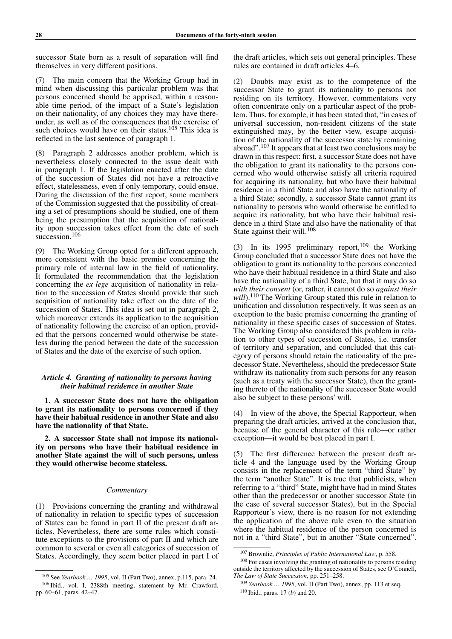successor State born as a result of separation will find themselves in very different positions.

(7) The main concern that the Working Group had in mind when discussing this particular problem was that persons concerned should be apprised, within a reasonable time period, of the impact of a State's legislation on their nationality, of any choices they may have thereunder, as well as of the consequences that the exercise of such choices would have on their status.<sup>105</sup> This idea is reflected in the last sentence of paragraph 1.

(8) Paragraph 2 addresses another problem, which is nevertheless closely connected to the issue dealt with in paragraph 1. If the legislation enacted after the date of the succession of States did not have a retroactive effect, statelessness, even if only temporary, could ensue. During the discussion of the first report, some members of the Commission suggested that the possibility of creating a set of presumptions should be studied, one of them being the presumption that the acquisition of nationality upon succession takes effect from the date of such succession.<sup>106</sup>

(9) The Working Group opted for a different approach, more consistent with the basic premise concerning the primary role of internal law in the field of nationality. It formulated the recommendation that the legislation concerning the *ex lege* acquisition of nationality in relation to the succession of States should provide that such acquisition of nationality take effect on the date of the succession of States. This idea is set out in paragraph 2, which moreover extends its application to the acquisition of nationality following the exercise of an option, provided that the persons concerned would otherwise be stateless during the period between the date of the succession of States and the date of the exercise of such option.

# *Article 4. Granting of nationality to persons having their habitual residence in another State*

**1. A successor State does not have the obligation to grant its nationality to persons concerned if they have their habitual residence in another State and also have the nationality of that State.**

**2. A successor State shall not impose its nationality on persons who have their habitual residence in another State against the will of such persons, unless they would otherwise become stateless.**

### *Commentary*

(1) Provisions concerning the granting and withdrawal of nationality in relation to specific types of succession of States can be found in part II of the present draft articles. Nevertheless, there are some rules which constitute exceptions to the provisions of part II and which are common to several or even all categories of succession of States. Accordingly, they seem better placed in part I of the draft articles, which sets out general principles. These rules are contained in draft articles 4–6.

(2) Doubts may exist as to the competence of the successor State to grant its nationality to persons not residing on its territory. However, commentators very often concentrate only on a particular aspect of the problem. Thus, for example, it has been stated that, "in cases of universal succession, non-resident citizens of the state extinguished may, by the better view, escape acquisition of the nationality of the successor state by remaining abroad".107 It appears that at least two conclusions may be drawn in this respect: first, a successor State does not have the obligation to grant its nationality to the persons concerned who would otherwise satisfy all criteria required for acquiring its nationality, but who have their habitual residence in a third State and also have the nationality of a third State; secondly, a successor State cannot grant its nationality to persons who would otherwise be entitled to acquire its nationality, but who have their habitual residence in a third State and also have the nationality of that State against their will.<sup>108</sup>

(3) In its 1995 preliminary report,  $109$  the Working Group concluded that a successor State does not have the obligation to grant its nationality to the persons concerned who have their habitual residence in a third State and also have the nationality of a third State, but that it may do so *with their consent* (or, rather, it cannot do so *against their will*).110 The Working Group stated this rule in relation to unification and dissolution respectively. It was seen as an exception to the basic premise concerning the granting of nationality in these specific cases of succession of States. The Working Group also considered this problem in relation to other types of succession of States, i.e. transfer of territory and separation, and concluded that this category of persons should retain the nationality of the predecessor State. Nevertheless, should the predecessor State withdraw its nationality from such persons for any reason (such as a treaty with the successor State), then the granting thereto of the nationality of the successor State would also be subject to these persons' will.

(4) In view of the above, the Special Rapporteur, when preparing the draft articles, arrived at the conclusion that, because of the general character of this rule—or rather exception—it would be best placed in part I.

(5) The first difference between the present draft article 4 and the language used by the Working Group consists in the replacement of the term "third State" by the term "another State". It is true that publicists, when referring to a "third" State, might have had in mind States other than the predecessor or another successor State (in the case of several successor States), but in the Special Rapporteur's view, there is no reason for not extending the application of the above rule even to the situation where the habitual residence of the person concerned is not in a "third State", but in another "State concerned".

<sup>105</sup> See *Yearbook … 1995*, vol. II (Part Two), annex, p.115, para. 24. <sup>106</sup> Ibid., vol. I, 2388th meeting, statement by Mr. Crawford, pp. 60–61, paras. 42–47.

<sup>107</sup> Brownlie, *Principles of Public International Law*, p. 558.

<sup>&</sup>lt;sup>108</sup> For cases involving the granting of nationality to persons residing outside the territory affected by the succession of States, see O'Connell, The Law of State Succession, pp. 251–258.

<sup>&</sup>lt;sup>109</sup> *Yearbook … 1995*, vol. II (Part Two), annex, pp. 113 et seq. 110 Ibid., paras. 17 (*b*) and 20.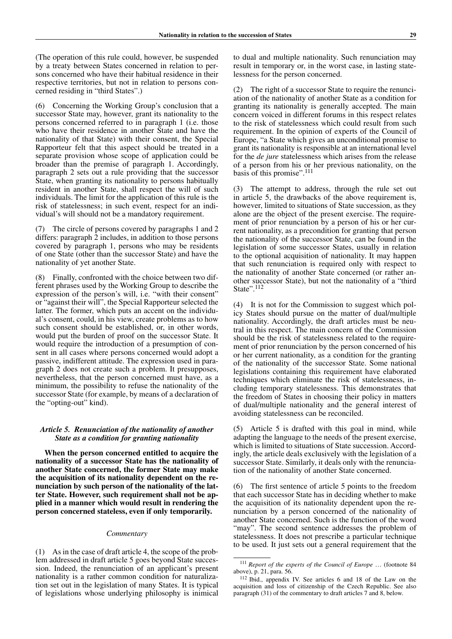(The operation of this rule could, however, be suspended by a treaty between States concerned in relation to persons concerned who have their habitual residence in their respective territories, but not in relation to persons concerned residing in "third States".)

(6) Concerning the Working Group's conclusion that a successor State may, however, grant its nationality to the persons concerned referred to in paragraph 1 (i.e. those who have their residence in another State and have the nationality of that State) with their consent, the Special Rapporteur felt that this aspect should be treated in a separate provision whose scope of application could be broader than the premise of paragraph 1. Accordingly, paragraph 2 sets out a rule providing that the successor State, when granting its nationality to persons habitually resident in another State, shall respect the will of such individuals. The limit for the application of this rule is the risk of statelessness; in such event, respect for an individual's will should not be a mandatory requirement.

(7) The circle of persons covered by paragraphs 1 and 2 differs: paragraph 2 includes, in addition to those persons covered by paragraph 1, persons who may be residents of one State (other than the successor State) and have the nationality of yet another State.

(8) Finally, confronted with the choice between two different phrases used by the Working Group to describe the expression of the person's will, i.e. "with their consent" or "against their will", the Special Rapporteur selected the latter. The former, which puts an accent on the individual's consent, could, in his view, create problems as to how such consent should be established, or, in other words, would put the burden of proof on the successor State. It would require the introduction of a presumption of consent in all cases where persons concerned would adopt a passive, indifferent attitude. The expression used in paragraph 2 does not create such a problem. It presupposes, nevertheless, that the person concerned must have, as a minimum, the possibility to refuse the nationality of the successor State (for example, by means of a declaration of the "opting-out" kind).

# *Article 5. Renunciation of the nationality of another State as a condition for granting nationality*

**When the person concerned entitled to acquire the nationality of a successor State has the nationality of another State concerned, the former State may make the acquisition of its nationality dependent on the renunciation by such person of the nationality of the latter State. However, such requirement shall not be applied in a manner which would result in rendering the person concerned stateless, even if only temporarily.**

# *Commentary*

(1) As in the case of draft article 4, the scope of the problem addressed in draft article 5 goes beyond State succession. Indeed, the renunciation of an applicant's present nationality is a rather common condition for naturalization set out in the legislation of many States. It is typical of legislations whose underlying philosophy is inimical

to dual and multiple nationality. Such renunciation may result in temporary or, in the worst case, in lasting statelessness for the person concerned.

(2) The right of a successor State to require the renunciation of the nationality of another State as a condition for granting its nationality is generally accepted. The main concern voiced in different forums in this respect relates to the risk of statelessness which could result from such requirement. In the opinion of experts of the Council of Europe, "a State which gives an unconditional promise to grant its nationality is responsible at an international level for the *de jure* statelessness which arises from the release of a person from his or her previous nationality, on the basis of this promise".111

(3) The attempt to address, through the rule set out in article 5, the drawbacks of the above requirement is, however, limited to situations of State succession, as they alone are the object of the present exercise. The requirement of prior renunciation by a person of his or her current nationality, as a precondition for granting that person the nationality of the successor State, can be found in the legislation of some successor States, usually in relation to the optional acquisition of nationality. It may happen that such renunciation is required only with respect to the nationality of another State concerned (or rather another successor State), but not the nationality of a "third State".<sup>112</sup>

(4) It is not for the Commission to suggest which policy States should pursue on the matter of dual/multiple nationality. Accordingly, the draft articles must be neutral in this respect. The main concern of the Commission should be the risk of statelessness related to the requirement of prior renunciation by the person concerned of his or her current nationality, as a condition for the granting of the nationality of the successor State. Some national legislations containing this requirement have elaborated techniques which eliminate the risk of statelessness, including temporary statelessness. This demonstrates that the freedom of States in choosing their policy in matters of dual/multiple nationality and the general interest of avoiding statelessness can be reconciled.

(5) Article 5 is drafted with this goal in mind, while adapting the language to the needs of the present exercise, which is limited to situations of State succession. Accordingly, the article deals exclusively with the legislation of a successor State. Similarly, it deals only with the renunciation of the nationality of another State concerned.

(6) The first sentence of article 5 points to the freedom that each successor State has in deciding whether to make the acquisition of its nationality dependent upon the renunciation by a person concerned of the nationality of another State concerned. Such is the function of the word "may". The second sentence addresses the problem of statelessness. It does not prescribe a particular technique to be used. It just sets out a general requirement that the

<sup>111</sup> *Report of the experts of the Council of Europe* … (footnote 84 above), p. 21, para. 56.

<sup>112</sup> Ibid., appendix IV. See articles 6 and 18 of the Law on the acquisition and loss of citizenship of the Czech Republic. See also paragraph (31) of the commentary to draft articles 7 and 8, below.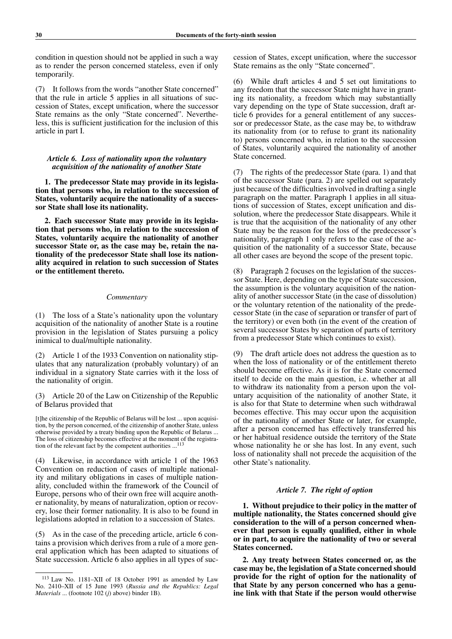condition in question should not be applied in such a way as to render the person concerned stateless, even if only temporarily.

(7) It follows from the words "another State concerned" that the rule in article 5 applies in all situations of succession of States, except unification, where the successor State remains as the only "State concerned". Nevertheless, this is sufficient justification for the inclusion of this article in part I.

# *Article 6. Loss of nationality upon the voluntary acquisition of the nationality of another State*

**1. The predecessor State may provide in its legislation that persons who, in relation to the succession of States, voluntarily acquire the nationality of a successor State shall lose its nationality.**

**2. Each successor State may provide in its legislation that persons who, in relation to the succession of States, voluntarily acquire the nationality of another successor State or, as the case may be, retain the nationality of the predecessor State shall lose its nationality acquired in relation to such succession of States or the entitlement thereto.**

### *Commentary*

(1) The loss of a State's nationality upon the voluntary acquisition of the nationality of another State is a routine provision in the legislation of States pursuing a policy inimical to dual/multiple nationality.

(2) Article 1 of the 1933 Convention on nationality stipulates that any naturalization (probably voluntary) of an individual in a signatory State carries with it the loss of the nationality of origin.

(3) Article 20 of the Law on Citizenship of the Republic of Belarus provided that

[t]he citizenship of the Republic of Belarus will be lost ... upon acquisition, by the person concerned, of the citizenship of another State, unless otherwise provided by a treaty binding upon the Republic of Belarus ... The loss of citizenship becomes effective at the moment of the registration of the relevant fact by the competent authorities ...<sup>113</sup>

(4) Likewise, in accordance with article 1 of the 1963 Convention on reduction of cases of multiple nationality and military obligations in cases of multiple nationality, concluded within the framework of the Council of Europe, persons who of their own free will acquire another nationality, by means of naturalization, option or recovery, lose their former nationality. It is also to be found in legislations adopted in relation to a succession of States.

(5) As in the case of the preceding article, article 6 contains a provision which derives from a rule of a more general application which has been adapted to situations of State succession. Article 6 also applies in all types of succession of States, except unification, where the successor State remains as the only "State concerned".

(6) While draft articles 4 and 5 set out limitations to any freedom that the successor State might have in granting its nationality, a freedom which may substantially vary depending on the type of State succession, draft article 6 provides for a general entitlement of any successor or predecessor State, as the case may be, to withdraw its nationality from (or to refuse to grant its nationality to) persons concerned who, in relation to the succession of States, voluntarily acquired the nationality of another State concerned.

(7) The rights of the predecessor State (para. 1) and that of the successor State (para. 2) are spelled out separately just because of the difficulties involved in drafting a single paragraph on the matter. Paragraph 1 applies in all situations of succession of States, except unification and dissolution, where the predecessor State disappears. While it is true that the acquisition of the nationality of any other State may be the reason for the loss of the predecessor's nationality, paragraph 1 only refers to the case of the acquisition of the nationality of a successor State, because all other cases are beyond the scope of the present topic.

(8) Paragraph 2 focuses on the legislation of the successor State. Here, depending on the type of State succession, the assumption is the voluntary acquisition of the nationality of another successor State (in the case of dissolution) or the voluntary retention of the nationality of the predecessor State (in the case of separation or transfer of part of the territory) or even both (in the event of the creation of several successor States by separation of parts of territory from a predecessor State which continues to exist).

(9) The draft article does not address the question as to when the loss of nationality or of the entitlement thereto should become effective. As it is for the State concerned itself to decide on the main question, i.e. whether at all to withdraw its nationality from a person upon the voluntary acquisition of the nationality of another State, it is also for that State to determine when such withdrawal becomes effective. This may occur upon the acquisition of the nationality of another State or later, for example, after a person concerned has effectively transferred his or her habitual residence outside the territory of the State whose nationality he or she has lost. In any event, such loss of nationality shall not precede the acquisition of the other State's nationality.

### *Article 7. The right of option*

**1. Without prejudice to their policy in the matter of multiple nationality, the States concerned should give consideration to the will of a person concerned whenever that person is equally qualified, either in whole or in part, to acquire the nationality of two or several States concerned.**

**2. Any treaty between States concerned or, as the case may be, the legislation of a State concerned should provide for the right of option for the nationality of that State by any person concerned who has a genuine link with that State if the person would otherwise** 

<sup>113</sup> Law No. 1181–XII of 18 October 1991 as amended by Law No. 2410–XII of 15 June 1993 (*Russia and the Republics: Legal Materials* ... (footnote 102 (*j*) above) binder 1B).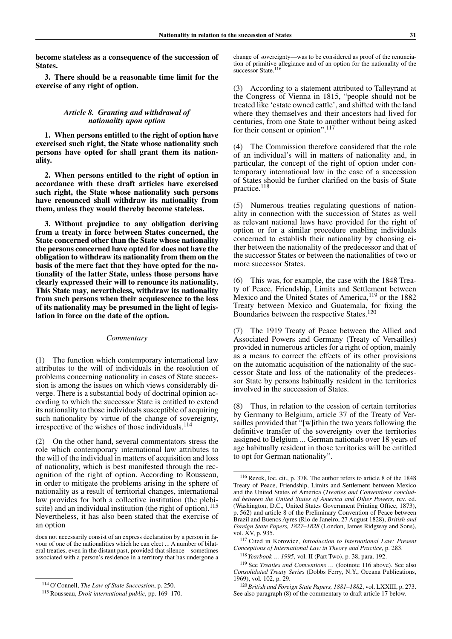**become stateless as a consequence of the succession of States.**

**3. There should be a reasonable time limit for the exercise of any right of option.** 

# *Article 8. Granting and withdrawal of nationality upon option*

**1. When persons entitled to the right of option have exercised such right, the State whose nationality such persons have opted for shall grant them its nationality.**

**2. When persons entitled to the right of option in accordance with these draft articles have exercised such right, the State whose nationality such persons have renounced shall withdraw its nationality from them, unless they would thereby become stateless.**

**3. Without prejudice to any obligation deriving from a treaty in force between States concerned, the State concerned other than the State whose nationality the persons concerned have opted for does not have the obligation to withdraw its nationality from them on the basis of the mere fact that they have opted for the nationality of the latter State, unless those persons have clearly expressed their will to renounce its nationality. This State may, nevertheless, withdraw its nationality from such persons when their acquiescence to the loss of its nationality may be presumed in the light of legislation in force on the date of the option.**

#### *Commentary*

(1) The function which contemporary international law attributes to the will of individuals in the resolution of problems concerning nationality in cases of State succession is among the issues on which views considerably diverge. There is a substantial body of doctrinal opinion according to which the successor State is entitled to extend its nationality to those individuals susceptible of acquiring such nationality by virtue of the change of sovereignty, irrespective of the wishes of those individuals.<sup>114</sup>

(2) On the other hand, several commentators stress the role which contemporary international law attributes to the will of the individual in matters of acquisition and loss of nationality, which is best manifested through the recognition of the right of option. According to Rousseau, in order to mitigate the problems arising in the sphere of nationality as a result of territorial changes, international law provides for both a collective institution (the plebiscite) and an individual institution (the right of option).<sup>115</sup> Nevertheless, it has also been stated that the exercise of an option

change of sovereignty—was to be considered as proof of the renunciation of primitive allegiance and of an option for the nationality of the successor State.<sup>116</sup>

(3) According to a statement attributed to Talleyrand at the Congress of Vienna in 1815, "people should not be treated like 'estate owned cattle', and shifted with the land where they themselves and their ancestors had lived for centuries, from one State to another without being asked for their consent or opinion".<sup>117</sup>

(4) The Commission therefore considered that the role of an individual's will in matters of nationality and, in particular, the concept of the right of option under contemporary international law in the case of a succession of States should be further clarified on the basis of State practice.118

(5) Numerous treaties regulating questions of nationality in connection with the succession of States as well as relevant national laws have provided for the right of option or for a similar procedure enabling individuals concerned to establish their nationality by choosing either between the nationality of the predecessor and that of the successor States or between the nationalities of two or more successor States.

(6) This was, for example, the case with the 1848 Treaty of Peace, Friendship, Limits and Settlement between Mexico and the United States of America,<sup>119</sup> or the 1882 Treaty between Mexico and Guatemala, for fixing the Boundaries between the respective States.120

(7) The 1919 Treaty of Peace between the Allied and Associated Powers and Germany (Treaty of Versailles) provided in numerous articles for a right of option, mainly as a means to correct the effects of its other provisions on the automatic acquisition of the nationality of the successor State and loss of the nationality of the predecessor State by persons habitually resident in the territories involved in the succession of States.

(8) Thus, in relation to the cession of certain territories by Germany to Belgium, article 37 of the Treaty of Versailles provided that "[w]ithin the two years following the definitive transfer of the sovereignty over the territories assigned to Belgium ... German nationals over 18 years of age habitually resident in those territories will be entitled to opt for German nationality".

does not necessarily consist of an express declaration by a person in favour of one of the nationalities which he can elect ... A number of bilateral treaties, even in the distant past, provided that silence—sometimes associated with a person's residence in a territory that has undergone a

<sup>114</sup> O'Connell, *The Law of State Succession*, p. 250.

<sup>115</sup> Rousseau, *Droit international public*, pp. 169–170.

<sup>116</sup> Rezek, loc. cit., p. 378. The author refers to article 8 of the 1848 Treaty of Peace, Friendship, Limits and Settlement between Mexico and the United States of America (*Treaties and Conventions concluded between the United States of America and Other Powers*, rev. ed. (Washington, D.C., United States Government Printing Office, 1873), p. 562) and article 8 of the Preliminary Convention of Peace between Brazil and Buenos Ayres (Rio de Janeiro, 27 August 1828), *British and Foreign State Papers, 1827–1828* (London, James Ridgway and Sons), vol. XV, p. 935.

<sup>117</sup> Cited in Korowicz, *Introduction to International Law: Present Conceptions of International Law in Theory and Practice*, p. 283.

<sup>118</sup>*Yearbook … 1995*, vol. II (Part Two), p. 38, para. 192.

<sup>119</sup> See *Treaties and Conventions …* (footnote 116 above). See also *Consolidated Treaty Series* (Dobbs Ferry, N.Y., Oceana Publications, 1969), vol. 102, p. 29.

<sup>120</sup>*British and Foreign State Papers, 1881–1882*, vol. LXXIII, p. 273. See also paragraph (8) of the commentary to draft article 17 below.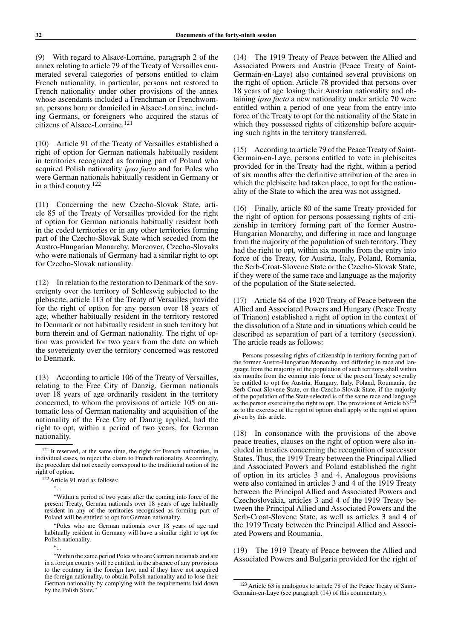(9) With regard to Alsace-Lorraine, paragraph 2 of the annex relating to article 79 of the Treaty of Versailles enumerated several categories of persons entitled to claim French nationality, in particular, persons not restored to French nationality under other provisions of the annex whose ascendants included a Frenchman or Frenchwoman, persons born or domiciled in Alsace-Lorraine, including Germans, or foreigners who acquired the status of citizens of Alsace-Lorraine.121

(10) Article 91 of the Treaty of Versailles established a right of option for German nationals habitually resident in territories recognized as forming part of Poland who acquired Polish nationality *ipso facto* and for Poles who were German nationals habitually resident in Germany or in a third country.122

(11) Concerning the new Czecho-Slovak State, article 85 of the Treaty of Versailles provided for the right of option for German nationals habitually resident both in the ceded territories or in any other territories forming part of the Czecho-Slovak State which seceded from the Austro-Hungarian Monarchy. Moreover, Czecho-Slovaks who were nationals of Germany had a similar right to opt for Czecho-Slovak nationality.

(12) In relation to the restoration to Denmark of the sovereignty over the territory of Schleswig subjected to the plebiscite, article 113 of the Treaty of Versailles provided for the right of option for any person over 18 years of age, whether habitually resident in the territory restored to Denmark or not habitually resident in such territory but born therein and of German nationality. The right of option was provided for two years from the date on which the sovereignty over the territory concerned was restored to Denmark.

(13) According to article 106 of the Treaty of Versailles, relating to the Free City of Danzig, German nationals over 18 years of age ordinarily resident in the territory concerned, to whom the provisions of article 105 on automatic loss of German nationality and acquisition of the nationality of the Free City of Danzig applied, had the right to opt, within a period of two years, for German nationality.

"Within a period of two years after the coming into force of the present Treaty, German nationals over 18 years of age habitually resident in any of the territories recognised as forming part of Poland will be entitled to opt for German nationality.

"Poles who are German nationals over 18 years of age and habitually resident in Germany will have a similar right to opt for Polish nationality. "...

(14) The 1919 Treaty of Peace between the Allied and Associated Powers and Austria (Peace Treaty of Saint-Germain-en-Laye) also contained several provisions on the right of option. Article 78 provided that persons over 18 years of age losing their Austrian nationality and obtaining *ipso facto* a new nationality under article 70 were entitled within a period of one year from the entry into force of the Treaty to opt for the nationality of the State in which they possessed rights of citizenship before acquiring such rights in the territory transferred.

(15) According to article 79 of the Peace Treaty of Saint-Germain-en-Laye, persons entitled to vote in plebiscites provided for in the Treaty had the right, within a period of six months after the definitive attribution of the area in which the plebiscite had taken place, to opt for the nationality of the State to which the area was not assigned.

(16) Finally, article 80 of the same Treaty provided for the right of option for persons possessing rights of citizenship in territory forming part of the former Austro-Hungarian Monarchy, and differing in race and language from the majority of the population of such territory. They had the right to opt, within six months from the entry into force of the Treaty, for Austria, Italy, Poland, Romania, the Serb-Croat-Slovene State or the Czecho-Slovak State, if they were of the same race and language as the majority of the population of the State selected.

(17) Article 64 of the 1920 Treaty of Peace between the Allied and Associated Powers and Hungary (Peace Treaty of Trianon) established a right of option in the context of the dissolution of a State and in situations which could be described as separation of part of a territory (secession). The article reads as follows:

Persons possessing rights of citizenship in territory forming part of the former Austro-Hungarian Monarchy, and differing in race and language from the majority of the population of such territory, shall within six months from the coming into force of the present Treaty severally be entitled to opt for Austria, Hungary, Italy, Poland, Roumania, the Serb-Croat-Slovene State, or the Czecho-Slovak State, if the majority of the population of the State selected is of the same race and language as the person exercising the right to opt. The provisions of Article 63<sup>123</sup> as to the exercise of the right of option shall apply to the right of option given by this article.

(18) In consonance with the provisions of the above peace treaties, clauses on the right of option were also included in treaties concerning the recognition of successor States. Thus, the 1919 Treaty between the Principal Allied and Associated Powers and Poland established the right of option in its articles 3 and 4. Analogous provisions were also contained in articles 3 and 4 of the 1919 Treaty between the Principal Allied and Associated Powers and Czechoslovakia, articles 3 and 4 of the 1919 Treaty between the Principal Allied and Associated Powers and the Serb-Croat-Slovene State, as well as articles 3 and 4 of the 1919 Treaty between the Principal Allied and Associated Powers and Roumania.

(19) The 1919 Treaty of Peace between the Allied and Associated Powers and Bulgaria provided for the right of

<sup>&</sup>lt;sup>121</sup> It reserved, at the same time, the right for French authorities, in individual cases, to reject the claim to French nationality. Accordingly, the procedure did not exactly correspond to the traditional notion of the right of option.

<sup>122</sup> Article 91 read as follows:

 $\alpha$ 

<sup>&</sup>quot;Within the same period Poles who are German nationals and are in a foreign country will be entitled, in the absence of any provisions to the contrary in the foreign law, and if they have not acquired the foreign nationality, to obtain Polish nationality and to lose their German nationality by complying with the requirements laid down

 $123$  Article 63 is analogous to article 78 of the Peace Treaty of Saint-Germain-en-Laye (see paragraph (14) of this commentary).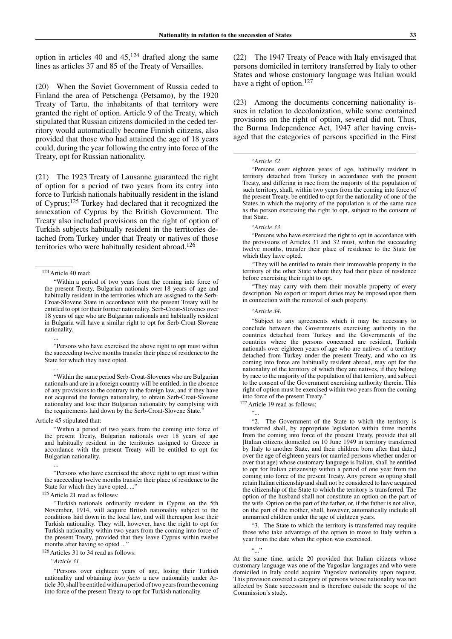option in articles 40 and  $45$ ,  $124$  drafted along the same lines as articles 37 and 85 of the Treaty of Versailles.

(20) When the Soviet Government of Russia ceded to Finland the area of Petschenga (Petsamo), by the 1920 Treaty of Tartu, the inhabitants of that territory were granted the right of option. Article 9 of the Treaty, which stipulated that Russian citizens domiciled in the ceded territory would automatically become Finnish citizens, also provided that those who had attained the age of 18 years could, during the year following the entry into force of the Treaty, opt for Russian nationality.

(21) The 1923 Treaty of Lausanne guaranteed the right of option for a period of two years from its entry into force to Turkish nationals habitually resident in the island of Cyprus;125 Turkey had declared that it recognized the annexation of Cyprus by the British Government. The Treaty also included provisions on the right of option of Turkish subjects habitually resident in the territories detached from Turkey under that Treaty or natives of those territories who were habitually resident abroad.<sup>126</sup>

...

...

...

"Persons who have exercised the above right to opt must within the succeeding twelve months transfer their place of residence to the State for which they have opted.

"Within the same period Serb-Croat-Slovenes who are Bulgarian nationals and are in a foreign country will be entitled, in the absence of any provisions to the contrary in the foreign law, and if they have not acquired the foreign nationality, to obtain Serb-Croat-Slovene nationality and lose their Bulgarian nationality by complying with the requirements laid down by the Serb-Croat-Slovene State.

#### Article 45 stipulated that:

"Within a period of two years from the coming into force of the present Treaty, Bulgarian nationals over 18 years of age and habitually resident in the territories assigned to Greece in accordance with the present Treaty will be entitled to opt for Bulgarian nationality.

"Persons who have exercised the above right to opt must within the succeeding twelve months transfer their place of residence to the State for which they have opted. ..."

125 Article 21 read as follows:

"Turkish nationals ordinarily resident in Cyprus on the 5th November, 1914, will acquire British nationality subject to the conditions laid down in the local law, and will thereupon lose their Turkish nationality. They will, however, have the right to opt for Turkish nationality within two years from the coming into force of the present Treaty, provided that they leave Cyprus within twelve months after having so opted ...

126 Articles 31 to 34 read as follows:

"*Article 31*.

"Persons over eighteen years of age, losing their Turkish nationality and obtaining *ipso facto* a new nationality under Article 30, shall be entitled within a period of two years from the coming into force of the present Treaty to opt for Turkish nationality.

(22) The 1947 Treaty of Peace with Italy envisaged that persons domiciled in territory transferred by Italy to other States and whose customary language was Italian would have a right of option.<sup>127</sup>

(23) Among the documents concerning nationality issues in relation to decolonization, while some contained provisions on the right of option, several did not. Thus, the Burma Independence Act, 1947 after having envisaged that the categories of persons specified in the First

### "*Article 32*.

"Persons over eighteen years of age, habitually resident in territory detached from Turkey in accordance with the present Treaty, and differing in race from the majority of the population of such territory, shall, within two years from the coming into force of the present Treaty, be entitled to opt for the nationality of one of the States in which the majority of the population is of the same race as the person exercising the right to opt, subject to the consent of that State.

### "*Article 33*.

"Persons who have exercised the right to opt in accordance with the provisions of Articles 31 and 32 must, within the succeeding twelve months, transfer their place of residence to the State for which they have opted.

"They will be entitled to retain their immovable property in the territory of the other State where they had their place of residence before exercising their right to opt.

"They may carry with them their movable property of every description. No export or import duties may be imposed upon them in connection with the removal of such property.

"*Article 34*.

"Subject to any agreements which it may be necessary to conclude between the Governments exercising authority in the countries detached from Turkey and the Governments of the countries where the persons concerned are resident, Turkish nationals over eighteen years of age who are natives of a territory detached from Turkey under the present Treaty, and who on its coming into force are habitually resident abroad, may opt for the nationality of the territory of which they are natives, if they belong by race to the majority of the population of that territory, and subject to the consent of the Government exercising authority therein. This right of option must be exercised within two years from the coming into force of the present Treaty."

127 Article 19 read as follows: "...

 $\ldots$ "

"2. The Government of the State to which the territory is transferred shall, by appropriate legislation within three months from the coming into force of the present Treaty, provide that all [Italian citizens domiciled on 10 June 1949 in territory transferred by Italy to another State, and their children born after that date,] over the age of eighteen years (or married persons whether under or over that age) whose customary language is Italian, shall be entitled to opt for Italian citizenship within a period of one year from the coming into force of the present Treaty. Any person so opting shall retain Italian citizenship and shall not be considered to have acquired the citizenship of the State to which the territory is transferred. The option of the husband shall not constitute an option on the part of the wife. Option on the part of the father, or, if the father is not alive, on the part of the mother, shall, however, automatically include all unmarried children under the age of eighteen years.

"3. The State to which the territory is transferred may require those who take advantage of the option to move to Italy within a year from the date when the option was exercised.

At the same time, article 20 provided that Italian citizens whose customary language was one of the Yugoslav languages and who were domiciled in Italy could acquire Yugoslav nationality upon request. This provision covered a category of persons whose nationality was not affected by State succession and is therefore outside the scope of the Commission's study.

<sup>124</sup> Article 40 read:

<sup>&</sup>quot;Within a period of two years from the coming into force of the present Treaty, Bulgarian nationals over 18 years of age and habitually resident in the territories which are assigned to the Serb-Croat-Slovene State in accordance with the present Treaty will be entitled to opt for their former nationality. Serb-Croat-Slovenes over 18 years of age who are Bulgarian nationals and habitually resident in Bulgaria will have a similar right to opt for Serb-Croat-Slovene nationality.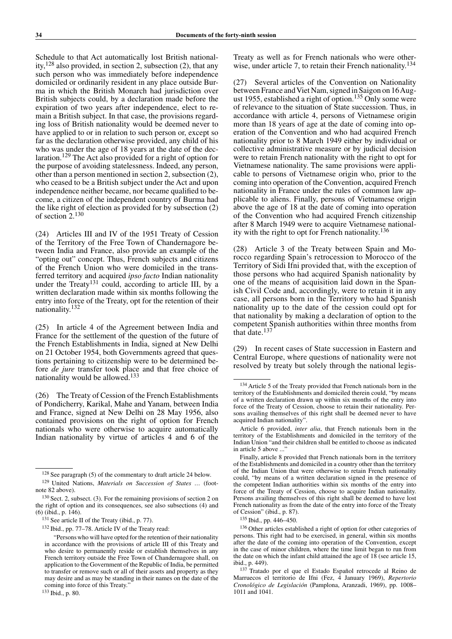Schedule to that Act automatically lost British nationality,<sup>128</sup> also provided, in section 2, subsection  $(2)$ , that any such person who was immediately before independence domiciled or ordinarily resident in any place outside Burma in which the British Monarch had jurisdiction over British subjects could, by a declaration made before the expiration of two years after independence, elect to remain a British subject. In that case, the provisions regarding loss of British nationality would be deemed never to have applied to or in relation to such person or, except so far as the declaration otherwise provided, any child of his who was under the age of 18 years at the date of the declaration.129 The Act also provided for a right of option for the purpose of avoiding statelessness. Indeed, any person, other than a person mentioned in section 2, subsection (2), who ceased to be a British subject under the Act and upon independence neither became, nor became qualified to become, a citizen of the independent country of Burma had the like right of election as provided for by subsection (2) of section 2.130

(24) Articles III and IV of the 1951 Treaty of Cession of the Territory of the Free Town of Chandernagore between India and France, also provide an example of the "opting out" concept. Thus, French subjects and citizens of the French Union who were domiciled in the transferred territory and acquired *ipso facto* Indian nationality under the Treaty<sup>131</sup> could, according to article III, by a written declaration made within six months following the entry into force of the Treaty, opt for the retention of their nationality.132

(25) In article 4 of the Agreement between India and France for the settlement of the question of the future of the French Establishments in India, signed at New Delhi on 21 October 1954, both Governments agreed that questions pertaining to citizenship were to be determined before *de jure* transfer took place and that free choice of nationality would be allowed.133

(26) The Treaty of Cession of the French Establishments of Pondicherry, Karikal, Mahe and Yanam, between India and France, signed at New Delhi on 28 May 1956, also contained provisions on the right of option for French nationals who were otherwise to acquire automatically Indian nationality by virtue of articles 4 and 6 of the

Treaty as well as for French nationals who were otherwise, under article 7, to retain their French nationality.<sup>134</sup>

(27) Several articles of the Convention on Nationality between France and Viet Nam, signed in Saigon on 16 August 1955, established a right of option.<sup>135</sup> Only some were of relevance to the situation of State succession. Thus, in accordance with article 4, persons of Vietnamese origin more than 18 years of age at the date of coming into operation of the Convention and who had acquired French nationality prior to 8 March 1949 either by individual or collective administrative measure or by judicial decision were to retain French nationality with the right to opt for Vietnamese nationality. The same provisions were applicable to persons of Vietnamese origin who, prior to the coming into operation of the Convention, acquired French nationality in France under the rules of common law applicable to aliens. Finally, persons of Vietnamese origin above the age of 18 at the date of coming into operation of the Convention who had acquired French citizenship after 8 March 1949 were to acquire Vietnamese nationality with the right to opt for French nationality.136

(28) Article 3 of the Treaty between Spain and Morocco regarding Spain's retrocession to Morocco of the Territory of Sidi Ifni provided that, with the exception of those persons who had acquired Spanish nationality by one of the means of acquisition laid down in the Spanish Civil Code and, accordingly, were to retain it in any case, all persons born in the Territory who had Spanish nationality up to the date of the cession could opt for that nationality by making a declaration of option to the competent Spanish authorities within three months from that date. $137$ 

(29) In recent cases of State succession in Eastern and Central Europe, where questions of nationality were not resolved by treaty but solely through the national legis-

135 Ibid., pp. 446–450.

<sup>128</sup> See paragraph (5) of the commentary to draft article 24 below.

<sup>129</sup> United Nations, *Materials on Succession of States …* (footnote 82 above).

<sup>130</sup> Sect. 2, subsect. (3). For the remaining provisions of section 2 on the right of option and its consequences, see also subsections (4) and (6) (ibid., p. 146).

<sup>131</sup> See article II of the Treaty (ibid., p. 77).

<sup>132</sup> Ibid., pp. 77–78. Article IV of the Treaty read:

<sup>&</sup>quot;Personswho will have opted for the retention of their nationality in accordance with the provisions of article III of this Treaty and who desire to permanently reside or establish themselves in any French territory outside the Free Town of Chandernagore shall, on application to the Government of the Republic of India, be permitted to transfer or remove such or all of their assets and property as they may desire and as may be standing in their names on the date of the coming into force of this Treaty."

<sup>133</sup> Ibid., p. 80.

<sup>134</sup> Article 5 of the Treaty provided that French nationals born in the territory of the Establishments and domiciled therein could, "by means of a written declaration drawn up within six months of the entry into force of the Treaty of Cession, choose to retain their nationality. Persons availing themselves of this right shall be deemed never to have acquired Indian nationality".

Article 6 provided, *inter alia*, that French nationals born in the territory of the Establishments and domiciled in the territory of the Indian Union "and their children shall be entitled to choose as indicated in article 5 above ...

Finally, article 8 provided that French nationals born in the territory of the Establishments and domiciled in a country other than the territory of the Indian Union that were otherwise to retain French nationality could, "by means of a written declaration signed in the presence of the competent Indian authorities within six months of the entry into force of the Treaty of Cession, choose to acquire Indian nationality. Persons availing themselves of this right shall be deemed to have lost French nationality as from the date of the entry into force of the Treaty of Cession" (ibid., p. 87).

<sup>136</sup> Other articles established a right of option for other categories of persons. This right had to be exercised, in general, within six months after the date of the coming into operation of the Convention, except in the case of minor children, where the time limit began to run from the date on which the infant child attained the age of 18 (see article 15, ibid., p. 449).

<sup>137</sup> Tratado por el que el Estado Español retrocede al Reino de Marruecos el territorio de Ifni (Fez, 4 January 1969), *Repertorio Cronológico de Legislación* (Pamplona, Aranzadi, 1969), pp. 1008– 1011 and 1041.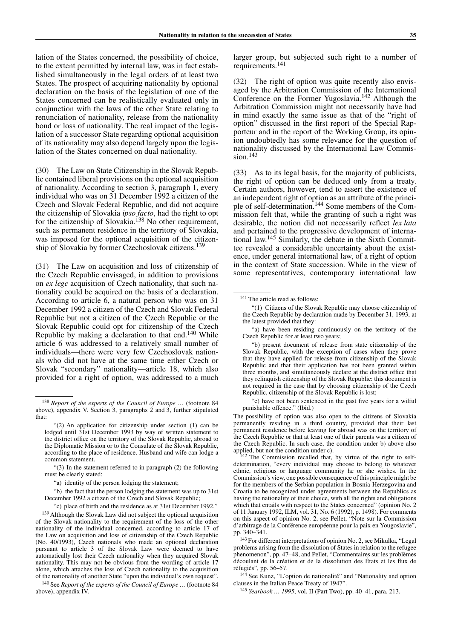lation of the States concerned, the possibility of choice, to the extent permitted by internal law, was in fact established simultaneously in the legal orders of at least two States. The prospect of acquiring nationality by optional declaration on the basis of the legislation of one of the States concerned can be realistically evaluated only in conjunction with the laws of the other State relating to renunciation of nationality, release from the nationality bond or loss of nationality. The real impact of the legislation of a successor State regarding optional acquisition of its nationality may also depend largely upon the legislation of the States concerned on dual nationality.

(30) The Law on State Citizenship in the Slovak Republic contained liberal provisions on the optional acquisition of nationality. According to section 3, paragraph 1, every individual who was on 31 December 1992 a citizen of the Czech and Slovak Federal Republic, and did not acquire the citizenship of Slovakia *ipso facto*, had the right to opt for the citizenship of Slovakia.<sup>138</sup> No other requirement, such as permanent residence in the territory of Slovakia, was imposed for the optional acquisition of the citizenship of Slovakia by former Czechoslovak citizens.<sup>139</sup>

(31) The Law on acquisition and loss of citizenship of the Czech Republic envisaged, in addition to provisions on *ex lege* acquisition of Czech nationality, that such nationality could be acquired on the basis of a declaration. According to article 6, a natural person who was on 31 December 1992 a citizen of the Czech and Slovak Federal Republic but not a citizen of the Czech Republic or the Slovak Republic could opt for citizenship of the Czech Republic by making a declaration to that end.140 While article 6 was addressed to a relatively small number of individuals—there were very few Czechoslovak nationals who did not have at the same time either Czech or Slovak "secondary" nationality—article 18, which also provided for a right of option, was addressed to a much larger group, but subjected such right to a number of requirements.141

(32) The right of option was quite recently also envisaged by the Arbitration Commission of the International Conference on the Former Yugoslavia.142 Although the Arbitration Commission might not necessarily have had in mind exactly the same issue as that of the "right of option" discussed in the first report of the Special Rapporteur and in the report of the Working Group, its opinion undoubtedly has some relevance for the question of nationality discussed by the International Law Commission.<sup>143</sup>

(33) As to its legal basis, for the majority of publicists, the right of option can be deduced only from a treaty. Certain authors, however, tend to assert the existence of an independent right of option as an attribute of the principle of self-determination.144 Some members of the Commission felt that, while the granting of such a right was desirable, the notion did not necessarily reflect *lex lata* and pertained to the progressive development of international law.145 Similarly, the debate in the Sixth Committee revealed a considerable uncertainty about the existence, under general international law, of a right of option in the context of State succession. While in the view of some representatives, contemporary international law

"a) have been residing continuously on the territory of the Czech Republic for at least two years;

"c) have not been sentenced in the past five years for a wilful punishable offence." (Ibid.)

The possibility of option was also open to the citizens of Slovakia permanently residing in a third country, provided that their last permanent residence before leaving for abroad was on the territory of the Czech Republic or that at least one of their parents was a citizen of the Czech Republic. In such case, the condition under b) above also

applied, but not the condition under c). 142 The Commission recalled that, by virtue of the right to selfdetermination, "every individual may choose to belong to whatever ethnic, religious or language community he or she wishes. In the Commission's view, one possible consequence of this principle might be for the members of the Serbian population in Bosnia-Herzegovina and Croatia to be recognized under agreements between the Republics as having the nationality of their choice, with all the rights and obligations which that entails with respect to the States concerned" (opinion No. 2) of 11 January 1992, ILM, vol. 31, No. 6 (1992), p. 1498). For comments on this aspect of opinion No. 2, see Pellet, "Note sur la Commission d'arbitrage de la Conférence européenne pour la paix en Yougoslavie",

<sup>138</sup>*Report of the experts of the Council of Europe …* (footnote 84 above), appendix V. Section 3, paragraphs 2 and 3, further stipulated that:

<sup>&</sup>quot;(2) An application for citizenship under section (1) can be lodged until 31st December 1993 by way of written statement to the district office on the territory of the Slovak Republic, abroad to the Diplomatic Mission or to the Consulate of the Slovak Republic, according to the place of residence. Husband and wife can lodge a common statement.

<sup>&</sup>quot;(3) In the statement referred to in paragraph (2) the following must be clearly stated:

<sup>&</sup>quot;a) identity of the person lodging the statement;

<sup>&</sup>quot;b) the fact that the person lodging the statement was up to 31st December 1992 a citizen of the Czech and Slovak Republic;

<sup>&</sup>quot;c) place of birth and the residence as at 31st December 1992."

<sup>&</sup>lt;sup>139</sup> Although the Slovak Law did not subject the optional acquisition of the Slovak nationality to the requirement of the loss of the other nationality of the individual concerned, according to article 17 of the Law on acquisition and loss of citizenship of the Czech Republic (No. 40/1993), Czech nationals who made an optional declaration pursuant to article 3 of the Slovak Law were deemed to have automatically lost their Czech nationality when they acquired Slovak nationality. This may not be obvious from the wording of article 17 alone, which attaches the loss of Czech nationality to the acquisition of the nationality of another State "upon the individual's own request".

<sup>140</sup> See *Report of the experts of the Council of Europe …* (footnote 84 above), appendix IV.

<sup>141</sup> The article read as follows:

<sup>&</sup>quot;(1) Citizens of the Slovak Republic may choose citizenship of the Czech Republic by declaration made by December 31, 1993, at the latest provided that they:

<sup>&</sup>quot;b) present document of release from state citizenship of the Slovak Republic, with the exception of cases when they prove that they have applied for release from citizenship of the Slovak Republic and that their application has not been granted within three months, and simultaneously declare at the district office that they relinquish citizenship of the Slovak Republic: this document is not required in the case that by choosing citizenship of the Czech Republic, citizenship of the Slovak Republic is lost;

<sup>&</sup>lt;sup>143</sup> For different interpretations of opinion No. 2, see Mikulka, "Legal problems arising from the dissolution of States in relation to the refugee phenomenon", pp. 47–48, and Pellet, "Commentaires sur les problèmes découlant de la création et de la dissolution des États et les flux de réfugiés", pp. 56–57.

<sup>144</sup> See Kunz, "L'option de nationalité" and "Nationality and option clauses in the Italian Peace Treaty of 1947".

<sup>145</sup> *Yearbook … 1995*, vol. II (Part Two), pp. 40–41, para. 213.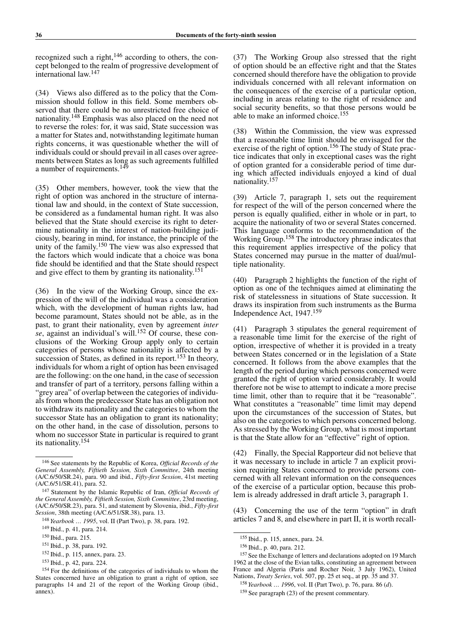recognized such a right,<sup>146</sup> according to others, the concept belonged to the realm of progressive development of international law.147

(34) Views also differed as to the policy that the Commission should follow in this field. Some members observed that there could be no unrestricted free choice of nationality.148 Emphasis was also placed on the need not to reverse the roles: for, it was said, State succession was a matter for States and, notwithstanding legitimate human rights concerns, it was questionable whether the will of individuals could or should prevail in all cases over agreements between States as long as such agreements fulfilled a number of requirements.<sup>149</sup>

(35) Other members, however, took the view that the right of option was anchored in the structure of international law and should, in the context of State succession, be considered as a fundamental human right. It was also believed that the State should exercise its right to determine nationality in the interest of nation-building judiciously, bearing in mind, for instance, the principle of the unity of the family.<sup>150</sup> The view was also expressed that the factors which would indicate that a choice was bona fide should be identified and that the State should respect and give effect to them by granting its nationality.151

(36) In the view of the Working Group, since the expression of the will of the individual was a consideration which, with the development of human rights law, had become paramount, States should not be able, as in the past, to grant their nationality, even by agreement *inter se*, against an individual's will.<sup>152</sup> Of course, these conclusions of the Working Group apply only to certain categories of persons whose nationality is affected by a succession of States, as defined in its report.<sup>153</sup> In theory, individuals for whom a right of option has been envisaged are the following: on the one hand, in the case of secession and transfer of part of a territory, persons falling within a "grey area" of overlap between the categories of individuals from whom the predecessor State has an obligation not to withdraw its nationality and the categories to whom the successor State has an obligation to grant its nationality; on the other hand, in the case of dissolution, persons to whom no successor State in particular is required to grant its nationality.154

(37) The Working Group also stressed that the right of option should be an effective right and that the States concerned should therefore have the obligation to provide individuals concerned with all relevant information on the consequences of the exercise of a particular option, including in areas relating to the right of residence and social security benefits, so that those persons would be able to make an informed choice.155

(38) Within the Commission, the view was expressed that a reasonable time limit should be envisaged for the exercise of the right of option.<sup>156</sup> The study of State practice indicates that only in exceptional cases was the right of option granted for a considerable period of time during which affected individuals enjoyed a kind of dual nationality.157

(39) Article 7, paragraph 1, sets out the requirement for respect of the will of the person concerned where the person is equally qualified, either in whole or in part, to acquire the nationality of two or several States concerned. This language conforms to the recommendation of the Working Group.<sup>158</sup> The introductory phrase indicates that this requirement applies irrespective of the policy that States concerned may pursue in the matter of dual/multiple nationality.

(40) Paragraph 2 highlights the function of the right of option as one of the techniques aimed at eliminating the risk of statelessness in situations of State succession. It draws its inspiration from such instruments as the Burma Independence Act, 1947.159

(41) Paragraph 3 stipulates the general requirement of a reasonable time limit for the exercise of the right of option, irrespective of whether it is provided in a treaty between States concerned or in the legislation of a State concerned. It follows from the above examples that the length of the period during which persons concerned were granted the right of option varied considerably. It would therefore not be wise to attempt to indicate a more precise time limit, other than to require that it be "reasonable". What constitutes a "reasonable" time limit may depend upon the circumstances of the succession of States, but also on the categories to which persons concerned belong. As stressed by the Working Group, what is most important is that the State allow for an "effective" right of option.

(42) Finally, the Special Rapporteur did not believe that it was necessary to include in article 7 an explicit provision requiring States concerned to provide persons concerned with all relevant information on the consequences of the exercise of a particular option, because this problem is already addressed in draft article 3, paragraph 1.

(43) Concerning the use of the term "option" in draft articles 7 and 8, and elsewhere in part II, it is worth recall-

<sup>146</sup> See statements by the Republic of Korea, *Official Records of the General Assembly, Fiftieth Session, Sixth Committee*, 24th meeting (A/C.6/50/SR.24), para. 90 and ibid., *Fifty-first Session*, 41st meeting (A/C.6/51/SR.41), para. 52.

<sup>147</sup> Statement by the Islamic Republic of Iran, *Official Records of the General Assembly, Fiftieth Session, Sixth Committee*, 23rd meeting, (A/C.6/50/SR.23), para. 51, and statement by Slovenia, ibid., *Fifty-first Session*, 38th meeting (A/C.6/51/SR.38), para. 13.

<sup>148</sup>*Yearbook … 1995*, vol. II (Part Two), p. 38, para. 192.

<sup>149</sup> Ibid., p. 41, para. 214.

<sup>150</sup> Ibid., para. 215.

<sup>151</sup> Ibid., p. 38, para. 192.

<sup>152</sup> Ibid., p. 115, annex, para. 23.

<sup>153</sup> Ibid., p. 42, para. 224.

<sup>&</sup>lt;sup>154</sup> For the definitions of the categories of individuals to whom the States concerned have an obligation to grant a right of option, see paragraphs 14 and 21 of the report of the Working Group (ibid., annex).

<sup>155</sup> Ibid., p. 115, annex, para. 24.

<sup>156</sup> Ibid., p. 40, para. 212.

<sup>157</sup> See the Exchange of letters and declarations adopted on 19 March 1962 at the close of the Evian talks, constituting an agreement between France and Algeria (Paris and Rocher Noir, 3 July 1962), United Nations, *Treaty Series*, vol. 507, pp. 25 et seq., at pp. 35 and 37.

<sup>158</sup>*Yearbook … 1996*, vol. II (Part Two), p. 76, para. 86 (*d*).

<sup>159</sup> See paragraph (23) of the present commentary.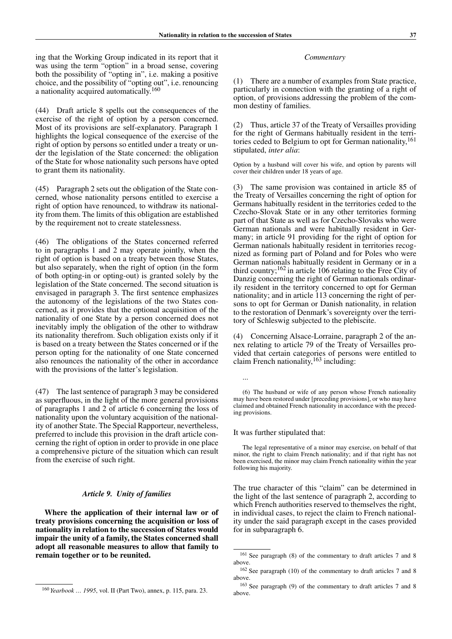ing that the Working Group indicated in its report that it was using the term "option" in a broad sense, covering both the possibility of "opting in", i.e. making a positive choice, and the possibility of "opting out", i.e. renouncing a nationality acquired automatically.<sup>160</sup>

(44) Draft article 8 spells out the consequences of the exercise of the right of option by a person concerned. Most of its provisions are self-explanatory. Paragraph 1 highlights the logical consequence of the exercise of the right of option by persons so entitled under a treaty or under the legislation of the State concerned: the obligation of the State for whose nationality such persons have opted to grant them its nationality.

(45) Paragraph 2 sets out the obligation of the State concerned, whose nationality persons entitled to exercise a right of option have renounced, to withdraw its nationality from them. The limits of this obligation are established by the requirement not to create statelessness.

(46) The obligations of the States concerned referred to in paragraphs 1 and 2 may operate jointly, when the right of option is based on a treaty between those States, but also separately, when the right of option (in the form of both opting-in or opting-out) is granted solely by the legislation of the State concerned. The second situation is envisaged in paragraph 3. The first sentence emphasizes the autonomy of the legislations of the two States concerned, as it provides that the optional acquisition of the nationality of one State by a person concerned does not inevitably imply the obligation of the other to withdraw its nationality therefrom. Such obligation exists only if it is based on a treaty between the States concerned or if the person opting for the nationality of one State concerned also renounces the nationality of the other in accordance with the provisions of the latter's legislation.

(47) The last sentence of paragraph 3 may be considered as superfluous, in the light of the more general provisions of paragraphs 1 and 2 of article 6 concerning the loss of nationality upon the voluntary acquisition of the nationality of another State. The Special Rapporteur, nevertheless, preferred to include this provision in the draft article concerning the right of option in order to provide in one place a comprehensive picture of the situation which can result from the exercise of such right.

## *Article 9. Unity of families*

**Where the application of their internal law or of treaty provisions concerning the acquisition or loss of nationality in relation to the succession of States would impair the unity of a family, the States concerned shall adopt all reasonable measures to allow that family to remain together or to be reunited.**

### *Commentary*

(1) There are a number of examples from State practice, particularly in connection with the granting of a right of option, of provisions addressing the problem of the common destiny of families.

(2) Thus, article 37 of the Treaty of Versailles providing for the right of Germans habitually resident in the territories ceded to Belgium to opt for German nationality,<sup>161</sup> stipulated, *inter alia*:

Option by a husband will cover his wife, and option by parents will cover their children under 18 years of age.

(3) The same provision was contained in article 85 of the Treaty of Versailles concerning the right of option for Germans habitually resident in the territories ceded to the Czecho-Slovak State or in any other territories forming part of that State as well as for Czecho-Slovaks who were German nationals and were habitually resident in Germany; in article 91 providing for the right of option for German nationals habitually resident in territories recognized as forming part of Poland and for Poles who were German nationals habitually resident in Germany or in a third country;<sup>162</sup> in article 106 relating to the Free City of Danzig concerning the right of German nationals ordinarily resident in the territory concerned to opt for German nationality; and in article 113 concerning the right of persons to opt for German or Danish nationality, in relation to the restoration of Denmark's sovereignty over the territory of Schleswig subjected to the plebiscite.

(4) Concerning Alsace-Lorraine, paragraph 2 of the annex relating to article 79 of the Treaty of Versailles provided that certain categories of persons were entitled to claim French nationality,<sup>163</sup> including:

(6) The husband or wife of any person whose French nationality may have been restored under [preceding provisions], or who may have claimed and obtained French nationality in accordance with the preceding provisions.

It was further stipulated that:

...

The legal representative of a minor may exercise, on behalf of that minor, the right to claim French nationality; and if that right has not been exercised, the minor may claim French nationality within the year following his majority.

The true character of this "claim" can be determined in the light of the last sentence of paragraph 2, according to which French authorities reserved to themselves the right, in individual cases, to reject the claim to French nationality under the said paragraph except in the cases provided for in subparagraph 6.

<sup>160</sup>*Yearbook … 1995*, vol. II (Part Two), annex, p. 115, para. 23.

<sup>161</sup> See paragraph (8) of the commentary to draft articles 7 and 8 above.

<sup>162</sup> See paragraph (10) of the commentary to draft articles 7 and 8 above.

<sup>163</sup> See paragraph (9) of the commentary to draft articles 7 and 8 above.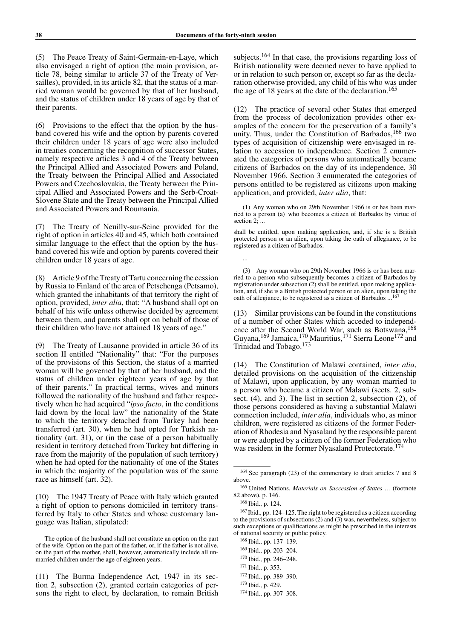...

(5) The Peace Treaty of Saint-Germain-en-Laye, which also envisaged a right of option (the main provision, article 78, being similar to article 37 of the Treaty of Versailles), provided, in its article 82, that the status of a married woman would be governed by that of her husband, and the status of children under 18 years of age by that of their parents.

(6) Provisions to the effect that the option by the husband covered his wife and the option by parents covered their children under 18 years of age were also included in treaties concerning the recognition of successor States, namely respective articles 3 and 4 of the Treaty between the Principal Allied and Associated Powers and Poland, the Treaty between the Principal Allied and Associated Powers and Czechoslovakia, the Treaty between the Principal Allied and Associated Powers and the Serb-Croat-Slovene State and the Treaty between the Principal Allied and Associated Powers and Roumania.

(7) The Treaty of Neuilly-sur-Seine provided for the right of option in articles 40 and 45, which both contained similar language to the effect that the option by the husband covered his wife and option by parents covered their children under 18 years of age.

(8) Article 9 of the Treaty of Tartu concerning the cession by Russia to Finland of the area of Petschenga (Petsamo), which granted the inhabitants of that territory the right of option, provided, *inter alia*, that: "A husband shall opt on behalf of his wife unless otherwise decided by agreement between them, and parents shall opt on behalf of those of their children who have not attained 18 years of age."

(9) The Treaty of Lausanne provided in article 36 of its section II entitled "Nationality" that: "For the purposes of the provisions of this Section, the status of a married woman will be governed by that of her husband, and the status of children under eighteen years of age by that of their parents." In practical terms, wives and minors followed the nationality of the husband and father respectively when he had acquired "*ipso facto*, in the conditions laid down by the local law" the nationality of the State to which the territory detached from Turkey had been transferred (art. 30), when he had opted for Turkish nationality (art. 31), or (in the case of a person habitually resident in territory detached from Turkey but differing in race from the majority of the population of such territory) when he had opted for the nationality of one of the States in which the majority of the population was of the same race as himself (art. 32).

(10) The 1947 Treaty of Peace with Italy which granted a right of option to persons domiciled in territory transferred by Italy to other States and whose customary language was Italian, stipulated:

The option of the husband shall not constitute an option on the part of the wife. Option on the part of the father, or, if the father is not alive, on the part of the mother, shall, however, automatically include all unmarried children under the age of eighteen years.

(11) The Burma Independence Act, 1947 in its section 2, subsection (2), granted certain categories of persons the right to elect, by declaration, to remain British subjects.<sup>164</sup> In that case, the provisions regarding loss of British nationality were deemed never to have applied to or in relation to such person or, except so far as the declaration otherwise provided, any child of his who was under the age of 18 years at the date of the declaration.<sup>165</sup>

(12) The practice of several other States that emerged from the process of decolonization provides other examples of the concern for the preservation of a family's unity. Thus, under the Constitution of Barbados,  $166$  two types of acquisition of citizenship were envisaged in relation to accession to independence. Section 2 enumerated the categories of persons who automatically became citizens of Barbados on the day of its independence, 30 November 1966. Section 3 enumerated the categories of persons entitled to be registered as citizens upon making application, and provided, *inter alia*, that:

(1) Any woman who on 29th November 1966 is or has been married to a person (a) who becomes a citizen of Barbados by virtue of section 2; ...

shall be entitled, upon making application, and, if she is a British protected person or an alien, upon taking the oath of allegiance, to be registered as a citizen of Barbados.

(3) Any woman who on 29th November 1966 is or has been married to a person who subsequently becomes a citizen of Barbados by registration under subsection (2) shall be entitled, upon making application, and, if she is a British protected person or an alien, upon taking the oath of allegiance, to be registered as a citizen of Barbados ...167

(13) Similar provisions can be found in the constitutions of a number of other States which acceded to independence after the Second World War, such as Botswana,<sup>168</sup> Guyana,<sup>169</sup> Jamaica,<sup>170</sup> Mauritius,<sup>171</sup> Sierra Leone<sup>172</sup> and Trinidad and Tobago.173

(14) The Constitution of Malawi contained, *inter alia*, detailed provisions on the acquisition of the citizenship of Malawi, upon application, by any woman married to a person who became a citizen of Malawi (sects. 2, subsect. (4), and 3). The list in section 2, subsection (2), of those persons considered as having a substantial Malawi connection included, *inter alia*, individuals who, as minor children, were registered as citizens of the former Federation of Rhodesia and Nyasaland by the responsible parent or were adopted by a citizen of the former Federation who was resident in the former Nyasaland Protectorate.<sup>174</sup>

<sup>170</sup> Ibid., pp. 246–248.

172 Ibid., pp. 389–390.

174 Ibid., pp. 307–308.

<sup>164</sup> See paragraph (23) of the commentary to draft articles 7 and 8 above.

<sup>165</sup> United Nations, *Materials on Succession of States …* (footnote 82 above), p. 146.

<sup>166</sup> Ibid., p. 124.

<sup>167</sup> Ibid., pp. 124–125. The right to be registered as a citizen according to the provisions of subsections  $(2)$  and  $(3)$  was, nevertheless, subject to such exceptions or qualifications as might be prescribed in the interests of national security or public policy.

<sup>168</sup> Ibid., pp. 137–139.

<sup>169</sup> Ibid., pp. 203–204.

<sup>171</sup> Ibid., p. 353.

<sup>173</sup> Ibid., p. 429.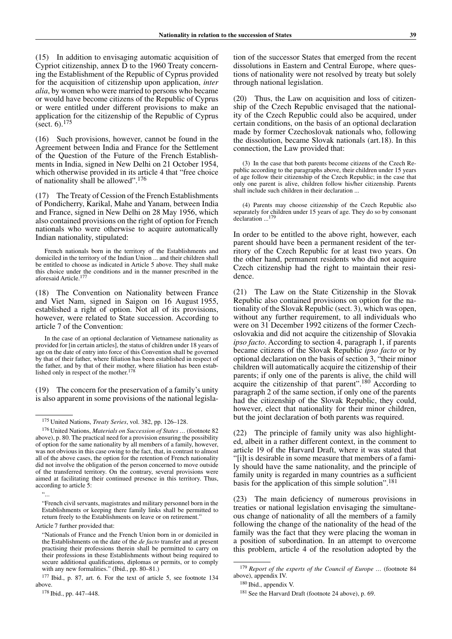(15) In addition to envisaging automatic acquisition of Cypriot citizenship, annex D to the 1960 Treaty concerning the Establishment of the Republic of Cyprus provided for the acquisition of citizenship upon application, *inter alia*, by women who were married to persons who became or would have become citizens of the Republic of Cyprus or were entitled under different provisions to make an application for the citizenship of the Republic of Cyprus (sect.  $6$ ).<sup>175</sup>

(16) Such provisions, however, cannot be found in the Agreement between India and France for the Settlement of the Question of the Future of the French Establishments in India, signed in New Delhi on 21 October 1954, which otherwise provided in its article 4 that "free choice of nationality shall be allowed".176

(17) The Treaty of Cession of the French Establishments of Pondicherry, Karikal, Mahe and Yanam, between India and France, signed in New Delhi on 28 May 1956, which also contained provisions on the right of option for French nationals who were otherwise to acquire automatically Indian nationality, stipulated:

French nationals born in the territory of the Establishments and domiciled in the territory of the Indian Union ... and their children shall be entitled to choose as indicated in Article 5 above. They shall make this choice under the conditions and in the manner prescribed in the aforesaid Article.177

(18) The Convention on Nationality between France and Viet Nam, signed in Saigon on 16 August 1955, established a right of option. Not all of its provisions, however, were related to State succession. According to article 7 of the Convention:

In the case of an optional declaration of Vietnamese nationality as provided for [in certain articles], the status of children under 18 years of age on the date of entry into force of this Convention shall be governed by that of their father, where filiation has been established in respect of the father, and by that of their mother, where filiation has been estab-<br>lished only in respect of the mother.<sup>178</sup>

(19) The concern for the preservation of a family's unity is also apparent in some provisions of the national legisla-

"...

tion of the successor States that emerged from the recent dissolutions in Eastern and Central Europe, where questions of nationality were not resolved by treaty but solely through national legislation.

(20) Thus, the Law on acquisition and loss of citizenship of the Czech Republic envisaged that the nationality of the Czech Republic could also be acquired, under certain conditions, on the basis of an optional declaration made by former Czechoslovak nationals who, following the dissolution, became Slovak nationals (art.18). In this connection, the Law provided that:

(3) In the case that both parents become citizens of the Czech Republic according to the paragraphs above, their children under 15 years of age follow their citizenship of the Czech Republic; in the case that only one parent is alive, children follow his/her citizenship. Parents shall include such children in their declaration ...

(4) Parents may choose citizenship of the Czech Republic also separately for children under 15 years of age. They do so by consonant declaration ...<sup>17</sup>

In order to be entitled to the above right, however, each parent should have been a permanent resident of the territory of the Czech Republic for at least two years. On the other hand, permanent residents who did not acquire Czech citizenship had the right to maintain their residence.

(21) The Law on the State Citizenship in the Slovak Republic also contained provisions on option for the nationality of the Slovak Republic (sect. 3), which was open, without any further requirement, to all individuals who were on 31 December 1992 citizens of the former Czechoslovakia and did not acquire the citizenship of Slovakia *ipso facto*. According to section 4, paragraph 1, if parents became citizens of the Slovak Republic *ipso facto* or by optional declaration on the basis of section 3, "their minor children will automatically acquire the citizenship of their parents; if only one of the parents is alive, the child will acquire the citizenship of that parent".<sup>180</sup> According to paragraph 2 of the same section, if only one of the parents had the citizenship of the Slovak Republic, they could, however, elect that nationality for their minor children, but the joint declaration of both parents was required.

(22) The principle of family unity was also highlighted, albeit in a rather different context, in the comment to article 19 of the Harvard Draft, where it was stated that "[i]t is desirable in some measure that members of a family should have the same nationality, and the principle of family unity is regarded in many countries as a sufficient basis for the application of this simple solution".<sup>181</sup>

(23) The main deficiency of numerous provisions in treaties or national legislation envisaging the simultaneous change of nationality of all the members of a family following the change of the nationality of the head of the family was the fact that they were placing the woman in a position of subordination. In an attempt to overcome this problem, article 4 of the resolution adopted by the

<sup>175</sup> United Nations, *Treaty Series*, vol. 382, pp. 126–128.

<sup>176</sup> United Nations, *Materials on Succession of States …* (footnote 82 above), p. 80. The practical need for a provision ensuring the possibility of option for the same nationality by all members of a family, however, was not obvious in this case owing to the fact, that, in contrast to almost all of the above cases, the option for the retention of French nationality did not involve the obligation of the person concerned to move outside of the transferred territory. On the contrary, several provisions were aimed at facilitating their continued presence in this territory. Thus, according to article 5:

<sup>&</sup>quot;French civil servants, magistrates and military personnel born in the Establishments or keeping there family links shall be permitted to return freely to the Establishments on leave or on retirement."

Article 7 further provided that:

<sup>&</sup>quot;Nationals of France and the French Union born in or domiciled in the Establishments on the date of the *de facto* transfer and at present practising their professions therein shall be permitted to carry on their professions in these Establishments without being required to secure additional qualifications, diplomas or permits, or to comply with any new formalities." (Ibid., pp. 80–81.)

<sup>177</sup> Ibid., p. 87, art. 6. For the text of article 5, see footnote 134 above.

<sup>178</sup> Ibid., pp. 447–448.

<sup>179</sup>*Report of the experts of the Council of Europe …* (footnote 84 above), appendix IV.

<sup>180</sup> Ibid., appendix V.

<sup>181</sup> See the Harvard Draft (footnote 24 above), p. 69.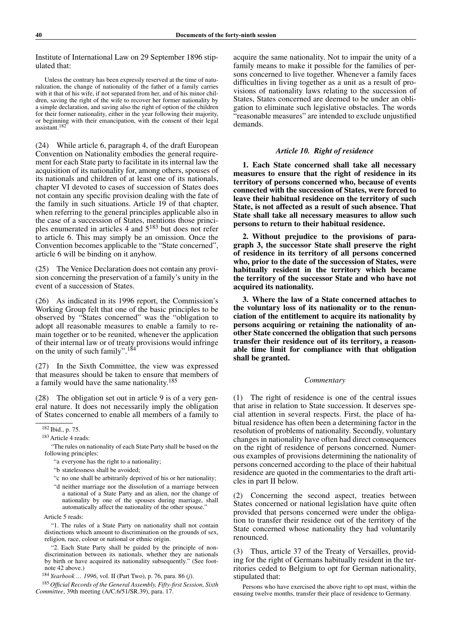Institute of International Law on 29 September 1896 stipulated that:

Unless the contrary has been expressly reserved at the time of naturalization, the change of nationality of the father of a family carries with it that of his wife, if not separated from her, and of his minor children, saving the right of the wife to recover her former nationality by a simple declaration, and saving also the right of option of the children for their former nationality, either in the year following their majority, or beginning with their emancipation, with the consent of their legal assistant.<sup>18</sup>

(24) While article 6, paragraph 4, of the draft European Convention on Nationality embodies the general requirement for each State party to facilitate in its internal law the acquisition of its nationality for, among others, spouses of its nationals and children of at least one of its nationals, chapter VI devoted to cases of succession of States does not contain any specific provision dealing with the fate of the family in such situations. Article 19 of that chapter, when referring to the general principles applicable also in the case of a succession of States, mentions those principles enumerated in articles 4 and  $5^{183}$  but does not refer to article 6. This may simply be an omission. Once the Convention becomes applicable to the "State concerned", article 6 will be binding on it anyhow.

(25) The Venice Declaration does not contain any provision concerning the preservation of a family's unity in the event of a succession of States.

(26) As indicated in its 1996 report, the Commission's Working Group felt that one of the basic principles to be observed by "States concerned" was the "obligation to adopt all reasonable measures to enable a family to remain together or to be reunited, whenever the application of their internal law or of treaty provisions would infringe on the unity of such family".<sup>184</sup>

(27) In the Sixth Committee, the view was expressed that measures should be taken to ensure that members of a family would have the same nationality.185

(28) The obligation set out in article 9 is of a very general nature. It does not necessarily imply the obligation of States concerned to enable all members of a family to

- "b statelessness shall be avoided;
- "c no one shall be arbitrarily deprived of his or her nationality;
- "d neither marriage nor the dissolution of a marriage between a national of a State Party and an alien, nor the change of nationality by one of the spouses during marriage, shall automatically affect the nationality of the other spouse."
- Article 5 reads:

"1. The rules of a State Party on nationality shall not contain distinctions which amount to discrimination on the grounds of sex, religion, race, colour or national or ethnic origin.

"2. Each State Party shall be guided by the principle of nondiscrimination between its nationals, whether they are nationals by birth or have acquired its nationality subsequently." (See footnote 42 above.)

<sup>184</sup>*Yearbook … 1996*, vol. II (Part Two), p. 76, para. 86 (*j*).

<sup>185</sup>*Official Records of the General Assembly, Fifty-first Session, Sixth Committee*, 39th meeting (A/C.6/51/SR.39), para. 17.

acquire the same nationality. Not to impair the unity of a family means to make it possible for the families of persons concerned to live together. Whenever a family faces difficulties in living together as a unit as a result of provisions of nationality laws relating to the succession of States, States concerned are deemed to be under an obligation to eliminate such legislative obstacles. The words "reasonable measures" are intended to exclude unjustified demands.

# *Article 10. Right of residence*

**1. Each State concerned shall take all necessary measures to ensure that the right of residence in its territory of persons concerned who, because of events connected with the succession of States, were forced to leave their habitual residence on the territory of such State, is not affected as a result of such absence. That State shall take all necessary measures to allow such persons to return to their habitual residence.**

**2. Without prejudice to the provisions of paragraph 3, the successor State shall preserve the right of residence in its territory of all persons concerned who, prior to the date of the succession of States, were habitually resident in the territory which became the territory of the successor State and who have not acquired its nationality.**

**3. Where the law of a State concerned attaches to the voluntary loss of its nationality or to the renunciation of the entitlement to acquire its nationality by persons acquiring or retaining the nationality of another State concerned the obligation that such persons transfer their residence out of its territory, a reasonable time limit for compliance with that obligation shall be granted.**

#### *Commentary*

(1) The right of residence is one of the central issues that arise in relation to State succession. It deserves special attention in several respects. First, the place of habitual residence has often been a determining factor in the resolution of problems of nationality. Secondly, voluntary changes in nationality have often had direct consequences on the right of residence of persons concerned. Numerous examples of provisions determining the nationality of persons concerned according to the place of their habitual residence are quoted in the commentaries to the draft articles in part II below.

(2) Concerning the second aspect, treaties between States concerned or national legislation have quite often provided that persons concerned were under the obligation to transfer their residence out of the territory of the State concerned whose nationality they had voluntarily renounced.

(3) Thus, article 37 of the Treaty of Versailles, providing for the right of Germans habitually resident in the territories ceded to Belgium to opt for German nationality, stipulated that:

Persons who have exercised the above right to opt must, within the ensuing twelve months, transfer their place of residence to Germany.

<sup>182</sup> Ibid., p. 75.

<sup>183</sup> Article 4 reads:

<sup>&</sup>quot;The rules on nationality of each State Party shall be based on the following principles:

<sup>&</sup>quot;a everyone has the right to a nationality;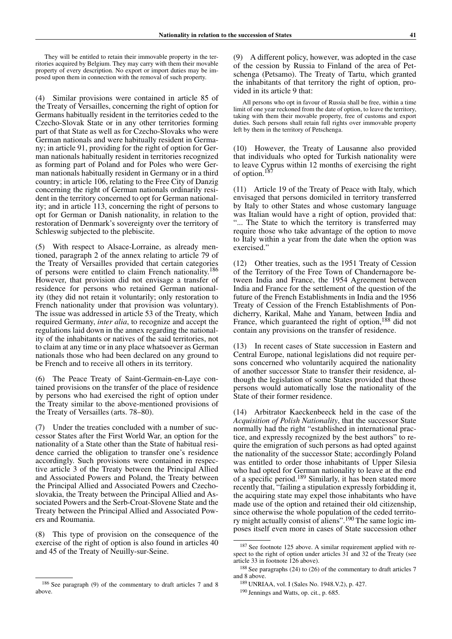They will be entitled to retain their immovable property in the territories acquired by Belgium. They may carry with them their movable property of every description. No export or import duties may be imposed upon them in connection with the removal of such property.

(4) Similar provisions were contained in article 85 of the Treaty of Versailles, concerning the right of option for Germans habitually resident in the territories ceded to the Czecho-Slovak State or in any other territories forming part of that State as well as for Czecho-Slovaks who were German nationals and were habitually resident in Germany; in article 91, providing for the right of option for German nationals habitually resident in territories recognized as forming part of Poland and for Poles who were German nationals habitually resident in Germany or in a third country; in article 106, relating to the Free City of Danzig concerning the right of German nationals ordinarily resident in the territory concerned to opt for German nationality; and in article 113, concerning the right of persons to opt for German or Danish nationality, in relation to the restoration of Denmark's sovereignty over the territory of Schleswig subjected to the plebiscite.

(5) With respect to Alsace-Lorraine, as already mentioned, paragraph 2 of the annex relating to article 79 of the Treaty of Versailles provided that certain categories of persons were entitled to claim French nationality.<sup>186</sup> However, that provision did not envisage a transfer of residence for persons who retained German nationality (they did not retain it voluntarily; only restoration to French nationality under that provision was voluntary). The issue was addressed in article 53 of the Treaty, which required Germany, *inter alia*, to recognize and accept the regulations laid down in the annex regarding the nationality of the inhabitants or natives of the said territories, not to claim at any time or in any place whatsoever as German nationals those who had been declared on any ground to be French and to receive all others in its territory.

(6) The Peace Treaty of Saint-Germain-en-Laye contained provisions on the transfer of the place of residence by persons who had exercised the right of option under the Treaty similar to the above-mentioned provisions of the Treaty of Versailles (arts. 78–80).

(7) Under the treaties concluded with a number of successor States after the First World War, an option for the nationality of a State other than the State of habitual residence carried the obligation to transfer one's residence accordingly. Such provisions were contained in respective article 3 of the Treaty between the Principal Allied and Associated Powers and Poland, the Treaty between the Principal Allied and Associated Powers and Czechoslovakia, the Treaty between the Principal Allied and Associated Powers and the Serb-Croat-Slovene State and the Treaty between the Principal Allied and Associated Powers and Roumania.

(8) This type of provision on the consequence of the exercise of the right of option is also found in articles 40 and 45 of the Treaty of Neuilly-sur-Seine.

(9) A different policy, however, was adopted in the case of the cession by Russia to Finland of the area of Petschenga (Petsamo). The Treaty of Tartu, which granted the inhabitants of that territory the right of option, provided in its article 9 that:

All persons who opt in favour of Russia shall be free, within a time limit of one year reckoned from the date of option, to leave the territory, taking with them their movable property, free of customs and export duties. Such persons shall retain full rights over immovable property left by them in the territory of Petschenga.

(10) However, the Treaty of Lausanne also provided that individuals who opted for Turkish nationality were to leave Cyprus within 12 months of exercising the right of option.<sup>18</sup>

(11) Article 19 of the Treaty of Peace with Italy, which envisaged that persons domiciled in territory transferred by Italy to other States and whose customary language was Italian would have a right of option, provided that: "... The State to which the territory is transferred may require those who take advantage of the option to move to Italy within a year from the date when the option was exercised."

(12) Other treaties, such as the 1951 Treaty of Cession of the Territory of the Free Town of Chandernagore between India and France, the 1954 Agreement between India and France for the settlement of the question of the future of the French Establishments in India and the 1956 Treaty of Cession of the French Establishments of Pondicherry, Karikal, Mahe and Yanam, between India and France, which guaranteed the right of option,<sup>188</sup> did not contain any provisions on the transfer of residence.

(13) In recent cases of State succession in Eastern and Central Europe, national legislations did not require persons concerned who voluntarily acquired the nationality of another successor State to transfer their residence, although the legislation of some States provided that those persons would automatically lose the nationality of the State of their former residence.

(14) Arbitrator Kaeckenbeeck held in the case of the *Acquisition of Polish Nationality*, that the successor State normally had the right "established in international practice, and expressly recognized by the best authors" to require the emigration of such persons as had opted against the nationality of the successor State; accordingly Poland was entitled to order those inhabitants of Upper Silesia who had opted for German nationality to leave at the end of a specific period.189 Similarly, it has been stated more recently that, "failing a stipulation expressly forbidding it, the acquiring state may expel those inhabitants who have made use of the option and retained their old citizenship, since otherwise the whole population of the ceded territory might actually consist of aliens".<sup>190</sup> The same logic imposes itself even more in cases of State succession other

<sup>186</sup> See paragraph (9) of the commentary to draft articles 7 and 8 above.

<sup>187</sup> See footnote 125 above. A similar requirement applied with respect to the right of option under articles 31 and 32 of the Treaty (see article 33 in footnote 126 above).

<sup>188</sup> See paragraphs (24) to (26) of the commentary to draft articles 7 and 8 above.

<sup>189</sup> UNRIAA, vol. I (Sales No. 1948.V.2), p. 427.

<sup>190</sup> Jennings and Watts, op. cit., p. 685.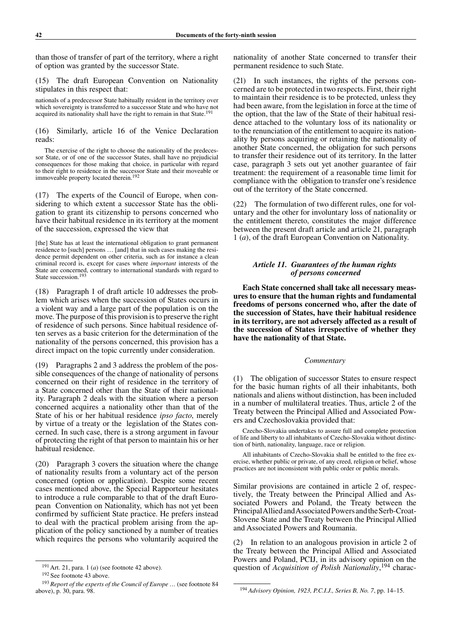than those of transfer of part of the territory, where a right of option was granted by the successor State.

(15) The draft European Convention on Nationality stipulates in this respect that:

nationals of a predecessor State habitually resident in the territory over which sovereignty is transferred to a successor State and who have not acquired its nationality shall have the right to remain in that State.<sup>191</sup>

(16) Similarly, article 16 of the Venice Declaration reads:

The exercise of the right to choose the nationality of the predecessor State, or of one of the successor States, shall have no prejudicial consequences for those making that choice, in particular with regard to their right to residence in the successor State and their moveable or immoveable property located therein.192

(17) The experts of the Council of Europe, when considering to which extent a successor State has the obligation to grant its citizenship to persons concerned who have their habitual residence in its territory at the moment of the succession, expressed the view that

[the] State has at least the international obligation to grant permanent residence to [such] persons … [and] that in such cases making the residence permit dependent on other criteria, such as for instance a clean criminal record is, except for cases where *important* interests of the State are concerned, contrary to international standards with regard to State succession.193

(18) Paragraph 1 of draft article 10 addresses the problem which arises when the succession of States occurs in a violent way and a large part of the population is on the move. The purpose of this provision is to preserve the right of residence of such persons. Since habitual residence often serves as a basic criterion for the determination of the nationality of the persons concerned, this provision has a direct impact on the topic currently under consideration.

(19) Paragraphs 2 and 3 address the problem of the possible consequences of the change of nationality of persons concerned on their right of residence in the territory of a State concerned other than the State of their nationality. Paragraph 2 deals with the situation where a person concerned acquires a nationality other than that of the State of his or her habitual residence *ipso facto*, merely by virtue of a treaty or the legislation of the States concerned. In such case, there is a strong argument in favour of protecting the right of that person to maintain his or her habitual residence.

(20) Paragraph 3 covers the situation where the change of nationality results from a voluntary act of the person concerned (option or application). Despite some recent cases mentioned above, the Special Rapporteur hesitates to introduce a rule comparable to that of the draft European Convention on Nationality, which has not yet been confirmed by sufficient State practice. He prefers instead to deal with the practical problem arising from the application of the policy sanctioned by a number of treaties which requires the persons who voluntarily acquired the

nationality of another State concerned to transfer their permanent residence to such State.

(21) In such instances, the rights of the persons concerned are to be protected in two respects. First, their right to maintain their residence is to be protected, unless they had been aware, from the legislation in force at the time of the option, that the law of the State of their habitual residence attached to the voluntary loss of its nationality or to the renunciation of the entitlement to acquire its nationality by persons acquiring or retaining the nationality of another State concerned, the obligation for such persons to transfer their residence out of its territory. In the latter case, paragraph 3 sets out yet another guarantee of fair treatment: the requirement of a reasonable time limit for compliance with the obligation to transfer one's residence out of the territory of the State concerned.

(22) The formulation of two different rules, one for voluntary and the other for involuntary loss of nationality or the entitlement thereto, constitutes the major difference between the present draft article and article 21, paragraph 1 (*a*), of the draft European Convention on Nationality.

# *Article 11. Guarantees of the human rights of persons concerned*

**Each State concerned shall take all necessary measures to ensure that the human rights and fundamental freedoms of persons concerned who, after the date of the succession of States, have their habitual residence in its territory, are not adversely affected as a result of the succession of States irrespective of whether they have the nationality of that State.**

# *Commentary*

(1) The obligation of successor States to ensure respect for the basic human rights of all their inhabitants, both nationals and aliens without distinction, has been included in a number of multilateral treaties. Thus, article 2 of the Treaty between the Principal Allied and Associated Powers and Czechoslovakia provided that:

Czecho-Slovakia undertakes to assure full and complete protection of life and liberty to all inhabitants of Czecho-Slovakia without distinction of birth, nationality, language, race or religion.

All inhabitants of Czecho-Slovakia shall be entitled to the free exercise, whether public or private, of any creed, religion or belief, whose practices are not inconsistent with public order or public morals.

Similar provisions are contained in article 2 of, respectively, the Treaty between the Principal Allied and Associated Powers and Poland, the Treaty between the Principal Allied and Associated Powers and the Serb-Croat-Slovene State and the Treaty between the Principal Allied and Associated Powers and Roumania.

(2) In relation to an analogous provision in article 2 of the Treaty between the Principal Allied and Associated Powers and Poland, PCIJ, in its advisory opinion on the <sup>191</sup> Art. 21, para. 1 (*a*) (see footnote 42 above). **question of** *Acquisition of Polish Nationality***, <sup>194</sup> charac-**

<sup>&</sup>lt;sup>191</sup> Art. 21, para. 1 (*a*) (see footnote 42 above).<br><sup>192</sup> See footnote 43 above.

<sup>&</sup>lt;sup>193</sup>*Report of the experts of the Council of Europe* ... (see footnote 84 above), p. 30, para. 98.

<sup>&</sup>lt;sup>194</sup> Advisory Opinion, 1923, P.C.I.J., Series B, No. 7, pp. 14–15.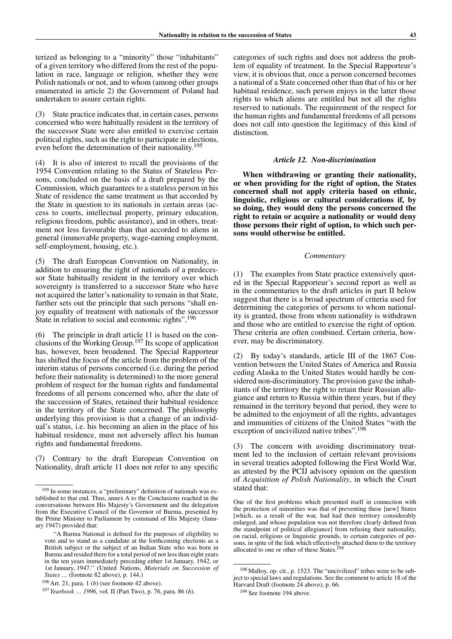terized as belonging to a "minority" those "inhabitants" of a given territory who differed from the rest of the population in race, language or religion, whether they were Polish nationals or not, and to whom (among other groups enumerated in article 2) the Government of Poland had undertaken to assure certain rights.

(3) State practice indicates that, in certain cases, persons concerned who were habitually resident in the territory of the successor State were also entitled to exercise certain political rights, such as the right to participate in elections, even before the determination of their nationality.195

(4) It is also of interest to recall the provisions of the 1954 Convention relating to the Status of Stateless Persons, concluded on the basis of a draft prepared by the Commission, which guarantees to a stateless person in his State of residence the same treatment as that accorded by the State in question to its nationals in certain areas (access to courts, intellectual property, primary education, religious freedom, public assistance), and in others, treatment not less favourable than that accorded to aliens in general (immovable property, wage-earning employment, self-employment, housing, etc.).

(5) The draft European Convention on Nationality, in addition to ensuring the right of nationals of a predecessor State habitually resident in the territory over which sovereignty is transferred to a successor State who have not acquired the latter's nationality to remain in that State, further sets out the principle that such persons "shall enjoy equality of treatment with nationals of the successor State in relation to social and economic rights".<sup>196</sup>

(6) The principle in draft article 11 is based on the conclusions of the Working Group.<sup>197</sup> Its scope of application has, however, been broadened. The Special Rapporteur has shifted the focus of the article from the problem of the interim status of persons concerned (i.e. during the period before their nationality is determined) to the more general problem of respect for the human rights and fundamental freedoms of all persons concerned who, after the date of the succession of States, retained their habitual residence in the territory of the State concerned. The philosophy underlying this provision is that a change of an individual's status, i.e. his becoming an alien in the place of his habitual residence, must not adversely affect his human rights and fundamental freedoms.

(7) Contrary to the draft European Convention on Nationality, draft article 11 does not refer to any specific categories of such rights and does not address the problem of equality of treatment. In the Special Rapporteur's view, it is obvious that, once a person concerned becomes a national of a State concerned other than that of his or her habitual residence, such person enjoys in the latter those rights to which aliens are entitled but not all the rights reserved to nationals. The requirement of the respect for the human rights and fundamental freedoms of all persons does not call into question the legitimacy of this kind of distinction.

### *Article 12. Non-discrimination*

**When withdrawing or granting their nationality, or when providing for the right of option, the States concerned shall not apply criteria based on ethnic, linguistic, religious or cultural considerations if, by so doing, they would deny the persons concerned the right to retain or acquire a nationality or would deny those persons their right of option, to which such persons would otherwise be entitled.**

## *Commentary*

(1) The examples from State practice extensively quoted in the Special Rapporteur's second report as well as in the commentaries to the draft articles in part II below suggest that there is a broad spectrum of criteria used for determining the categories of persons to whom nationality is granted, those from whom nationality is withdrawn and those who are entitled to exercise the right of option. These criteria are often combined. Certain criteria, however, may be discriminatory.

(2) By today's standards, article III of the 1867 Convention between the United States of America and Russia ceding Alaska to the United States would hardly be considered non-discriminatory. The provision gave the inhabitants of the territory the right to retain their Russian allegiance and return to Russia within three years, but if they remained in the territory beyond that period, they were to be admitted to the enjoyment of all the rights, advantages and immunities of citizens of the United States "with the exception of uncivilized native tribes".<sup>198</sup>

(3) The concern with avoiding discriminatory treatment led to the inclusion of certain relevant provisions in several treaties adopted following the First World War, as attested by the PCIJ advisory opinion on the question of *Acquisition of Polish Nationality*, in which the Court stated that:

One of the first problems which presented itself in connection with the protection of minorities was that of preventing these [new] States [which, as a result of the war, had had their territory considerably enlarged, and whose population was not therefore clearly defined from the standpoint of political allegiance] from refusing their nationality, on racial, religious or linguistic grounds, to certain categories of persons, in spite of the link which effectively attached them to the territory allocated to one or other of these States.<sup>199</sup>

<sup>&</sup>lt;sup>195</sup> In some instances, a "preliminary" definition of nationals was established to that end. Thus, annex A to the Conclusions reached in the conversations between His Majesty's Government and the delegation from the Executive Council of the Governor of Burma, presented by the Prime Minister to Parliament by command of His Majesty (January 1947) provided that:

<sup>&</sup>quot;A Burma National is defined for the purposes of eligibility to vote and to stand as a candidate at the forthcoming elections as a British subject or the subject of an Indian State who was born in Burma and resided there for a total period of not less than eight years in the ten years immediately preceding either 1st January, 1942, or 1st January, 1947." (United Nations, *Materials on Succession of States …* (footnote 82 above), p. 144.)

<sup>196</sup> Art. 21, para. 1 (*b*) (see footnote 42 above).

<sup>197</sup>*Yearbook … 1996*, vol. II (Part Two), p. 76, para. 86 (*h*).

<sup>198</sup> Malloy, op. cit., p. 1523. The "uncivilized" tribes were to be subject to special laws and regulations. See the comment to article 18 of the Harvard Draft (footnote 24 above), p. 66. 199 See footnote 194 above.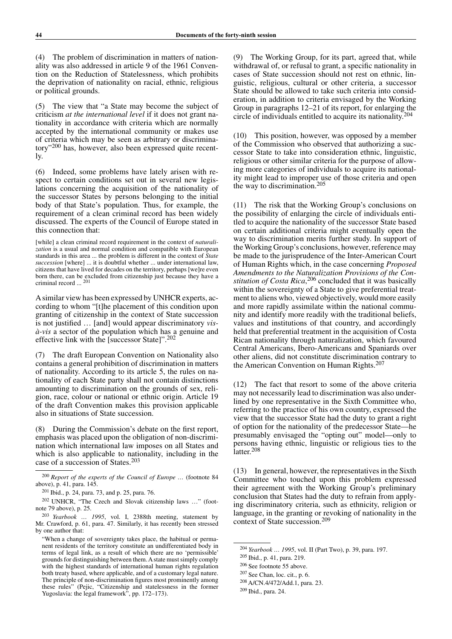(4) The problem of discrimination in matters of nationality was also addressed in article 9 of the 1961 Convention on the Reduction of Statelessness, which prohibits the deprivation of nationality on racial, ethnic, religious or political grounds.

(5) The view that "a State may become the subject of criticism *at the international level* if it does not grant nationality in accordance with criteria which are normally accepted by the international community or makes use of criteria which may be seen as arbitrary or discriminatory"200 has, however, also been expressed quite recently.

(6) Indeed, some problems have lately arisen with respect to certain conditions set out in several new legislations concerning the acquisition of the nationality of the successor States by persons belonging to the initial body of that State's population. Thus, for example, the requirement of a clean criminal record has been widely discussed. The experts of the Council of Europe stated in this connection that:

[while] a clean criminal record requirement in the context of *naturalization* is a usual and normal condition and compatible with European standards in this area ... the problem is different in the context of *State succession* [where] ... it is doubtful whether ... under international law, citizens that have lived for decades on the territory, perhaps [we]re even born there, can be excluded from citizenship just because they have a criminal record ... 201

A similar view has been expressed by UNHCR experts, according to whom "[t]he placement of this condition upon granting of citizenship in the context of State succession is not justified … [and] would appear discriminatory *visà-vis* a sector of the population which has a genuine and effective link with the [successor State]".202

(7) The draft European Convention on Nationality also contains a general prohibition of discrimination in matters of nationality. According to its article 5, the rules on nationality of each State party shall not contain distinctions amounting to discrimination on the grounds of sex, religion, race, colour or national or ethnic origin. Article 19 of the draft Convention makes this provision applicable also in situations of State succession.

(8) During the Commission's debate on the first report, emphasis was placed upon the obligation of non-discrimination which international law imposes on all States and which is also applicable to nationality, including in the case of a succession of States.203

(9) The Working Group, for its part, agreed that, while withdrawal of, or refusal to grant, a specific nationality in cases of State succession should not rest on ethnic, linguistic, religious, cultural or other criteria, a successor State should be allowed to take such criteria into consideration, in addition to criteria envisaged by the Working Group in paragraphs 12–21 of its report, for enlarging the circle of individuals entitled to acquire its nationality.<sup>204</sup>

(10) This position, however, was opposed by a member of the Commission who observed that authorizing a successor State to take into consideration ethnic, linguistic, religious or other similar criteria for the purpose of allowing more categories of individuals to acquire its nationality might lead to improper use of those criteria and open the way to discrimination.205

(11) The risk that the Working Group's conclusions on the possibility of enlarging the circle of individuals entitled to acquire the nationality of the successor State based on certain additional criteria might eventually open the way to discrimination merits further study. In support of the Working Group's conclusions, however, reference may be made to the jurisprudence of the Inter-American Court of Human Rights which, in the case concerning *Proposed Amendments to the Naturalization Provisions of the Constitution of Costa Rica*, 206 concluded that it was basically within the sovereignty of a State to give preferential treatment to aliens who, viewed objectively, would more easily and more rapidly assimilate within the national community and identify more readily with the traditional beliefs, values and institutions of that country, and accordingly held that preferential treatment in the acquisition of Costa Rican nationality through naturalization, which favoured Central Americans, Ibero-Americans and Spaniards over other aliens, did not constitute discrimination contrary to the American Convention on Human Rights.<sup>207</sup>

(12) The fact that resort to some of the above criteria may not necessarily lead to discrimination was also underlined by one representative in the Sixth Committee who, referring to the practice of his own country, expressed the view that the successor State had the duty to grant a right of option for the nationality of the predecessor State—he presumably envisaged the "opting out" model—only to persons having ethnic, linguistic or religious ties to the latter.<sup>208</sup>

(13) In general, however, the representatives in the Sixth Committee who touched upon this problem expressed their agreement with the Working Group's preliminary conclusion that States had the duty to refrain from applying discriminatory criteria, such as ethnicity, religion or language, in the granting or revoking of nationality in the context of State succession.209

- 207 See Chan, loc. cit., p. 6.
- 208 A/CN.4/472/Add.1, para. 23.

<sup>200</sup>*Report of the experts of the Council of Europe …* (footnote 84 above), p. 41, para. 145.

<sup>201</sup> Ibid., p. 24, para. 73, and p. 25, para. 76.

<sup>202</sup> UNHCR, "The Czech and Slovak citizenship laws …" (footnote 79 above), p. 25.

<sup>203</sup>*Yearbook … 1995*, vol. I, 2388th meeting, statement by Mr. Crawford, p. 61, para. 47. Similarly, it has recently been stressed by one author that:

<sup>&</sup>quot;When a change of sovereignty takes place, the habitual or permanent residents of the territory constitute an undifferentiated body in terms of legal link, as a result of which there are no 'permissible' grounds for distinguishing between them. A state must simply comply with the highest standards of international human rights regulation both treaty based, where applicable, and of a customary legal nature. The principle of non-discrimination figures most prominently among these rules" (Pejic, "Citizenship and statelessness in the former Yugoslavia: the legal framework", pp. 172–173).

<sup>204</sup>*Yearbook … 1995*, vol. II (Part Two), p. 39, para. 197.

<sup>205</sup> Ibid., p. 41, para. 219.

<sup>206</sup> See footnote 55 above.

<sup>209</sup> Ibid., para. 24.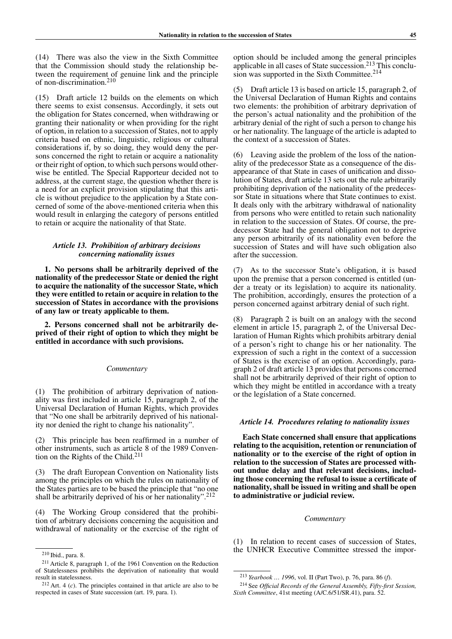(14) There was also the view in the Sixth Committee that the Commission should study the relationship between the requirement of genuine link and the principle of non-discrimination.210

(15) Draft article 12 builds on the elements on which there seems to exist consensus. Accordingly, it sets out the obligation for States concerned, when withdrawing or granting their nationality or when providing for the right of option, in relation to a succession of States, not to apply criteria based on ethnic, linguistic, religious or cultural considerations if, by so doing, they would deny the persons concerned the right to retain or acquire a nationality or their right of option, to which such persons would otherwise be entitled. The Special Rapporteur decided not to address, at the current stage, the question whether there is a need for an explicit provision stipulating that this article is without prejudice to the application by a State concerned of some of the above-mentioned criteria when this would result in enlarging the category of persons entitled to retain or acquire the nationality of that State.

# *Article 13. Prohibition of arbitrary decisions concerning nationality issues*

**1. No persons shall be arbitrarily deprived of the nationality of the predecessor State or denied the right to acquire the nationality of the successor State, which they were entitled to retain or acquire in relation to the succession of States in accordance with the provisions of any law or treaty applicable to them.**

**2. Persons concerned shall not be arbitrarily deprived of their right of option to which they might be entitled in accordance with such provisions.**

#### *Commentary*

(1) The prohibition of arbitrary deprivation of nationality was first included in article 15, paragraph 2, of the Universal Declaration of Human Rights, which provides that "No one shall be arbitrarily deprived of his nationality nor denied the right to change his nationality".

(2) This principle has been reaffirmed in a number of other instruments, such as article 8 of the 1989 Convention on the Rights of the Child.<sup>211</sup>

(3) The draft European Convention on Nationality lists among the principles on which the rules on nationality of the States parties are to be based the principle that "no one shall be arbitrarily deprived of his or her nationality".<sup>212</sup>

(4) The Working Group considered that the prohibition of arbitrary decisions concerning the acquisition and withdrawal of nationality or the exercise of the right of option should be included among the general principles applicable in all cases of State succession.213 This conclusion was supported in the Sixth Committee.<sup>214</sup>

(5) Draft article 13 is based on article 15, paragraph 2, of the Universal Declaration of Human Rights and contains two elements: the prohibition of arbitrary deprivation of the person's actual nationality and the prohibition of the arbitrary denial of the right of such a person to change his or her nationality. The language of the article is adapted to the context of a succession of States.

(6) Leaving aside the problem of the loss of the nationality of the predecessor State as a consequence of the disappearance of that State in cases of unification and dissolution of States, draft article 13 sets out the rule arbitrarily prohibiting deprivation of the nationality of the predecessor State in situations where that State continues to exist. It deals only with the arbitrary withdrawal of nationality from persons who were entitled to retain such nationality in relation to the succession of States. Of course, the predecessor State had the general obligation not to deprive any person arbitrarily of its nationality even before the succession of States and will have such obligation also after the succession.

(7) As to the successor State's obligation, it is based upon the premise that a person concerned is entitled (under a treaty or its legislation) to acquire its nationality. The prohibition, accordingly, ensures the protection of a person concerned against arbitrary denial of such right.

(8) Paragraph 2 is built on an analogy with the second element in article 15, paragraph 2, of the Universal Declaration of Human Rights which prohibits arbitrary denial of a person's right to change his or her nationality. The expression of such a right in the context of a succession of States is the exercise of an option. Accordingly, paragraph 2 of draft article 13 provides that persons concerned shall not be arbitrarily deprived of their right of option to which they might be entitled in accordance with a treaty or the legislation of a State concerned.

## *Article 14. Procedures relating to nationality issues*

**Each State concerned shall ensure that applications relating to the acquisition, retention or renunciation of nationality or to the exercise of the right of option in relation to the succession of States are processed without undue delay and that relevant decisions, including those concerning the refusal to issue a certificate of nationality, shall be issued in writing and shall be open to administrative or judicial review.**

#### *Commentary*

(1) In relation to recent cases of succession of States,  $t_{\text{210}}$  Ibid., para. 8.

<sup>211</sup> Article 8, paragraph 1, of the 1961 Convention on the Reduction of Statelessness prohibits the deprivation of nationality that would result in statelessness.

<sup>212</sup> Art. 4 (*c*). The principles contained in that article are also to be respected in cases of State succession (art. 19, para. 1).

<sup>213</sup>*Yearbook … 1996*, vol. II (Part Two), p. 76, para. 86 (*f*).

<sup>214</sup> See *Official Records of the General Assembly, Fifty-first Session, Sixth Committee*, 41st meeting (A/C.6/51/SR.41), para. 52.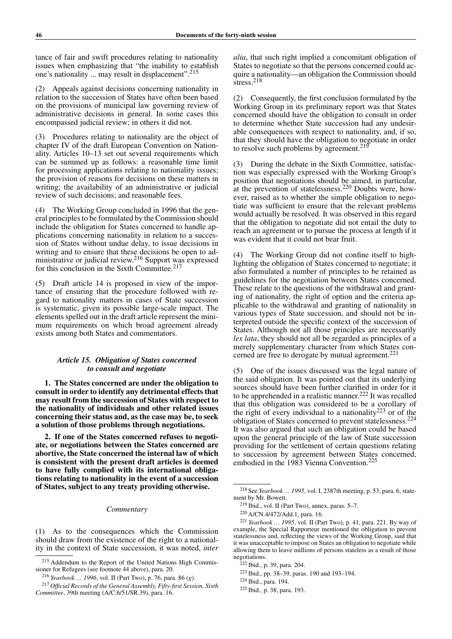tance of fair and swift procedures relating to nationality issues when emphasizing that "the inability to establish one's nationality ... may result in displacement".215

(2) Appeals against decisions concerning nationality in relation to the succession of States have often been based on the provisions of municipal law governing review of administrative decisions in general. In some cases this encompassed judicial review; in others it did not.

(3) Procedures relating to nationality are the object of chapter IV of the draft European Convention on Nationality. Articles 10–13 set out several requirements which can be summed up as follows: a reasonable time limit for processing applications relating to nationality issues; the provision of reasons for decisions on these matters in writing; the availability of an administrative or judicial review of such decisions; and reasonable fees.

(4) The Working Group concluded in 1996 that the general principles to be formulated by the Commission should include the obligation for States concerned to handle applications concerning nationality in relation to a succession of States without undue delay, to issue decisions in writing and to ensure that these decisions be open to administrative or judicial review.<sup>216</sup> Support was expressed for this conclusion in the Sixth Committee.<sup>217</sup>

(5) Draft article 14 is proposed in view of the importance of ensuring that the procedure followed with regard to nationality matters in cases of State succession is systematic, given its possible large-scale impact. The elements spelled out in the draft article represent the minimum requirements on which broad agreement already exists among both States and commentators.

# *Article 15. Obligation of States concerned to consult and negotiate*

**1. The States concerned are under the obligation to consult in order to identify any detrimental effects that may result from the succession of States with respect to the nationality of individuals and other related issues concerning their status and, as the case may be, to seek a solution of those problems through negotiations.**

**2. If one of the States concerned refuses to negotiate, or negotiations between the States concerned are abortive, the State concerned the internal law of which is consistent with the present draft articles is deemed to have fully complied with its international obligations relating to nationality in the event of a succession of States, subject to any treaty providing otherwise.**

# *Commentary*

(1) As to the consequences which the Commission should draw from the existence of the right to a nationality in the context of State succession, it was noted, *inter*  *alia*, that such right implied a concomitant obligation of States to negotiate so that the persons concerned could acquire a nationality—an obligation the Commission should stress.<sup>218</sup>

(2) Consequently, the first conclusion formulated by the Working Group in its preliminary report was that States concerned should have the obligation to consult in order to determine whether State succession had any undesirable consequences with respect to nationality, and, if so, that they should have the obligation to negotiate in order to resolve such problems by agreement.<sup>219</sup>

(3) During the debate in the Sixth Committee, satisfaction was especially expressed with the Working Group's position that negotiations should be aimed, in particular, at the prevention of statelessness.220 Doubts were, however, raised as to whether the simple obligation to negotiate was sufficient to ensure that the relevant problems would actually be resolved. It was observed in this regard that the obligation to negotiate did not entail the duty to reach an agreement or to pursue the process at length if it was evident that it could not bear fruit.

(4) The Working Group did not confine itself to highlighting the obligation of States concerned to negotiate; it also formulated a number of principles to be retained as guidelines for the negotiation between States concerned. These relate to the questions of the withdrawal and granting of nationality, the right of option and the criteria applicable to the withdrawal and granting of nationality in various types of State succession, and should not be interpreted outside the specific context of the succession of States. Although not all those principles are necessarily *lex lata*, they should not all be regarded as principles of a merely supplementary character from which States concerned are free to derogate by mutual agreement.<sup>221</sup>

(5) One of the issues discussed was the legal nature of the said obligation. It was pointed out that its underlying sources should have been further clarified in order for it to be apprehended in a realistic manner.<sup>222</sup> It was recalled that this obligation was considered to be a corollary of the right of every individual to a nationality<sup>223</sup> or of the obligation of States concerned to prevent statelessness.<sup>224</sup> It was also argued that such an obligation could be based upon the general principle of the law of State succession providing for the settlement of certain questions relating to succession by agreement between States concerned, embodied in the 1983 Vienna Convention.<sup>225</sup>

224 Ibid., para. 194.

<sup>215</sup> Addendum to the Report of the United Nations High Commissioner for Refugees (see footnote 44 above), para. 20.

<sup>216</sup>*Yearbook … 1996*, vol. II (Part Two), p. 76, para. 86 (*g*).

<sup>217</sup>*Official Records of the General Assembly, Fifty-first Session, Sixth Committee*, 39th meeting (A/C.6/51/SR.39), para. 16.

<sup>218</sup> See *Yearbook … 1995*, vol. I, 2387th meeting, p. 53, para. 6, statement by Mr. Bowett.

<sup>219</sup> Ibid., vol. II (Part Two), annex, paras. 5–7.

<sup>220</sup> A/CN.4/472/Add.1, para. 16.

<sup>221</sup>*Yearbook … 1995*, vol. II (Part Two), p. 41, para. 221. By way of example, the Special Rapporteur mentioned the obligation to prevent statelessness and, reflecting the views of the Working Group, said that it was unacceptable to impose on States an obligation to negotiate while allowing them to leave millions of persons stateless as a result of those negotiations.<br><sup>222</sup> Ibid., p. 39, para. 204.

<sup>223</sup> Ibid., pp. 38–39, paras. 190 and 193–194.

<sup>225</sup> Ibid., p. 38, para. 193.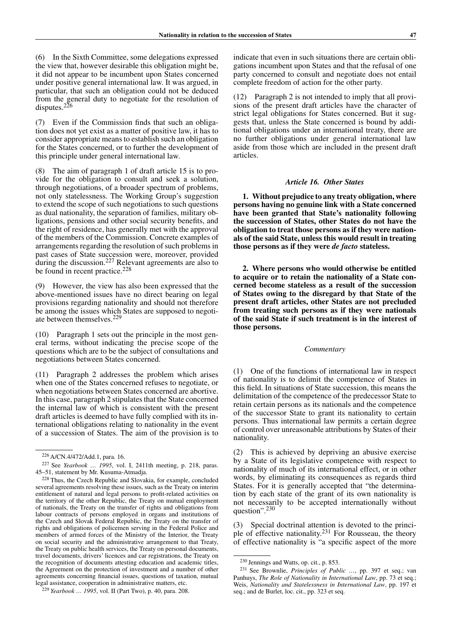(6) In the Sixth Committee, some delegations expressed the view that, however desirable this obligation might be, it did not appear to be incumbent upon States concerned under positive general international law. It was argued, in particular, that such an obligation could not be deduced from the general duty to negotiate for the resolution of disputes. $2\overline{26}$ 

(7) Even if the Commission finds that such an obligation does not yet exist as a matter of positive law, it has to consider appropriate means to establish such an obligation for the States concerned, or to further the development of this principle under general international law.

(8) The aim of paragraph 1 of draft article 15 is to provide for the obligation to consult and seek a solution, through negotiations, of a broader spectrum of problems, not only statelessness. The Working Group's suggestion to extend the scope of such negotiations to such questions as dual nationality, the separation of families, military obligations, pensions and other social security benefits, and the right of residence, has generally met with the approval of the members of the Commission. Concrete examples of arrangements regarding the resolution of such problems in past cases of State succession were, moreover, provided during the discussion.227 Relevant agreements are also to be found in recent practice.<sup>228</sup>

(9) However, the view has also been expressed that the above-mentioned issues have no direct bearing on legal provisions regarding nationality and should not therefore be among the issues which States are supposed to negotiate between themselves.<sup>229</sup>

(10) Paragraph 1 sets out the principle in the most general terms, without indicating the precise scope of the questions which are to be the subject of consultations and negotiations between States concerned.

(11) Paragraph 2 addresses the problem which arises when one of the States concerned refuses to negotiate, or when negotiations between States concerned are abortive. In this case, paragraph 2 stipulates that the State concerned the internal law of which is consistent with the present draft articles is deemed to have fully complied with its international obligations relating to nationality in the event of a succession of States. The aim of the provision is to

indicate that even in such situations there are certain obligations incumbent upon States and that the refusal of one party concerned to consult and negotiate does not entail complete freedom of action for the other party.

(12) Paragraph 2 is not intended to imply that all provisions of the present draft articles have the character of strict legal obligations for States concerned. But it suggests that, unless the State concerned is bound by additional obligations under an international treaty, there are no further obligations under general international law aside from those which are included in the present draft articles.

# *Article 16. Other States*

**1. Without prejudice to any treaty obligation, where persons having no genuine link with a State concerned have been granted that State's nationality following the succession of States, other States do not have the obligation to treat those persons as if they were nationals of the said State, unless this would result in treating those persons as if they were** *de facto* **stateless.**

**2. Where persons who would otherwise be entitled to acquire or to retain the nationality of a State concerned become stateless as a result of the succession of States owing to the disregard by that State of the present draft articles, other States are not precluded from treating such persons as if they were nationals of the said State if such treatment is in the interest of those persons.**

### *Commentary*

(1) One of the functions of international law in respect of nationality is to delimit the competence of States in this field. In situations of State succession, this means the delimitation of the competence of the predecessor State to retain certain persons as its nationals and the competence of the successor State to grant its nationality to certain persons. Thus international law permits a certain degree of control over unreasonable attributions by States of their nationality.

(2) This is achieved by depriving an abusive exercise by a State of its legislative competence with respect to nationality of much of its international effect, or in other words, by eliminating its consequences as regards third States. For it is generally accepted that "the determination by each state of the grant of its own nationality is not necessarily to be accepted internationally without question".230

(3) Special doctrinal attention is devoted to the principle of effective nationality.<sup>231</sup> For Rousseau, the theory of effective nationality is "a specific aspect of the more

<sup>226</sup> A/CN.4/472/Add.1, para. 16.

<sup>227</sup> See *Yearbook … 1995*, vol. I, 2411th meeting, p. 218, paras. 45–51, statement by Mr. Kusuma-Atmadja.

<sup>228</sup> Thus, the Czech Republic and Slovakia, for example, concluded several agreements resolving these issues, such as the Treaty on interim entitlement of natural and legal persons to profit-related activities on the territory of the other Republic, the Treaty on mutual employment of nationals, the Treaty on the transfer of rights and obligations from labour contracts of persons employed in organs and institutions of the Czech and Slovak Federal Republic, the Treaty on the transfer of rights and obligations of policemen serving in the Federal Police and members of armed forces of the Ministry of the Interior, the Treaty on social security and the administrative arrangement to that Treaty, the Treaty on public health services, the Treaty on personal documents, travel documents, drivers' licences and car registrations, the Treaty on the recognition of documents attesting education and academic titles, the Agreement on the protection of investment and a number of other agreements concerning financial issues, questions of taxation, mutual legal assistance, cooperation in administrative matters, etc.

<sup>229</sup>*Yearbook … 1995*, vol. II (Part Two), p. 40, para. 208.

<sup>230</sup> Jennings and Watts, op. cit., p. 853.

<sup>231</sup> See Brownlie, *Principles of Public …*, pp. 397 et seq.; van Panhuys, *The Role of Nationality in International Law*, pp. 73 et seq.; Weis, *Nationality and Statelessness in International Law*, pp. 197 et seq.; and de Burlet, loc. cit., pp. 323 et seq.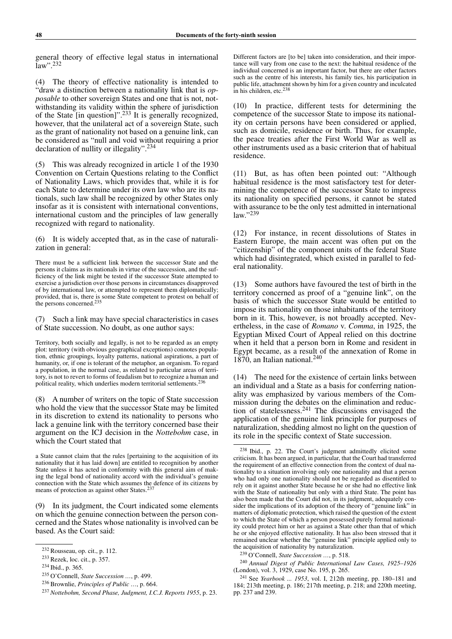general theory of effective legal status in international  $\lim_{x \to 232}$ 

(4) The theory of effective nationality is intended to "draw a distinction between a nationality link that is *opposable* to other sovereign States and one that is not, notwithstanding its validity within the sphere of jurisdiction of the State [in question]".233 It is generally recognized, however, that the unilateral act of a sovereign State, such as the grant of nationality not based on a genuine link, can be considered as "null and void without requiring a prior declaration of nullity or illegality".234

(5) This was already recognized in article 1 of the 1930 Convention on Certain Questions relating to the Conflict of Nationality Laws, which provides that, while it is for each State to determine under its own law who are its nationals, such law shall be recognized by other States only insofar as it is consistent with international conventions, international custom and the principles of law generally recognized with regard to nationality.

(6) It is widely accepted that, as in the case of naturalization in general:

There must be a sufficient link between the successor State and the persons it claims as its nationals in virtue of the succession, and the sufficiency of the link might be tested if the successor State attempted to exercise a jurisdiction over those persons in circumstances disapproved of by international law, or attempted to represent them diplomatically; provided, that is, there is some State competent to protest on behalf of the persons concerned.<sup>235</sup>

(7) Such a link may have special characteristics in cases of State succession. No doubt, as one author says:

Territory, both socially and legally, is not to be regarded as an empty plot: territory (with obvious geographical exceptions) connotes population, ethnic groupings, loyalty patterns, national aspirations, a part of humanity, or, if one is tolerant of the metaphor, an organism. To regard a population, in the normal case, as related to particular areas of territory, is not to revert to forms of feudalism but to recognize a human and political reality, which underlies modern territorial settlements.<sup>23</sup>

(8) A number of writers on the topic of State succession who hold the view that the successor State may be limited in its discretion to extend its nationality to persons who lack a genuine link with the territory concerned base their argument on the ICJ decision in the *Nottebohm* case, in which the Court stated that

a State cannot claim that the rules [pertaining to the acquisition of its nationality that it has laid down] are entitled to recognition by another State unless it has acted in conformity with this general aim of making the legal bond of nationality accord with the individual's genuine connection with the State which assumes the defence of its citizens by means of protection as against other States.<sup>237</sup>

(9) In its judgment, the Court indicated some elements on which the genuine connection between the person concerned and the States whose nationality is involved can be based. As the Court said:

Different factors are [to be] taken into consideration, and their importance will vary from one case to the next: the habitual residence of the individual concerned is an important factor, but there are other factors such as the centre of his interests, his family ties, his participation in public life, attachment shown by him for a given country and inculcated in his children, etc.<sup>238</sup>

(10) In practice, different tests for determining the competence of the successor State to impose its nationality on certain persons have been considered or applied, such as domicile, residence or birth. Thus, for example, the peace treaties after the First World War as well as other instruments used as a basic criterion that of habitual residence.

(11) But, as has often been pointed out: "Although habitual residence is the most satisfactory test for determining the competence of the successor State to impress its nationality on specified persons, it cannot be stated with assurance to be the only test admitted in international law."239

(12) For instance, in recent dissolutions of States in Eastern Europe, the main accent was often put on the "citizenship" of the component units of the federal State which had disintegrated, which existed in parallel to federal nationality.

(13) Some authors have favoured the test of birth in the territory concerned as proof of a "genuine link", on the basis of which the successor State would be entitled to impose its nationality on those inhabitants of the territory born in it. This, however, is not broadly accepted. Nevertheless, in the case of *Romano* v. *Comma*, in 1925, the Egyptian Mixed Court of Appeal relied on this doctrine when it held that a person born in Rome and resident in Egypt became, as a result of the annexation of Rome in 1870, an Italian national.240

(14) The need for the existence of certain links between an individual and a State as a basis for conferring nationality was emphasized by various members of the Commission during the debates on the elimination and reduction of statelessness. $241$  The discussions envisaged the application of the genuine link principle for purposes of naturalization, shedding almost no light on the question of its role in the specific context of State succession.

239 O'Connell, *State Succession …*, p. 518.

<sup>240</sup>*Annual Digest of Public International Law Cases, 1925–1926* (London), vol. 3, 1929, case No. 195, p. 265.

241 See *Yearbook ... 1953*, vol. I, 212th meeting, pp. 180–181 and 184; 213th meeting, p. 186; 217th meeting, p. 218; and 220th meeting, pp. 237 and 239.

<sup>232</sup> Rousseau, op. cit., p. 112.

<sup>233</sup> Rezek, loc. cit., p. 357.

<sup>234</sup> Ibid., p. 365.

<sup>235</sup> O'Connell, *State Succession …*, p. 499.

<sup>236</sup> Brownlie, *Principles of Public …*, p. 664.

<sup>237</sup>*Nottebohm, Second Phase, Judgment, I.C.J. Reports 1955*, p. 23.

<sup>238</sup> Ibid., p. 22. The Court's judgment admittedly elicited some criticism. It has been argued, in particular, that the Court had transferred the requirement of an effective connection from the context of dual nationality to a situation involving only one nationality and that a person who had only one nationality should not be regarded as disentitled to rely on it against another State because he or she had no effective link with the State of nationality but only with a third State. The point has also been made that the Court did not, in its judgment, adequately consider the implications of its adoption of the theory of "genuine link" in matters of diplomatic protection, which raised the question of the extent to which the State of which a person possessed purely formal nationality could protect him or her as against a State other than that of which he or she enjoyed effective nationality. It has also been stressed that it remained unclear whether the "genuine link" principle applied only to the acquisition of nationality by naturalization.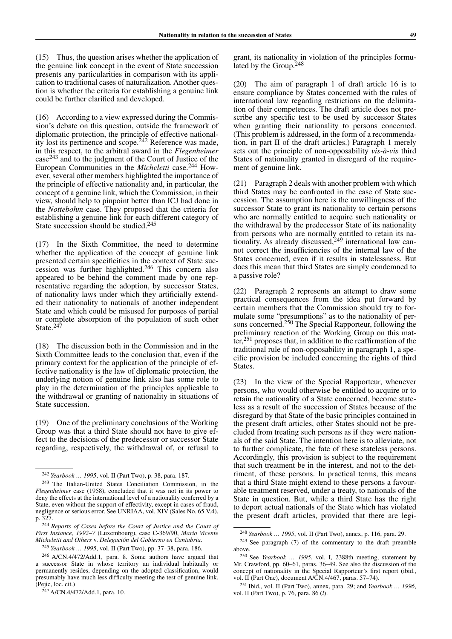(15) Thus, the question arises whether the application of the genuine link concept in the event of State succession presents any particularities in comparison with its application to traditional cases of naturalization. Another question is whether the criteria for establishing a genuine link could be further clarified and developed.

(16) According to a view expressed during the Commission's debate on this question, outside the framework of diplomatic protection, the principle of effective nationality lost its pertinence and scope.<sup>242</sup> Reference was made, in this respect, to the arbitral award in the *Flegenheimer*  $case<sup>243</sup>$  and to the judgment of the Court of Justice of the European Communities in the *Micheletti* case.244 However, several other members highlighted the importance of the principle of effective nationality and, in particular, the concept of a genuine link, which the Commission, in their view, should help to pinpoint better than ICJ had done in the *Nottebohm* case. They proposed that the criteria for establishing a genuine link for each different category of State succession should be studied.<sup>245</sup>

(17) In the Sixth Committee, the need to determine whether the application of the concept of genuine link presented certain specificities in the context of State succession was further highlighted.246 This concern also appeared to be behind the comment made by one representative regarding the adoption, by successor States, of nationality laws under which they artificially extended their nationality to nationals of another independent State and which could be misused for purposes of partial or complete absorption of the population of such other State. $247$ 

(18) The discussion both in the Commission and in the Sixth Committee leads to the conclusion that, even if the primary context for the application of the principle of effective nationality is the law of diplomatic protection, the underlying notion of genuine link also has some role to play in the determination of the principles applicable to the withdrawal or granting of nationality in situations of State succession.

(19) One of the preliminary conclusions of the Working Group was that a third State should not have to give effect to the decisions of the predecessor or successor State regarding, respectively, the withdrawal of, or refusal to grant, its nationality in violation of the principles formulated by the Group.<sup>248</sup>

(20) The aim of paragraph 1 of draft article 16 is to ensure compliance by States concerned with the rules of international law regarding restrictions on the delimitation of their competences. The draft article does not prescribe any specific test to be used by successor States when granting their nationality to persons concerned. (This problem is addressed, in the form of a recommendation, in part II of the draft articles.) Paragraph 1 merely sets out the principle of non-opposability *vis-à-vis* third States of nationality granted in disregard of the requirement of genuine link.

(21) Paragraph 2 deals with another problem with which third States may be confronted in the case of State succession. The assumption here is the unwillingness of the successor State to grant its nationality to certain persons who are normally entitled to acquire such nationality or the withdrawal by the predecessor State of its nationality from persons who are normally entitled to retain its nationality. As already discussed,<sup>249</sup> international law cannot correct the insufficiencies of the internal law of the States concerned, even if it results in statelessness. But does this mean that third States are simply condemned to a passive role?

(22) Paragraph 2 represents an attempt to draw some practical consequences from the idea put forward by certain members that the Commission should try to formulate some "presumptions" as to the nationality of persons concerned.<sup>250</sup> The Special Rapporteur, following the preliminary reaction of the Working Group on this matter,  $251$  proposes that, in addition to the reaffirmation of the traditional rule of non-opposability in paragraph 1, a specific provision be included concerning the rights of third States.

(23) In the view of the Special Rapporteur, whenever persons, who would otherwise be entitled to acquire or to retain the nationality of a State concerned, become stateless as a result of the succession of States because of the disregard by that State of the basic principles contained in the present draft articles, other States should not be precluded from treating such persons as if they were nationals of the said State. The intention here is to alleviate, not to further complicate, the fate of these stateless persons. Accordingly, this provision is subject to the requirement that such treatment be in the interest, and not to the detriment, of these persons. In practical terms, this means that a third State might extend to these persons a favourable treatment reserved, under a treaty, to nationals of the State in question. But, while a third State has the right to deport actual nationals of the State which has violated the present draft articles, provided that there are legi-

<sup>242</sup>*Yearbook … 1995*, vol. II (Part Two), p. 38, para. 187.

<sup>243</sup> The Italian-United States Conciliation Commission, in the *Flegenheimer* case (1958), concluded that it was not in its power to deny the effects at the international level of a nationality conferred by a State, even without the support of effectivity, except in cases of fraud, negligence or serious error. See UNRIAA, vol. XIV (Sales No. 65.V.4), p. 327.

<sup>244</sup>*Reports of Cases before the Court of Justice and the Court of First Instance, 1992–7* (Luxembourg), case C-369/90, *Mario Vicente Micheletti and Others* v. *Delegación del Gobierno en Cantabria*.

<sup>245</sup>*Yearbook … 1995*, vol. II (Part Two), pp. 37–38, para. 186.

<sup>246</sup> A/CN.4/472/Add.1, para. 8. Some authors have argued that a successor State in whose territory an individual habitually or permanently resides, depending on the adopted classification, would presumably have much less difficulty meeting the test of genuine link. (Pejic, loc. cit.)

<sup>247</sup> A/CN.4/472/Add.1, para. 10.

<sup>248</sup>*Yearbook … 1995*, vol. II (Part Two), annex, p. 116, para. 29.

<sup>249</sup> See paragraph (7) of the commentary to the draft preamble above.

<sup>250</sup> See *Yearbook … 1995*, vol. I, 2388th meeting, statement by Mr. Crawford, pp. 60–61, paras. 36–49. See also the discussion of the concept of nationality in the Special Rapporteur's first report (ibid., vol. II (Part One), document A/CN.4/467, paras. 57–74).

<sup>251</sup> Ibid., vol. II (Part Two), annex, para. 29; and *Yearbook … 1996*, vol. II (Part Two), p. 76, para. 86 (*l*).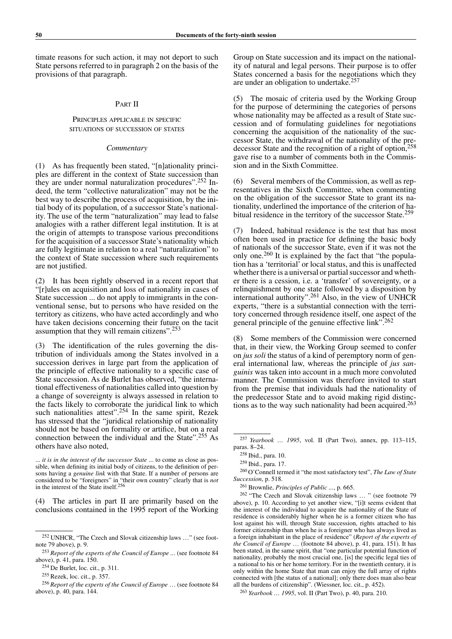timate reasons for such action, it may not deport to such State persons referred to in paragraph 2 on the basis of the provisions of that paragraph.

### PART II

# PRINCIPLES APPLICABLE IN SPECIFIC situations of succession of states

#### *Commentary*

(1) As has frequently been stated, "[n]ationality principles are different in the context of State succession than they are under normal naturalization procedures".252 Indeed, the term "collective naturalization" may not be the best way to describe the process of acquisition, by the initial body of its population, of a successor State's nationality. The use of the term "naturalization" may lead to false analogies with a rather different legal institution. It is at the origin of attempts to transpose various preconditions for the acquisition of a successor State's nationality which are fully legitimate in relation to a real "naturalization" to the context of State succession where such requirements are not justified.

(2) It has been rightly observed in a recent report that "[r]ules on acquisition and loss of nationality in cases of State succession ... do not apply to immigrants in the conventional sense, but to persons who have resided on the territory as citizens, who have acted accordingly and who have taken decisions concerning their future on the tacit assumption that they will remain citizens".253

(3) The identification of the rules governing the distribution of individuals among the States involved in a succession derives in large part from the application of the principle of effective nationality to a specific case of State succession. As de Burlet has observed, "the international effectiveness of nationalities called into question by a change of sovereignty is always assessed in relation to the facts likely to corroborate the juridical link to which such nationalities attest".<sup>254</sup> In the same spirit, Rezek has stressed that the "juridical relationship of nationality should not be based on formality or artifice, but on a real connection between the individual and the State".255 As others have also noted,

... *it is in the interest of the successor State* ... to come as close as possible, when defining its initial body of citizens, to the definition of persons having a *genuine link* with that State. If a number of persons are considered to be "foreigners" in "their own country" clearly that is *not* in the interest of the State itself.256

(4) The articles in part II are primarily based on the conclusions contained in the 1995 report of the Working Group on State succession and its impact on the nationality of natural and legal persons. Their purpose is to offer States concerned a basis for the negotiations which they are under an obligation to undertake.257

(5) The mosaic of criteria used by the Working Group for the purpose of determining the categories of persons whose nationality may be affected as a result of State succession and of formulating guidelines for negotiations concerning the acquisition of the nationality of the successor State, the withdrawal of the nationality of the predecessor State and the recognition of a right of option,<sup>258</sup> gave rise to a number of comments both in the Commission and in the Sixth Committee.

(6) Several members of the Commission, as well as representatives in the Sixth Committee, when commenting on the obligation of the successor State to grant its nationality, underlined the importance of the criterion of habitual residence in the territory of the successor State.<sup>259</sup>

(7) Indeed, habitual residence is the test that has most often been used in practice for defining the basic body of nationals of the successor State, even if it was not the only one.260 It is explained by the fact that "the population has a 'territorial' or local status, and this is unaffected whether there is a universal or partial successor and whether there is a cession, i.e. a 'transfer' of sovereignty, or a relinquishment by one state followed by a disposition by international authority".<sup>261</sup> Also, in the view of UNHCR experts, "there is a substantial connection with the territory concerned through residence itself, one aspect of the general principle of the genuine effective link".262

(8) Some members of the Commission were concerned that, in their view, the Working Group seemed to confer on *jus soli* the status of a kind of peremptory norm of general international law, whereas the principle of *jus sanguinis* was taken into account in a much more convoluted manner. The Commission was therefore invited to start from the premise that individuals had the nationality of the predecessor State and to avoid making rigid distinctions as to the way such nationality had been acquired.<sup>263</sup>

<sup>252</sup> UNHCR, "The Czech and Slovak citizenship laws …" (see footnote 79 above), p. 9.

<sup>253</sup>*Report of the experts of the Council of Europe ..*. (see footnote 84 above), p. 41, para. 150.

<sup>254</sup> De Burlet, loc. cit., p. 311.

<sup>255</sup> Rezek, loc. cit., p. 357.

<sup>256</sup>*Report of the experts of the Council of Europe* … (see footnote 84 above), p. 40, para. 144.

<sup>257</sup>*Yearbook … 1995*, vol. II (Part Two), annex, pp. 113–115, paras. 8–24.

<sup>258</sup> Ibid., para. 10.

<sup>259</sup> Ibid., para. 17.

<sup>260</sup> O'Connell termed it "the most satisfactory test", *The Law of State* 

*Succession*, p. 518. 261 Brownlie, *Principles of Public ...*, p. 665.

<sup>262 &</sup>quot;The Czech and Slovak citizenship laws … " (see footnote 79 above), p. 10. According to yet another view, "[i]t seems evident that the interest of the individual to acquire the nationality of the State of residence is considerably higher when he is a former citizen who has lost against his will, through State succession, rights attached to his former citizenship than when he is a foreigner who has always lived as a foreign inhabitant in the place of residence" (*Report of the experts of the Council of Europe* … (footnote 84 above), p. 41, para. 151). It has been stated, in the same spirit, that "one particular potential function of nationality, probably the most crucial one, [is] the specific legal ties of a national to his or her home territory. For in the twentieth century, it is only within the home State that man can enjoy the full array of rights connected with [the status of a national]; only there does man also bear all the burdens of citizenship". (Wiessner, loc. cit., p. 452).

<sup>263</sup>*Yearbook … 1995*, vol. II (Part Two), p. 40, para. 210.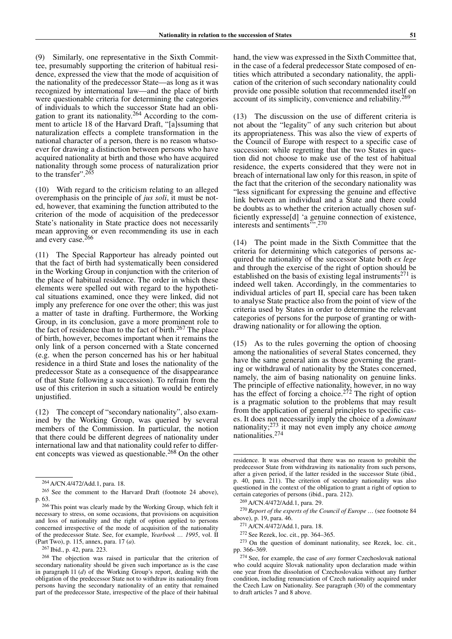(9) Similarly, one representative in the Sixth Committee, presumably supporting the criterion of habitual residence, expressed the view that the mode of acquisition of the nationality of the predecessor State—as long as it was recognized by international law—and the place of birth were questionable criteria for determining the categories of individuals to which the successor State had an obligation to grant its nationality.<sup>264</sup> According to the comment to article 18 of the Harvard Draft, "[a]ssuming that naturalization effects a complete transformation in the national character of a person, there is no reason whatsoever for drawing a distinction between persons who have acquired nationality at birth and those who have acquired nationality through some process of naturalization prior to the transfer". $265$ 

(10) With regard to the criticism relating to an alleged overemphasis on the principle of *jus soli*, it must be noted, however, that examining the function attributed to the criterion of the mode of acquisition of the predecessor State's nationality in State practice does not necessarily mean approving or even recommending its use in each and every case.<sup>266</sup>

(11) The Special Rapporteur has already pointed out that the fact of birth had systematically been considered in the Working Group in conjunction with the criterion of the place of habitual residence. The order in which these elements were spelled out with regard to the hypothetical situations examined, once they were linked, did not imply any preference for one over the other; this was just a matter of taste in drafting. Furthermore, the Working Group, in its conclusion, gave a more prominent role to the fact of residence than to the fact of birth. $267$  The place of birth, however, becomes important when it remains the only link of a person concerned with a State concerned (e.g. when the person concerned has his or her habitual residence in a third State and loses the nationality of the predecessor State as a consequence of the disappearance of that State following a succession). To refrain from the use of this criterion in such a situation would be entirely unjustified.

(12) The concept of "secondary nationality", also examined by the Working Group, was queried by several members of the Commission. In particular, the notion that there could be different degrees of nationality under international law and that nationality could refer to different concepts was viewed as questionable.<sup>268</sup> On the other

267 Ibid., p. 42, para. 223.

hand, the view was expressed in the Sixth Committee that, in the case of a federal predecessor State composed of entities which attributed a secondary nationality, the application of the criterion of such secondary nationality could provide one possible solution that recommended itself on account of its simplicity, convenience and reliability.<sup>269</sup>

(13) The discussion on the use of different criteria is not about the "legality" of any such criterion but about its appropriateness. This was also the view of experts of the Council of Europe with respect to a specific case of succession: while regretting that the two States in question did not choose to make use of the test of habitual residence, the experts considered that they were not in breach of international law only for this reason, in spite of the fact that the criterion of the secondary nationality was "less significant for expressing the genuine and effective link between an individual and a State and there could be doubts as to whether the criterion actually chosen sufficiently expresse[d] 'a genuine connection of existence, interests and sentiments".<sup>270</sup>

(14) The point made in the Sixth Committee that the criteria for determining which categories of persons acquired the nationality of the successor State both *ex lege* and through the exercise of the right of option should be established on the basis of existing legal instruments<sup>271</sup> is indeed well taken. Accordingly, in the commentaries to individual articles of part II, special care has been taken to analyse State practice also from the point of view of the criteria used by States in order to determine the relevant categories of persons for the purpose of granting or withdrawing nationality or for allowing the option.

(15) As to the rules governing the option of choosing among the nationalities of several States concerned, they have the same general aim as those governing the granting or withdrawal of nationality by the States concerned, namely, the aim of basing nationality on genuine links. The principle of effective nationality, however, in no way has the effect of forcing a choice.<sup>272</sup> The right of option is a pragmatic solution to the problems that may result from the application of general principles to specific cases. It does not necessarily imply the choice of a *dominant* nationality;273 it may not even imply any choice *among* nationalities.274

<sup>270</sup>*Report of the experts of the Council of Europe …* (see footnote 84 above), p. 19, para. 46.

272 See Rezek, loc. cit., pp. 364–365.

273 On the question of dominant nationality, see Rezek, loc. cit., pp. 366–369.

<sup>264</sup> A/CN.4/472/Add.1, para. 18.

<sup>265</sup> See the comment to the Harvard Draft (footnote 24 above), p. 63.

<sup>266</sup> This point was clearly made by the Working Group, which felt it necessary to stress, on some occasions, that provisions on acquisition and loss of nationality and the right of option applied to persons concerned irrespective of the mode of acquisition of the nationality of the predecessor State. See, for example, *Yearbook … 1995*, vol. II (Part Two), p. 115, annex, para. 17 (*a*).

<sup>268</sup> The objection was raised in particular that the criterion of secondary nationality should be given such importance as is the case in paragraph 11 (*d*) of the Working Group's report, dealing with the obligation of the predecessor State not to withdraw its nationality from persons having the secondary nationality of an entity that remained part of the predecessor State, irrespective of the place of their habitual

residence. It was observed that there was no reason to prohibit the predecessor State from withdrawing its nationality from such persons, after a given period, if the latter resided in the successor State (ibid., p. 40, para. 211). The criterion of secondary nationality was also questioned in the context of the obligation to grant a right of option to certain categories of persons (ibid., para. 212).

<sup>269</sup> A/CN.4/472/Add.1, para. 29.

<sup>271</sup> A/CN.4/472/Add.1, para. 18.

<sup>274</sup> See, for example, the case of *any* former Czechoslovak national who could acquire Slovak nationality upon declaration made within one year from the dissolution of Czechoslovakia without any further condition, including renunciation of Czech nationality acquired under the Czech Law on Nationality. See paragraph (30) of the commentary to draft articles 7 and 8 above.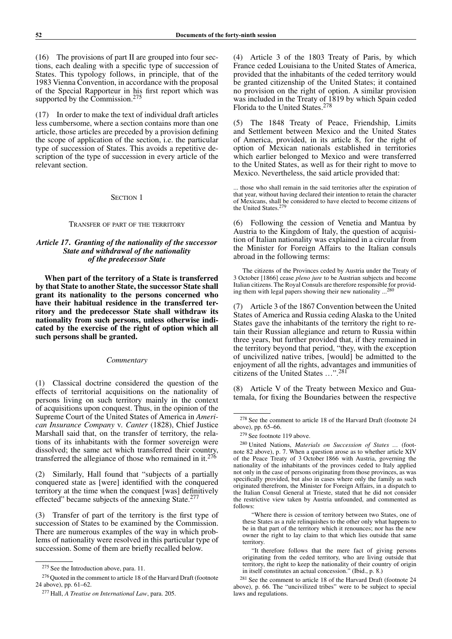(16) The provisions of part II are grouped into four sections, each dealing with a specific type of succession of States. This typology follows, in principle, that of the 1983 Vienna Convention, in accordance with the proposal of the Special Rapporteur in his first report which was supported by the Commission.<sup>275</sup>

(17) In order to make the text of individual draft articles less cumbersome, where a section contains more than one article, those articles are preceded by a provision defining the scope of application of the section, i.e. the particular type of succession of States. This avoids a repetitive description of the type of succession in every article of the relevant section.

# SECTION<sub>1</sub>

#### Transfer of part of the territory

# *Article 17***.** *Granting of the nationality of the successor State and withdrawal of the nationality of the predecessor State*

**When part of the territory of a State is transferred by that State to another State, the successor State shall grant its nationality to the persons concerned who have their habitual residence in the transferred territory and the predecessor State shall withdraw its nationality from such persons, unless otherwise indicated by the exercise of the right of option which all such persons shall be granted.**

# *Commentary*

(1) Classical doctrine considered the question of the effects of territorial acquisitions on the nationality of persons living on such territory mainly in the context of acquisitions upon conquest. Thus, in the opinion of the Supreme Court of the United States of America in *American Insurance Company* v*. Canter* (1828), Chief Justice Marshall said that, on the transfer of territory, the relations of its inhabitants with the former sovereign were dissolved; the same act which transferred their country, transferred the allegiance of those who remained in it.<sup>276</sup>

Similarly, Hall found that "subjects of a partially conquered state as [were] identified with the conquered territory at the time when the conquest [was] definitively effected" became subjects of the annexing State.<sup>277</sup>

(3) Transfer of part of the territory is the first type of succession of States to be examined by the Commission. There are numerous examples of the way in which problems of nationality were resolved in this particular type of succession. Some of them are briefly recalled below.

(4) Article 3 of the 1803 Treaty of Paris, by which France ceded Louisiana to the United States of America, provided that the inhabitants of the ceded territory would be granted citizenship of the United States; it contained no provision on the right of option. A similar provision was included in the Treaty of 1819 by which Spain ceded Florida to the United States.278

(5) The 1848 Treaty of Peace, Friendship, Limits and Settlement between Mexico and the United States of America, provided, in its article 8, for the right of option of Mexican nationals established in territories which earlier belonged to Mexico and were transferred to the United States, as well as for their right to move to Mexico. Nevertheless, the said article provided that:

... those who shall remain in the said territories after the expiration of that year, without having declared their intention to retain the character of Mexicans, shall be considered to have elected to become citizens of the United States.<sup>279</sup>

(6) Following the cession of Venetia and Mantua by Austria to the Kingdom of Italy, the question of acquisition of Italian nationality was explained in a circular from the Minister for Foreign Affairs to the Italian consuls abroad in the following terms:

The citizens of the Provinces ceded by Austria under the Treaty of 3 October [1866] cease *pleno jure* to be Austrian subjects and become Italian citizens. The Royal Consuls are therefore responsible for providing them with legal papers showing their new nationality  $\ldots^{28}$ 

(7) Article 3 of the 1867 Convention between the United States of America and Russia ceding Alaska to the United States gave the inhabitants of the territory the right to retain their Russian allegiance and return to Russia within three years, but further provided that, if they remained in the territory beyond that period, "they, with the exception of uncivilized native tribes, [would] be admitted to the enjoyment of all the rights, advantages and immunities of citizens of the United States …".281

(8) Article V of the Treaty between Mexico and Guatemala, for fixing the Boundaries between the respective

"It therefore follows that the mere fact of giving persons originating from the ceded territory, who are living outside that territory, the right to keep the nationality of their country of origin in itself constitutes an actual concession." (Ibid., p. 8.)

<sup>281</sup> See the comment to article 18 of the Harvard Draft (footnote 24 above), p. 66. The "uncivilized tribes" were to be subject to special laws and regulations.

<sup>275</sup> See the Introduction above, para. 11.

<sup>276</sup> Quoted in the comment to article 18 of the Harvard Draft (footnote 24 above), pp. 61–62.

<sup>277</sup> Hall, *A Treatise on International Law*, para. 205.

<sup>278</sup> See the comment to article 18 of the Harvard Draft (footnote 24 above), pp. 65–66.

<sup>279</sup> See footnote 119 above.

<sup>280</sup> United Nations, *Materials on Succession of States …* (footnote 82 above), p. 7. When a question arose as to whether article XIV of the Peace Treaty of 3 October 1866 with Austria, governing the nationality of the inhabitants of the provinces ceded to Italy applied not only in the case of persons originating from those provinces, as was specifically provided, but also in cases where only the family as such originated therefrom, the Minister for Foreign Affairs, in a dispatch to the Italian Consul General at Trieste, stated that he did not consider the restrictive view taken by Austria unfounded, and commented as follows:

<sup>&</sup>quot;Where there is cession of territory between two States, one of these States as a rule relinquishes to the other only what happens to be in that part of the territory which it renounces; nor has the new owner the right to lay claim to that which lies outside that same territory.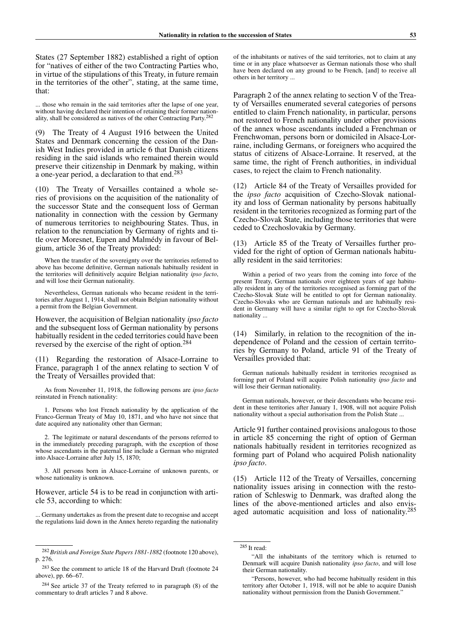States (27 September 1882) established a right of option for "natives of either of the two Contracting Parties who, in virtue of the stipulations of this Treaty, in future remain in the territories of the other", stating, at the same time, that:

... those who remain in the said territories after the lapse of one year, without having declared their intention of retaining their former nationality, shall be considered as natives of the other Contracting Party.<sup>2</sup>

(9) The Treaty of 4 August 1916 between the United States and Denmark concerning the cession of the Danish West Indies provided in article 6 that Danish citizens residing in the said islands who remained therein would preserve their citizenship in Denmark by making, within a one-year period, a declaration to that end.283

(10) The Treaty of Versailles contained a whole series of provisions on the acquisition of the nationality of the successor State and the consequent loss of German nationality in connection with the cession by Germany of numerous territories to neighbouring States. Thus, in relation to the renunciation by Germany of rights and title over Moresnet, Eupen and Malmédy in favour of Belgium, article 36 of the Treaty provided:

When the transfer of the sovereignty over the territories referred to above has become definitive, German nationals habitually resident in the territories will definitively acquire Belgian nationality *ipso facto*, and will lose their German nationality.

Nevertheless, German nationals who became resident in the territories after August 1, 1914, shall not obtain Belgian nationality without a permit from the Belgian Government.

However, the acquisition of Belgian nationality *ipso facto* and the subsequent loss of German nationality by persons habitually resident in the ceded territories could have been reversed by the exercise of the right of option.284

(11) Regarding the restoration of Alsace-Lorraine to France, paragraph 1 of the annex relating to section V of the Treaty of Versailles provided that:

As from November 11, 1918, the following persons are *ipso facto* reinstated in French nationality:

1. Persons who lost French nationality by the application of the Franco-German Treaty of May 10, 1871, and who have not since that date acquired any nationality other than German;

2. The legitimate or natural descendants of the persons referred to in the immediately preceding paragraph, with the exception of those whose ascendants in the paternal line include a German who migrated into Alsace-Lorraine after July 15, 1870;

3. All persons born in Alsace-Lorraine of unknown parents, or whose nationality is unknown.

However, article 54 is to be read in conjunction with article 53, according to which:

... Germany undertakes as from the present date to recognise and accept the regulations laid down in the Annex hereto regarding the nationality of the inhabitants or natives of the said territories, not to claim at any time or in any place whatsoever as German nationals those who shall have been declared on any ground to be French, [and] to receive all others in her territory ...

Paragraph 2 of the annex relating to section V of the Treaty of Versailles enumerated several categories of persons entitled to claim French nationality, in particular, persons not restored to French nationality under other provisions of the annex whose ascendants included a Frenchman or Frenchwoman, persons born or domiciled in Alsace-Lorraine, including Germans, or foreigners who acquired the status of citizens of Alsace-Lorraine. It reserved, at the same time, the right of French authorities, in individual cases, to reject the claim to French nationality.

(12) Article 84 of the Treaty of Versailles provided for the *ipso facto* acquisition of Czecho-Slovak nationality and loss of German nationality by persons habitually resident in the territories recognized as forming part of the Czecho-Slovak State, including those territories that were ceded to Czechoslovakia by Germany.

(13) Article 85 of the Treaty of Versailles further provided for the right of option of German nationals habitually resident in the said territories:

Within a period of two years from the coming into force of the present Treaty, German nationals over eighteen years of age habitually resident in any of the territories recognised as forming part of the Czecho-Slovak State will be entitled to opt for German nationality. Czecho-Slovaks who are German nationals and are habitually resident in Germany will have a similar right to opt for Czecho-Slovak nationality ...

(14) Similarly, in relation to the recognition of the independence of Poland and the cession of certain territories by Germany to Poland, article 91 of the Treaty of Versailles provided that:

German nationals habitually resident in territories recognised as forming part of Poland will acquire Polish nationality *ipso facto* and will lose their German nationality.

German nationals, however, or their descendants who became resident in these territories after January 1, 1908, will not acquire Polish nationality without a special authorisation from the Polish State ...

Article 91 further contained provisions analogous to those in article 85 concerning the right of option of German nationals habitually resident in territories recognized as forming part of Poland who acquired Polish nationality *ipso facto*.

(15) Article 112 of the Treaty of Versailles, concerning nationality issues arising in connection with the restoration of Schleswig to Denmark, was drafted along the lines of the above-mentioned articles and also envisaged automatic acquisition and loss of nationality.285

<sup>282</sup>*British and Foreign State Papers 1881-1882* (footnote 120 above), p. 276.

<sup>283</sup> See the comment to article 18 of the Harvard Draft (footnote 24 above), pp. 66–67.

 $284$  See article 37 of the Treaty referred to in paragraph (8) of the commentary to draft articles 7 and 8 above.

<sup>285</sup> It read:

<sup>&</sup>quot;All the inhabitants of the territory which is returned to Denmark will acquire Danish nationality *ipso facto*, and will lose their German nationality.

<sup>&</sup>quot;Persons, however, who had become habitually resident in this territory after October 1, 1918, will not be able to acquire Danish nationality without permission from the Danish Government."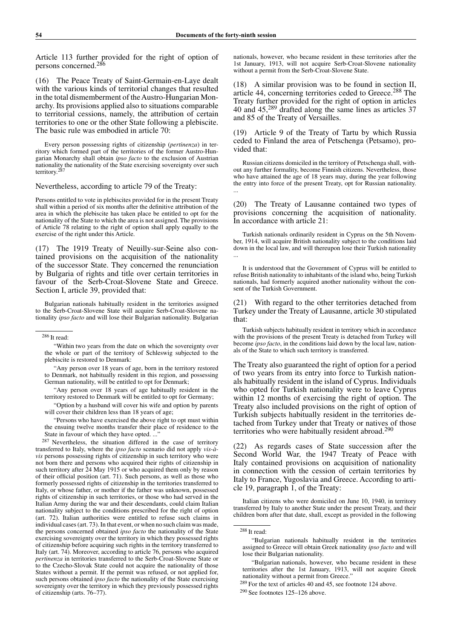Article 113 further provided for the right of option of persons concerned.286

(16) The Peace Treaty of Saint-Germain-en-Laye dealt with the various kinds of territorial changes that resulted in the total dismemberment of the Austro-Hungarian Monarchy. Its provisions applied also to situations comparable to territorial cessions, namely, the attribution of certain territories to one or the other State following a plebiscite. The basic rule was embodied in article 70:

Every person possessing rights of citizenship (*pertinenza*) in territory which formed part of the territories of the former Austro-Hungarian Monarchy shall obtain *ipso facto* to the exclusion of Austrian nationality the nationality of the State exercising sovereignty over such territory.<sup>28</sup>

Nevertheless, according to article 79 of the Treaty:

Persons entitled to vote in plebiscites provided for in the present Treaty shall within a period of six months after the definitive attribution of the area in which the plebiscite has taken place be entitled to opt for the nationality of the State to which the area is not assigned. The provisions of Article 78 relating to the right of option shall apply equally to the exercise of the right under this Article.

(17) The 1919 Treaty of Neuilly-sur-Seine also contained provisions on the acquisition of the nationality of the successor State. They concerned the renunciation by Bulgaria of rights and title over certain territories in favour of the Serb-Croat-Slovene State and Greece. Section I, article 39, provided that:

Bulgarian nationals habitually resident in the territories assigned to the Serb-Croat-Slovene State will acquire Serb-Croat-Slovene nationality *ipso facto* and will lose their Bulgarian nationality. Bulgarian

"Any person over 18 years of age, born in the territory restored to Denmark, not habitually resident in this region, and possessing German nationality, will be entitled to opt for Denmark;

"Any person over 18 years of age habitually resident in the territory restored to Denmark will be entitled to opt for Germany;

"Option by a husband will cover his wife and option by parents will cover their children less than 18 years of age;

"Persons who have exercised the above right to opt must within the ensuing twelve months transfer their place of residence to the State in favour of which they have opted. ...

287 Nevertheless, the situation differed in the case of territory transferred to Italy, where the *ipso facto* scenario did not apply *vis-àvis* persons possessing rights of citizenship in such territory who were not born there and persons who acquired their rights of citizenship in such territory after 24 May 1915 or who acquired them only by reason of their official position (art. 71). Such persons, as well as those who formerly possessed rights of citizenship in the territories transferred to Italy, or whose father, or mother if the father was unknown, possessed rights of citizenship in such territories, or those who had served in the Italian Army during the war and their descendants, could claim Italian nationality subject to the conditions prescribed for the right of option (art. 72). Italian authorities were entitled to refuse such claims in individual cases (art. 73). In that event, or when no such claim was made, the persons concerned obtained *ipso facto* the nationality of the State exercising sovereignty over the territory in which they possessed rights of citizenship before acquiring such rights in the territory transferred to Italy (art. 74). Moreover, according to article 76, persons who acquired *pertinenza* in territories transferred to the Serb-Croat-Slovene State or to the Czecho-Slovak State could not acquire the nationality of those States without a permit. If the permit was refused, or not applied for, such persons obtained *ipso facto* the nationality of the State exercising sovereignty over the territory in which they previously possessed rights of citizenship (arts. 76–77).

nationals, however, who became resident in these territories after the 1st January, 1913, will not acquire Serb-Croat-Slovene nationality without a permit from the Serb-Croat-Slovene State.

(18) A similar provision was to be found in section II, article 44, concerning territories ceded to Greece.<sup>288</sup> The Treaty further provided for the right of option in articles 40 and 45,289 drafted along the same lines as articles 37 and 85 of the Treaty of Versailles.

(19) Article 9 of the Treaty of Tartu by which Russia ceded to Finland the area of Petschenga (Petsamo), provided that:

Russian citizens domiciled in the territory of Petschenga shall, without any further formality, become Finnish citizens. Nevertheless, those who have attained the age of 18 years may, during the year following the entry into force of the present Treaty, opt for Russian nationality. ...

(20) The Treaty of Lausanne contained two types of provisions concerning the acquisition of nationality. In accordance with article 21:

Turkish nationals ordinarily resident in Cyprus on the 5th November, 1914, will acquire British nationality subject to the conditions laid down in the local law, and will thereupon lose their Turkish nationality ...

It is understood that the Government of Cyprus will be entitled to refuse British nationality to inhabitants of the island who, being Turkish nationals, had formerly acquired another nationality without the consent of the Turkish Government.

(21) With regard to the other territories detached from Turkey under the Treaty of Lausanne, article 30 stipulated that:

Turkish subjects habitually resident in territory which in accordance with the provisions of the present Treaty is detached from Turkey will become *ipso facto*, in the conditions laid down by the local law, nationals of the State to which such territory is transferred.

The Treaty also guaranteed the right of option for a period of two years from its entry into force to Turkish nationals habitually resident in the island of Cyprus. Individuals who opted for Turkish nationality were to leave Cyprus within 12 months of exercising the right of option. The Treaty also included provisions on the right of option of Turkish subjects habitually resident in the territories detached from Turkey under that Treaty or natives of those territories who were habitually resident abroad.<sup>290</sup>

(22) As regards cases of State succession after the Second World War, the 1947 Treaty of Peace with Italy contained provisions on acquisition of nationality in connection with the cession of certain territories by Italy to France, Yugoslavia and Greece. According to article 19, paragraph 1, of the Treaty:

Italian citizens who were domiciled on June 10, 1940, in territory transferred by Italy to another State under the present Treaty, and their children born after that date, shall, except as provided in the following

<sup>286</sup> It read:

<sup>&</sup>quot;Within two years from the date on which the sovereignty over the whole or part of the territory of Schleswig subjected to the plebiscite is restored to Denmark:

 $^{\rm 288}$  It read:

<sup>&</sup>quot;Bulgarian nationals habitually resident in the territories assigned to Greece will obtain Greek nationality *ipso facto* and will lose their Bulgarian nationality.

<sup>&</sup>quot;Bulgarian nationals, however, who became resident in these territories after the 1st January, 1913, will not acquire Greek nationality without a permit from Greece."

<sup>289</sup> For the text of articles 40 and 45, see footnote 124 above.

<sup>290</sup> See footnotes 125–126 above.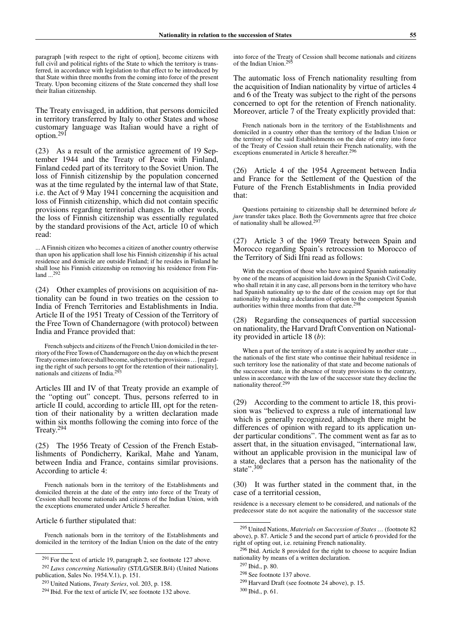paragraph [with respect to the right of option], become citizens with full civil and political rights of the State to which the territory is transferred, in accordance with legislation to that effect to be introduced by that State within three months from the coming into force of the present Treaty. Upon becoming citizens of the State concerned they shall lose their Italian citizenship.

The Treaty envisaged, in addition, that persons domiciled in territory transferred by Italy to other States and whose customary language was Italian would have a right of option.291

(23) As a result of the armistice agreement of 19 September 1944 and the Treaty of Peace with Finland, Finland ceded part of its territory to the Soviet Union. The loss of Finnish citizenship by the population concerned was at the time regulated by the internal law of that State, i.e. the Act of 9 May 1941 concerning the acquisition and loss of Finnish citizenship, which did not contain specific provisions regarding territorial changes. In other words, the loss of Finnish citizenship was essentially regulated by the standard provisions of the Act, article 10 of which read:

... A Finnish citizen who becomes a citizen of another country otherwise than upon his application shall lose his Finnish citizenship if his actual residence and domicile are outside Finland; if he resides in Finland he shall lose his Finnish citizenship on removing his residence from Finland ...<sup>292</sup>

(24) Other examples of provisions on acquisition of nationality can be found in two treaties on the cession to India of French Territories and Establishments in India. Article II of the 1951 Treaty of Cession of the Territory of the Free Town of Chandernagore (with protocol) between India and France provided that:

French subjects and citizens of the French Union domiciled in the territory of the Free Town of Chandernagore on the day on which the present Treaty comes into force shall become, subject to the provisions … [regarding the right of such persons to opt for the retention of their nationality], nationals and citizens of India.<sup>293</sup>

Articles III and IV of that Treaty provide an example of the "opting out" concept. Thus, persons referred to in article II could, according to article III, opt for the retention of their nationality by a written declaration made within six months following the coming into force of the Treaty.294

(25) The 1956 Treaty of Cession of the French Establishments of Pondicherry, Karikal, Mahe and Yanam, between India and France, contains similar provisions. According to article 4:

French nationals born in the territory of the Establishments and domiciled therein at the date of the entry into force of the Treaty of Cession shall become nationals and citizens of the Indian Union, with the exceptions enumerated under Article 5 hereafter.

Article 6 further stipulated that:

French nationals born in the territory of the Establishments and domiciled in the territory of the Indian Union on the date of the entry into force of the Treaty of Cession shall become nationals and citizens of the Indian Union.295

The automatic loss of French nationality resulting from the acquisition of Indian nationality by virtue of articles 4 and 6 of the Treaty was subject to the right of the persons concerned to opt for the retention of French nationality. Moreover, article 7 of the Treaty explicitly provided that:

French nationals born in the territory of the Establishments and domiciled in a country other than the territory of the Indian Union or the territory of the said Establishments on the date of entry into force of the Treaty of Cession shall retain their French nationality, with the exceptions enumerated in Article 8 hereafter.<sup>296</sup>

(26) Article 4 of the 1954 Agreement between India and France for the Settlement of the Question of the Future of the French Establishments in India provided that:

Questions pertaining to citizenship shall be determined before *de jure* transfer takes place. Both the Governments agree that free choice of nationality shall be allowed.<sup>297</sup>

(27) Article 3 of the 1969 Treaty between Spain and Morocco regarding Spain's retrocession to Morocco of the Territory of Sidi Ifni read as follows:

With the exception of those who have acquired Spanish nationality by one of the means of acquisition laid down in the Spanish Civil Code, who shall retain it in any case, all persons born in the territory who have had Spanish nationality up to the date of the cession may opt for that nationality by making a declaration of option to the competent Spanish authorities within three months from that date.<sup>298</sup>

(28) Regarding the consequences of partial succession on nationality, the Harvard Draft Convention on Nationality provided in article 18 (*b*):

When a part of the territory of a state is acquired by another state ..., the nationals of the first state who continue their habitual residence in such territory lose the nationality of that state and become nationals of the successor state, in the absence of treaty provisions to the contrary, unless in accordance with the law of the successor state they decline the nationality thereof.299

(29) According to the comment to article 18, this provision was "believed to express a rule of international law which is generally recognized, although there might be differences of opinion with regard to its application under particular conditions". The comment went as far as to assert that, in the situation envisaged, "international law, without an applicable provision in the municipal law of a state, declares that a person has the nationality of the state".<sup>300</sup>

(30) It was further stated in the comment that, in the case of a territorial cession,

residence is a necessary element to be considered, and nationals of the predecessor state do not acquire the nationality of the successor state

<sup>291</sup> For the text of article 19, paragraph 2, see footnote 127 above.

<sup>292</sup>*Laws concerning Nationality* (ST/LG/SER.B/4) (United Nations publication, Sales No. 1954.V.1), p. 151.

<sup>293</sup> United Nations, *Treaty Series*, vol. 203, p. 158.

<sup>294</sup> Ibid. For the text of article IV, see footnote 132 above.

<sup>295</sup> United Nations, *Materials on Succession of States …* (footnote 82 above), p. 87. Article 5 and the second part of article 6 provided for the right of opting out, i.e. retaining French nationality.

<sup>296</sup> Ibid. Article 8 provided for the right to choose to acquire Indian nationality by means of a written declaration. 297 Ibid., p. 80.

<sup>298</sup> See footnote 137 above.

<sup>299</sup> Harvard Draft (see footnote 24 above), p. 15.

<sup>300</sup> Ibid., p. 61.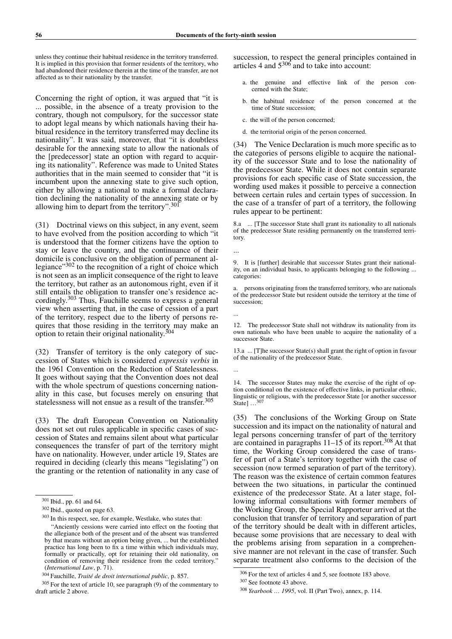...

...

...

unless they continue their habitual residence in the territory transferred. It is implied in this provision that former residents of the territory, who had abandoned their residence therein at the time of the transfer, are not affected as to their nationality by the transfer.

Concerning the right of option, it was argued that "it is ... possible, in the absence of a treaty provision to the contrary, though not compulsory, for the successor state to adopt legal means by which nationals having their habitual residence in the territory transferred may decline its nationality". It was said, moreover, that "it is doubtless desirable for the annexing state to allow the nationals of the [predecessor] state an option with regard to acquiring its nationality". Reference was made to United States authorities that in the main seemed to consider that "it is incumbent upon the annexing state to give such option, either by allowing a national to make a formal declaration declining the nationality of the annexing state or by allowing him to depart from the territory".301

(31) Doctrinal views on this subject, in any event, seem to have evolved from the position according to which "it is understood that the former citizens have the option to stay or leave the country, and the continuance of their domicile is conclusive on the obligation of permanent allegiance" $302$  to the recognition of a right of choice which is not seen as an implicit consequence of the right to leave the territory, but rather as an autonomous right, even if it still entails the obligation to transfer one's residence accordingly.303 Thus, Fauchille seems to express a general view when asserting that, in the case of cession of a part of the territory, respect due to the liberty of persons requires that those residing in the territory may make an option to retain their original nationality.304

(32) Transfer of territory is the only category of succession of States which is considered *expressis verbis* in the 1961 Convention on the Reduction of Statelessness. It goes without saying that the Convention does not deal with the whole spectrum of questions concerning nationality in this case, but focuses merely on ensuring that statelessness will not ensue as a result of the transfer.<sup>305</sup>

(33) The draft European Convention on Nationality does not set out rules applicable in specific cases of succession of States and remains silent about what particular consequences the transfer of part of the territory might have on nationality. However, under article 19, States are required in deciding (clearly this means "legislating") on the granting or the retention of nationality in any case of succession, to respect the general principles contained in articles 4 and 5306 and to take into account:

- a. the genuine and effective link of the person concerned with the State;
- b. the habitual residence of the person concerned at the time of State succession;
- c. the will of the person concerned;
- d. the territorial origin of the person concerned.

(34) The Venice Declaration is much more specific as to the categories of persons eligible to acquire the nationality of the successor State and to lose the nationality of the predecessor State. While it does not contain separate provisions for each specific case of State succession, the wording used makes it possible to perceive a connection between certain rules and certain types of succession. In the case of a transfer of part of a territory, the following rules appear to be pertinent:

8.a ... [T]he successor State shall grant its nationality to all nationals of the predecessor State residing permanently on the transferred territory.

9. It is [further] desirable that successor States grant their nationality, on an individual basis, to applicants belonging to the following ... categories:

persons originating from the transferred territory, who are nationals of the predecessor State but resident outside the territory at the time of succession;

12. The predecessor State shall not withdraw its nationality from its own nationals who have been unable to acquire the nationality of a successor State.

13.a ... [T]he successor State(s) shall grant the right of option in favour of the nationality of the predecessor State.

14. The successor States may make the exercise of the right of option conditional on the existence of effective links, in particular ethnic, linguistic or religious, with the predecessor State [or another successor State]  $\ldots$ <sup>307</sup>

(35) The conclusions of the Working Group on State succession and its impact on the nationality of natural and legal persons concerning transfer of part of the territory are contained in paragraphs 11–15 of its report.<sup>308</sup> At that time, the Working Group considered the case of transfer of part of a State's territory together with the case of secession (now termed separation of part of the territory). The reason was the existence of certain common features between the two situations, in particular the continued existence of the predecessor State. At a later stage, following informal consultations with former members of the Working Group, the Special Rapporteur arrived at the conclusion that transfer of territory and separation of part of the territory should be dealt with in different articles, because some provisions that are necessary to deal with the problems arising from separation in a comprehensive manner are not relevant in the case of transfer. Such separate treatment also conforms to the decision of the

<sup>301</sup> Ibid., pp. 61 and 64.

<sup>302</sup> Ibid., quoted on page 63.

<sup>303</sup> In this respect, see, for example, Westlake, who states that:

<sup>&</sup>quot;Anciently cessions were carried into effect on the footing that the allegiance both of the present and of the absent was transferred by that means without an option being given, ... but the established practice has long been to fix a time within which individuals may, formally or practically, opt for retaining their old nationality, on condition of removing their residence from the ceded territory.' (*International Law*, p. 71).

<sup>304</sup> Fauchille, *Traité de droit international public*, p. 857.

<sup>305</sup> For the text of article 10, see paragraph (9) of the commentary to draft article 2 above.

<sup>306</sup> For the text of articles 4 and 5, see footnote 183 above.

<sup>307</sup> See footnote 43 above.

<sup>308</sup>*Yearbook … 1995*, vol. II (Part Two), annex, p. 114.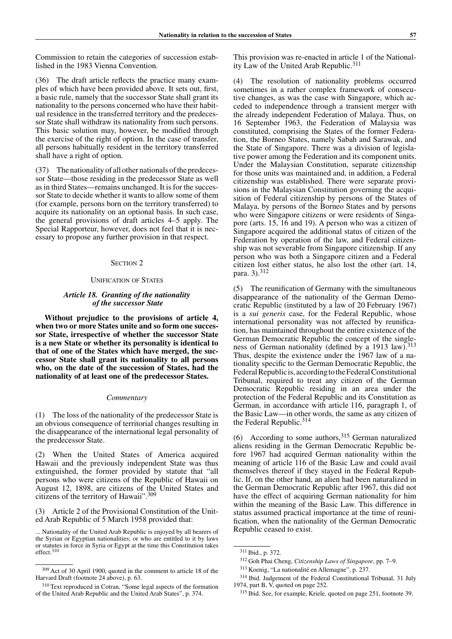Commission to retain the categories of succession established in the 1983 Vienna Convention.

(36) The draft article reflects the practice many examples of which have been provided above. It sets out, first, a basic rule, namely that the successor State shall grant its nationality to the persons concerned who have their habitual residence in the transferred territory and the predecessor State shall withdraw its nationality from such persons. This basic solution may, however, be modified through the exercise of the right of option. In the case of transfer, all persons habitually resident in the territory transferred shall have a right of option.

(37) The nationality of all other nationals of the predecessor State—those residing in the predecessor State as well as in third States—remains unchanged. It is for the successor State to decide whether it wants to allow some of them (for example, persons born on the territory transferred) to acquire its nationality on an optional basis. In such case, the general provisions of draft articles 4–5 apply. The Special Rapporteur, however, does not feel that it is necessary to propose any further provision in that respect.

# SECTION<sub>2</sub>

#### Unification of States

# *Article 18. Granting of the nationality of the successor State*

**Without prejudice to the provisions of article 4, when two or more States unite and so form one successor State, irrespective of whether the successor State is a new State or whether its personality is identical to that of one of the States which have merged, the successor State shall grant its nationality to all persons who, on the date of the succession of States, had the nationality of at least one of the predecessor States.**

#### *Commentary*

(1) The loss of the nationality of the predecessor State is an obvious consequence of territorial changes resulting in the disappearance of the international legal personality of the predecessor State.

(2) When the United States of America acquired Hawaii and the previously independent State was thus extinguished, the former provided by statute that "all persons who were citizens of the Republic of Hawaii on August 12, 1898, are citizens of the United States and citizens of the territory of Hawaii".309

(3) Article 2 of the Provisional Constitution of the United Arab Republic of 5 March 1958 provided that:

... Nationality of the United Arab Republic is enjoyed by all bearers of the Syrian or Egyptian nationalities; or who are entitled to it by laws or statutes in force in Syria or Egypt at the time this Constitution takes effect.<sup>310</sup>

This provision was re-enacted in article 1 of the Nationality Law of the United Arab Republic.<sup>311</sup>

(4) The resolution of nationality problems occurred sometimes in a rather complex framework of consecutive changes, as was the case with Singapore, which acceded to independence through a transient merger with the already independent Federation of Malaya. Thus, on 16 September 1963, the Federation of Malaysia was constituted, comprising the States of the former Federation, the Borneo States, namely Sabah and Sarawak, and the State of Singapore. There was a division of legislative power among the Federation and its component units. Under the Malaysian Constitution, separate citizenship for those units was maintained and, in addition, a Federal citizenship was established. There were separate provisions in the Malaysian Constitution governing the acquisition of Federal citizenship by persons of the States of Malaya, by persons of the Borneo States and by persons who were Singapore citizens or were residents of Singapore (arts. 15, 16 and 19). A person who was a citizen of Singapore acquired the additional status of citizen of the Federation by operation of the law, and Federal citizenship was not severable from Singapore citizenship. If any person who was both a Singapore citizen and a Federal citizen lost either status, he also lost the other (art. 14, para. 3).312

(5) The reunification of Germany with the simultaneous disappearance of the nationality of the German Democratic Republic (instituted by a law of 20 February 1967) is a *sui generis* case, for the Federal Republic, whose international personality was not affected by reunification, has maintained throughout the entire existence of the German Democratic Republic the concept of the singleness of German nationality (defined by a 1913 law).<sup>313</sup> Thus, despite the existence under the 1967 law of a nationality specific to the German Democratic Republic, the Federal Republic is, according to the Federal Constitutional Tribunal, required to treat any citizen of the German Democratic Republic residing in an area under the protection of the Federal Republic and its Constitution as German, in accordance with article 116, paragraph 1, of the Basic Law—in other words, the same as any citizen of the Federal Republic.314

(6) According to some authors,  $315$  German naturalized aliens residing in the German Democratic Republic before 1967 had acquired German nationality within the meaning of article 116 of the Basic Law and could avail themselves thereof if they stayed in the Federal Republic. If, on the other hand, an alien had been naturalized in the German Democratic Republic after 1967, this did not have the effect of acquiring German nationality for him within the meaning of the Basic Law. This difference in status assumed practical importance at the time of reunification, when the nationality of the German Democratic Republic ceased to exist.

<sup>309</sup> Act of 30 April 1900, quoted in the comment to article 18 of the Harvard Draft (footnote 24 above), p. 63.

<sup>310</sup> Text reproduced in Cotran, "Some legal aspects of the formation of the United Arab Republic and the United Arab States", p. 374.

<sup>311</sup> Ibid., p. 372.

<sup>312</sup> Goh Phai Cheng, *Citizenship Laws of Singapore*, pp. 7–9.

<sup>313</sup> Koenig, "La nationalité en Allemagne", p. 237.

<sup>314</sup> Ibid. Judgement of the Federal Constitutional Tribunal, 31 July 1974, part B, V, quoted on page 252.

<sup>315</sup> Ibid. See, for example, Kriele, quoted on page 251, footnote 39.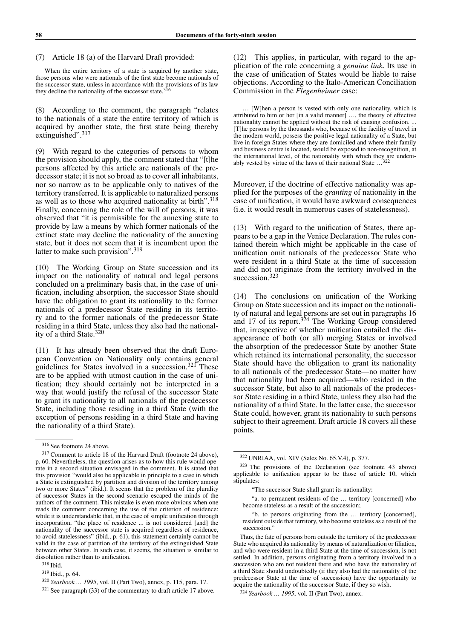(7) Article 18 (a) of the Harvard Draft provided:

When the entire territory of a state is acquired by another state. those persons who were nationals of the first state become nationals of the successor state, unless in accordance with the provisions of its law they decline the nationality of the successor state.<sup>316</sup>

(8) According to the comment, the paragraph "relates to the nationals of a state the entire territory of which is acquired by another state, the first state being thereby extinguished".<sup>317</sup>

(9) With regard to the categories of persons to whom the provision should apply, the comment stated that "[t]he persons affected by this article are nationals of the predecessor state; it is not so broad as to cover all inhabitants, nor so narrow as to be applicable only to natives of the territory transferred. It is applicable to naturalized persons as well as to those who acquired nationality at birth".<sup>318</sup> Finally, concerning the role of the will of persons, it was observed that "it is permissible for the annexing state to provide by law a means by which former nationals of the extinct state may decline the nationality of the annexing state, but it does not seem that it is incumbent upon the latter to make such provision".<sup>319</sup>

(10) The Working Group on State succession and its impact on the nationality of natural and legal persons concluded on a preliminary basis that, in the case of unification, including absorption, the successor State should have the obligation to grant its nationality to the former nationals of a predecessor State residing in its territory and to the former nationals of the predecessor State residing in a third State, unless they also had the nationality of a third State.320

(11) It has already been observed that the draft European Convention on Nationality only contains general guidelines for States involved in a succession. $321$  These are to be applied with utmost caution in the case of unification; they should certainly not be interpreted in a way that would justify the refusal of the successor State to grant its nationality to all nationals of the predecessor State, including those residing in a third State (with the exception of persons residing in a third State and having the nationality of a third State).

(12) This applies, in particular, with regard to the application of the rule concerning a *genuine link*. Its use in the case of unification of States would be liable to raise objections. According to the Italo-American Conciliation Commission in the *Flegenheimer* case:

… [W]hen a person is vested with only one nationality, which is attributed to him or her [in a valid manner] …, the theory of effective nationality cannot be applied without the risk of causing confusion. ... [T]he persons by the thousands who, because of the facility of travel in the modern world, possess the positive legal nationality of a State, but live in foreign States where they are domiciled and where their family and business centre is located, would be exposed to non-recognition, at the international level, of the nationality with which they are undeniably vested by virtue of the laws of their national State ...

Moreover, if the doctrine of effective nationality was applied for the purposes of the *granting* of nationality in the case of unification, it would have awkward consequences (i.e. it would result in numerous cases of statelessness).

(13) With regard to the unification of States, there appears to be a gap in the Venice Declaration. The rules contained therein which might be applicable in the case of unification omit nationals of the predecessor State who were resident in a third State at the time of succession and did not originate from the territory involved in the succession.<sup>323</sup>

(14) The conclusions on unification of the Working Group on State succession and its impact on the nationality of natural and legal persons are set out in paragraphs 16 and 17 of its report.<sup>324</sup> The Working Group considered that, irrespective of whether unification entailed the disappearance of both (or all) merging States or involved the absorption of the predecessor State by another State which retained its international personality, the successor State should have the obligation to grant its nationality to all nationals of the predecessor State—no matter how that nationality had been acquired—who resided in the successor State, but also to all nationals of the predecessor State residing in a third State, unless they also had the nationality of a third State. In the latter case, the successor State could, however, grant its nationality to such persons subject to their agreement. Draft article 18 covers all these points.

<sup>324</sup>*Yearbook … 1995*, vol. II (Part Two), annex.

<sup>316</sup> See footnote 24 above.

<sup>317</sup> Comment to article 18 of the Harvard Draft (footnote 24 above), p. 60. Nevertheless, the question arises as to how this rule would operate in a second situation envisaged in the comment. It is stated that this provision "would also be applicable in principle to a case in which a State is extinguished by partition and division of the territory among two or more States" (ibid.). It seems that the problem of the plurality of successor States in the second scenario escaped the minds of the authors of the comment. This mistake is even more obvious when one reads the comment concerning the use of the criterion of residence: while it is understandable that, in the case of simple unification through incorporation, "the place of residence ... is not considered [and] the nationality of the successor state is acquired regardless of residence, to avoid statelessness" (ibid., p. 61), this statement certainly cannot be valid in the case of partition of the territory of the extinguished State between other States. In such case, it seems, the situation is similar to dissolution rather than to unification.

<sup>318</sup> Ibid.

<sup>319</sup> Ibid., p. 64.

<sup>320</sup>*Yearbook … 1995*, vol. II (Part Two), annex, p. 115, para. 17.

<sup>321</sup> See paragraph (33) of the commentary to draft article 17 above.

<sup>322</sup> UNRIAA, vol. XIV (Sales No. 65.V.4), p. 377.

<sup>323</sup> The provisions of the Declaration (see footnote 43 above) applicable to unification appear to be those of article 10, which stipulates:

<sup>&</sup>quot;The successor State shall grant its nationality:

<sup>&</sup>quot;a. to permanent residents of the … territory [concerned] who become stateless as a result of the succession;

<sup>&</sup>quot;b. to persons originating from the … territory [concerned], resident outside that territory, who become stateless as a result of the succession.'

Thus, the fate of persons born outside the territory of the predecessor State who acquired its nationality by means of naturalization or filiation, and who were resident in a third State at the time of succession, is not settled. In addition, persons originating from a territory involved in a succession who are not resident there and who have the nationality of a third State should undoubtedly (if they also had the nationality of the predecessor State at the time of succession) have the opportunity to acquire the nationality of the successor State, if they so wish.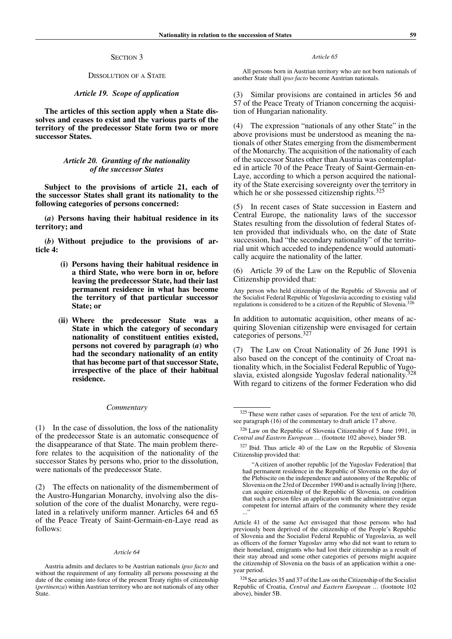### SECTION<sub>3</sub>

### DISSOLUTION OF A STATE

## *Article 19. Scope of application*

**The articles of this section apply when a State dissolves and ceases to exist and the various parts of the territory of the predecessor State form two or more successor States.**

# *Article 20. Granting of the nationality of the successor States*

**Subject to the provisions of article 21, each of the successor States shall grant its nationality to the following categories of persons concerned:**

**(***a***) Persons having their habitual residence in its territory; and**

**(***b***) Without prejudice to the provisions of article 4:**

- **i(i) Persons having their habitual residence in a third State, who were born in or, before leaving the predecessor State, had their last permanent residence in what has become the territory of that particular successor State; or**
- **(ii) Where the predecessor State was a State in which the category of secondary nationality of constituent entities existed, persons not covered by paragraph (***a***) who had the secondary nationality of an entity that has become part of that successor State, irrespective of the place of their habitual residence.**

#### *Commentary*

(1) In the case of dissolution, the loss of the nationality of the predecessor State is an automatic consequence of the disappearance of that State. The main problem therefore relates to the acquisition of the nationality of the successor States by persons who, prior to the dissolution, were nationals of the predecessor State.

(2) The effects on nationality of the dismemberment of the Austro-Hungarian Monarchy, involving also the dissolution of the core of the dualist Monarchy, were regulated in a relatively uniform manner. Articles 64 and 65 of the Peace Treaty of Saint-Germain-en-Laye read as follows:

#### *Article 64*

*Article 65*

All persons born in Austrian territory who are not born nationals of another State shall *ipso facto* become Austrian nationals.

(3) Similar provisions are contained in articles 56 and 57 of the Peace Treaty of Trianon concerning the acquisition of Hungarian nationality.

(4) The expression "nationals of any other State" in the above provisions must be understood as meaning the nationals of other States emerging from the dismemberment of the Monarchy. The acquisition of the nationality of each of the successor States other than Austria was contemplated in article 70 of the Peace Treaty of Saint-Germain-en-Laye, according to which a person acquired the nationality of the State exercising sovereignty over the territory in which he or she possessed citizenship rights. $325$ 

(5) In recent cases of State succession in Eastern and Central Europe, the nationality laws of the successor States resulting from the dissolution of federal States often provided that individuals who, on the date of State succession, had "the secondary nationality" of the territorial unit which acceded to independence would automatically acquire the nationality of the latter.

(6) Article 39 of the Law on the Republic of Slovenia Citizenship provided that:

Any person who held citizenship of the Republic of Slovenia and of the Socialist Federal Republic of Yugoslavia according to existing valid regulations is considered to be a citizen of the Republic of Slovenia.326

In addition to automatic acquisition, other means of acquiring Slovenian citizenship were envisaged for certain categories of persons.327

(7) The Law on Croat Nationality of 26 June 1991 is also based on the concept of the continuity of Croat nationality which, in the Socialist Federal Republic of Yugoslavia, existed alongside Yugoslav federal nationality.<sup>328</sup> With regard to citizens of the former Federation who did

327 Ibid. Thus article 40 of the Law on the Republic of Slovenia Citizenship provided that:

Article 41 of the same Act envisaged that those persons who had previously been deprived of the citizenship of the People's Republic of Slovenia and the Socialist Federal Republic of Yugoslavia, as well as officers of the former Yugoslav army who did not want to return to their homeland, emigrants who had lost their citizenship as a result of their stay abroad and some other categories of persons might acquire the citizenship of Slovenia on the basis of an application within a oneyear period.

328 See articles 35 and 37 of the Law on the Citizenship of the Socialist Republic of Croatia, *Central and Eastern European …* (footnote 102 above), binder 5B.

Austria admits and declares to be Austrian nationals *ipso facto* and without the requirement of any formality all persons possessing at the date of the coming into force of the present Treaty rights of citizenship (*pertinenza*) within Austrian territory who are not nationals of any other State.

<sup>325</sup> These were rather cases of separation. For the text of article 70, see paragraph (16) of the commentary to draft article 17 above.

<sup>326</sup> Law on the Republic of Slovenia Citizenship of 5 June 1991, in *Central and Eastern European …* (footnote 102 above), binder 5B.

<sup>&</sup>quot;A citizen of another republic [of the Yugoslav Federation] that had permanent residence in the Republic of Slovenia on the day of the Plebiscite on the independence and autonomy of the Republic of Slovenia on the 23rd of December 1990 and is actually living [t]here, can acquire citizenship of the Republic of Slovenia, on condition that such a person files an application with the administrative organ competent for internal affairs of the community where they reside ..."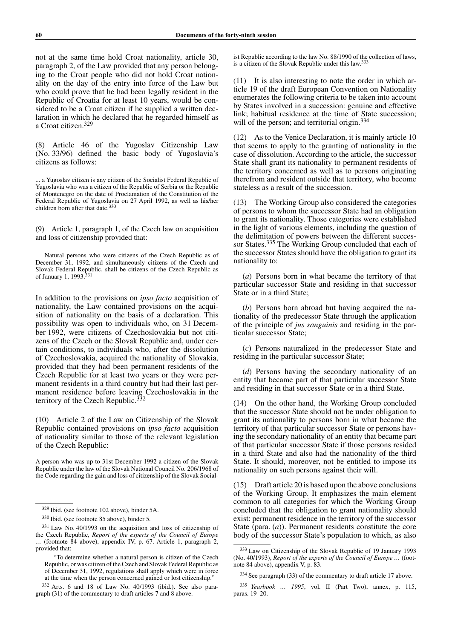not at the same time hold Croat nationality, article 30, paragraph 2, of the Law provided that any person belonging to the Croat people who did not hold Croat nationality on the day of the entry into force of the Law but who could prove that he had been legally resident in the Republic of Croatia for at least 10 years, would be considered to be a Croat citizen if he supplied a written declaration in which he declared that he regarded himself as a Croat citizen.329

(8) Article 46 of the Yugoslav Citizenship Law (No. 33/96) defined the basic body of Yugoslavia's citizens as follows:

... a Yugoslav citizen is any citizen of the Socialist Federal Republic of Yugoslavia who was a citizen of the Republic of Serbia or the Republic of Montenegro on the date of Proclamation of the Constitution of the Federal Republic of Yugoslavia on 27 April 1992, as well as his/her children born after that date.<sup>330</sup>

(9) Article 1, paragraph 1, of the Czech law on acquisition and loss of citizenship provided that:

Natural persons who were citizens of the Czech Republic as of December 31, 1992, and simultaneously citizens of the Czech and Slovak Federal Republic, shall be citizens of the Czech Republic as of January 1, 1993.<sup>331</sup>

In addition to the provisions on *ipso facto* acquisition of nationality, the Law contained provisions on the acquisition of nationality on the basis of a declaration. This possibility was open to individuals who, on 31 December 1992, were citizens of Czechoslovakia but not citizens of the Czech or the Slovak Republic and, under certain conditions, to individuals who, after the dissolution of Czechoslovakia, acquired the nationality of Slovakia, provided that they had been permanent residents of the Czech Republic for at least two years or they were permanent residents in a third country but had their last permanent residence before leaving Czechoslovakia in the territory of the Czech Republic.<sup>332</sup>

(10) Article 2 of the Law on Citizenship of the Slovak Republic contained provisions on *ipso facto* acquisition of nationality similar to those of the relevant legislation of the Czech Republic:

A person who was up to 31st December 1992 a citizen of the Slovak Republic under the law of the Slovak National Council No. 206/1968 of the Code regarding the gain and loss of citizenship of the Slovak Socialist Republic according to the law No. 88/1990 of the collection of laws, is a citizen of the Slovak Republic under this law.<sup>333</sup>

(11) It is also interesting to note the order in which article 19 of the draft European Convention on Nationality enumerates the following criteria to be taken into account by States involved in a succession: genuine and effective link; habitual residence at the time of State succession; will of the person; and territorial origin.<sup>334</sup>

(12) As to the Venice Declaration, it is mainly article 10 that seems to apply to the granting of nationality in the case of dissolution. According to the article, the successor State shall grant its nationality to permanent residents of the territory concerned as well as to persons originating therefrom and resident outside that territory, who become stateless as a result of the succession.

(13) The Working Group also considered the categories of persons to whom the successor State had an obligation to grant its nationality. Those categories were established in the light of various elements, including the question of the delimitation of powers between the different successor States.335 The Working Group concluded that each of the successor States should have the obligation to grant its nationality to:

(*a*) Persons born in what became the territory of that particular successor State and residing in that successor State or in a third State;

(*b*) Persons born abroad but having acquired the nationality of the predecessor State through the application of the principle of *jus sanguinis* and residing in the particular successor State;

(*c*) Persons naturalized in the predecessor State and residing in the particular successor State;

(*d*) Persons having the secondary nationality of an entity that became part of that particular successor State and residing in that successor State or in a third State.

(14) On the other hand, the Working Group concluded that the successor State should not be under obligation to grant its nationality to persons born in what became the territory of that particular successor State or persons having the secondary nationality of an entity that became part of that particular successor State if those persons resided in a third State and also had the nationality of the third State. It should, moreover, not be entitled to impose its nationality on such persons against their will.

(15) Draft article 20 is based upon the above conclusions of the Working Group. It emphasizes the main element common to all categories for which the Working Group concluded that the obligation to grant nationality should exist: permanent residence in the territory of the successor State (para. (*a*)). Permanent residents constitute the core body of the successor State's population to which, as also

<sup>329</sup> Ibid. (see footnote 102 above), binder 5A.

<sup>330</sup> Ibid. (see footnote 85 above), binder 5*.*

<sup>331</sup> Law No. 40/1993 on the acquisition and loss of citizenship of the Czech Republic, *Report of the experts of the Council of Europe …* (footnote 84 above), appendix IV, p. 67. Article 1, paragraph 2, provided that:

<sup>&</sup>quot;To determine whether a natural person is citizen of the Czech Republic, or was citizen of the Czech and Slovak Federal Republic as of December 31, 1992, regulations shall apply which were in force at the time when the person concerned gained or lost citizenship."

<sup>332</sup> Arts. 6 and 18 of Law No. 40/1993 (ibid.). See also paragraph (31) of the commentary to draft articles 7 and 8 above.

<sup>333</sup> Law on Citizenship of the Slovak Republic of 19 January 1993 (No. 40/1993), *Report of the experts of the Council of Europe …* (footnote 84 above), appendix V, p. 83.

<sup>334</sup> See paragraph (33) of the commentary to draft article 17 above.

<sup>335</sup>*Yearbook … 1995*, vol. II (Part Two), annex, p. 115, paras. 19–20.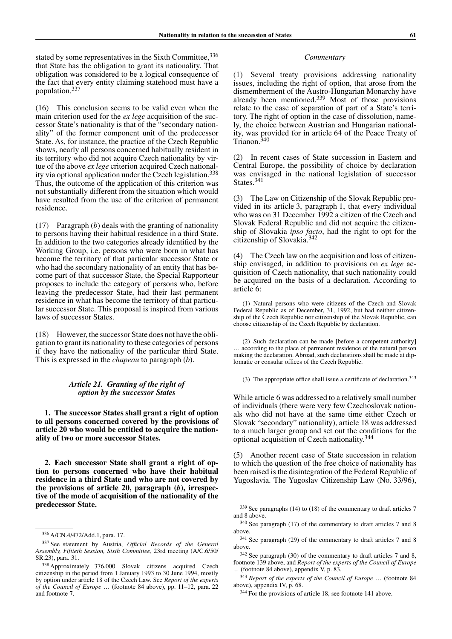stated by some representatives in the Sixth Committee,  $336$ that State has the obligation to grant its nationality. That obligation was considered to be a logical consequence of the fact that every entity claiming statehood must have a population.337

(16) This conclusion seems to be valid even when the main criterion used for the *ex lege* acquisition of the successor State's nationality is that of the "secondary nationality" of the former component unit of the predecessor State. As, for instance, the practice of the Czech Republic shows, nearly all persons concerned habitually resident in its territory who did not acquire Czech nationality by virtue of the above *ex lege* criterion acquired Czech nationality via optional application under the Czech legislation.<sup>338</sup> Thus, the outcome of the application of this criterion was not substantially different from the situation which would have resulted from the use of the criterion of permanent residence.

(17) Paragraph (*b*) deals with the granting of nationality to persons having their habitual residence in a third State. In addition to the two categories already identified by the Working Group, i.e. persons who were born in what has become the territory of that particular successor State or who had the secondary nationality of an entity that has become part of that successor State, the Special Rapporteur proposes to include the category of persons who, before leaving the predecessor State, had their last permanent residence in what has become the territory of that particular successor State. This proposal is inspired from various laws of successor States.

(18) However, the successor State does not have the obligation to grant its nationality to these categories of persons if they have the nationality of the particular third State. This is expressed in the *chapeau* to paragraph (*b*).

# *Article 21. Granting of the right of option by the successor States*

**1. The successor States shall grant a right of option to all persons concerned covered by the provisions of article 20 who would be entitled to acquire the nationality of two or more successor States.**

**2. Each successor State shall grant a right of option to persons concerned who have their habitual residence in a third State and who are not covered by the provisions of article 20, paragraph (***b***), irrespective of the mode of acquisition of the nationality of the predecessor State.**

## *Commentary*

(1) Several treaty provisions addressing nationality issues, including the right of option, that arose from the dismemberment of the Austro-Hungarian Monarchy have already been mentioned.339 Most of those provisions relate to the case of separation of part of a State's territory. The right of option in the case of dissolution, namely, the choice between Austrian and Hungarian nationality, was provided for in article 64 of the Peace Treaty of Trianon.340

(2) In recent cases of State succession in Eastern and Central Europe, the possibility of choice by declaration was envisaged in the national legislation of successor States.341

(3) The Law on Citizenship of the Slovak Republic provided in its article 3, paragraph 1, that every individual who was on 31 December 1992 a citizen of the Czech and Slovak Federal Republic and did not acquire the citizenship of Slovakia *ipso facto*, had the right to opt for the citizenship of Slovakia.342

(4) The Czech law on the acquisition and loss of citizenship envisaged, in addition to provisions on *ex lege* acquisition of Czech nationality, that such nationality could be acquired on the basis of a declaration. According to article 6:

(1) Natural persons who were citizens of the Czech and Slovak Federal Republic as of December, 31, 1992, but had neither citizenship of the Czech Republic nor citizenship of the Slovak Republic, can choose citizenship of the Czech Republic by declaration.

(2) Such declaration can be made [before a competent authority] … according to the place of permanent residence of the natural person making the declaration. Abroad, such declarations shall be made at diplomatic or consular offices of the Czech Republic.

(3) The appropriate office shall issue a certificate of declaration.343

While article 6 was addressed to a relatively small number of individuals (there were very few Czechoslovak nationals who did not have at the same time either Czech or Slovak "secondary" nationality), article 18 was addressed to a much larger group and set out the conditions for the optional acquisition of Czech nationality.344

(5) Another recent case of State succession in relation to which the question of the free choice of nationality has been raised is the disintegration of the Federal Republic of Yugoslavia. The Yugoslav Citizenship Law (No. 33/96),

<sup>336</sup> A/CN.4/472/Add.1, para. 17.

<sup>337</sup> See statement by Austria, *Official Records of the General Assembly, Fiftieth Session, Sixth Committee*, 23rd meeting (A/C.6/50/ SR.23), para. 31.

<sup>338</sup> Approximately 376,000 Slovak citizens acquired Czech citizenship in the period from 1 January 1993 to 30 June 1994, mostly by option under article 18 of the Czech Law. See *Report of the experts of the Council of Europe* … (footnote 84 above), pp. 11–12, para. 22 and footnote 7.

<sup>339</sup> See paragraphs (14) to (18) of the commentary to draft articles 7 and 8 above.

<sup>340</sup> See paragraph (17) of the commentary to draft articles 7 and 8 above.

<sup>341</sup> See paragraph (29) of the commentary to draft articles 7 and 8 above.

<sup>342</sup> See paragraph (30) of the commentary to draft articles 7 and 8, footnote 139 above, and *Report of the experts of the Council of Europe …* (footnote 84 above), appendix V, p. 83.

<sup>343</sup>*Report of the experts of the Council of Europe* … (footnote 84 above), appendix IV, p. 68.

<sup>344</sup> For the provisions of article 18, see footnote 141 above.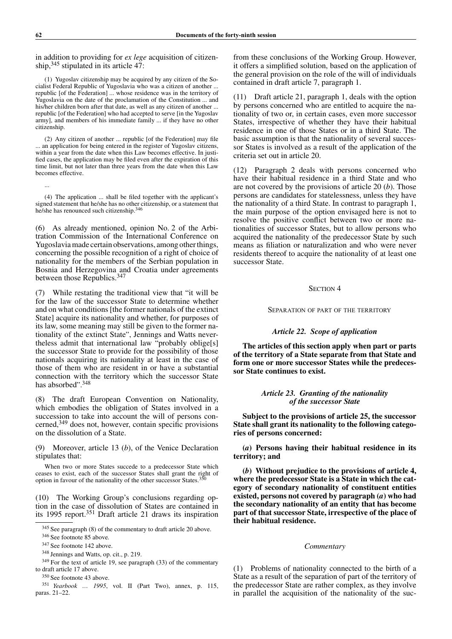in addition to providing for *ex lege* acquisition of citizenship,  $345$  stipulated in its article 47:

(1) Yugoslav citizenship may be acquired by any citizen of the Socialist Federal Republic of Yugoslavia who was a citizen of another ... republic [of the Federation] ... whose residence was in the territory of Yugoslavia on the date of the proclamation of the Constitution ... and his/her children born after that date, as well as any citizen of another ... republic [of the Federation] who had accepted to serve [in the Yugoslav army], and members of his immediate family ... if they have no other citizenship.

(2) Any citizen of another ... republic [of the Federation] may file ... an application for being entered in the register of Yugoslav citizens, within a year from the date when this Law becomes effective. In justified cases, the application may be filed even after the expiration of this time limit, but not later than three years from the date when this Law becomes effective.

(4) The application ... shall be filed together with the applicant's signed statement that he/she has no other citizenship, or a statement that he/she has renounced such citizenship.346

(6) As already mentioned, opinion No. 2 of the Arbitration Commission of the International Conference on Yugoslavia made certain observations, among other things, concerning the possible recognition of a right of choice of nationality for the members of the Serbian population in Bosnia and Herzegovina and Croatia under agreements between those Republics.347

(7) While restating the traditional view that "it will be for the law of the successor State to determine whether and on what conditions [the former nationals of the extinct State] acquire its nationality and whether, for purposes of its law, some meaning may still be given to the former nationality of the extinct State", Jennings and Watts nevertheless admit that international law "probably oblige[s] the successor State to provide for the possibility of those nationals acquiring its nationality at least in the case of those of them who are resident in or have a substantial connection with the territory which the successor State has absorbed".<sup>348</sup>

The draft European Convention on Nationality, which embodies the obligation of States involved in a succession to take into account the will of persons concerned,349 does not, however, contain specific provisions on the dissolution of a State.

(9) Moreover, article 13 (*b*), of the Venice Declaration stipulates that:

When two or more States succede to a predecessor State which ceases to exist, each of the successor States shall grant the right of option in favour of the nationality of the other successor States.350

(10) The Working Group's conclusions regarding option in the case of dissolution of States are contained in its 1995 report.351 Draft article 21 draws its inspiration

348 Jennings and Watts, op. cit., p. 219.

350 See footnote 43 above.

from these conclusions of the Working Group. However, it offers a simplified solution, based on the application of the general provision on the role of the will of individuals contained in draft article 7, paragraph 1.

(11) Draft article 21, paragraph 1, deals with the option by persons concerned who are entitled to acquire the nationality of two or, in certain cases, even more successor States, irrespective of whether they have their habitual residence in one of those States or in a third State. The basic assumption is that the nationality of several successor States is involved as a result of the application of the criteria set out in article 20.

(12) Paragraph 2 deals with persons concerned who have their habitual residence in a third State and who are not covered by the provisions of article 20 (*b*). Those persons are candidates for statelessness, unless they have the nationality of a third State. In contrast to paragraph 1, the main purpose of the option envisaged here is not to resolve the positive conflict between two or more nationalities of successor States, but to allow persons who acquired the nationality of the predecessor State by such means as filiation or naturalization and who were never residents thereof to acquire the nationality of at least one successor State.

### SECTION<sub>4</sub>

Separation of part of the territory

### *Article 22. Scope of application*

**The articles of this section apply when part or parts of the territory of a State separate from that State and form one or more successor States while the predecessor State continues to exist.**

# *Article 23. Granting of the nationality of the successor State*

**Subject to the provisions of article 25, the successor State shall grant its nationality to the following categories of persons concerned:**

**(***a***) Persons having their habitual residence in its territory; and**

**(***b***) Without prejudice to the provisions of article 4, where the predecessor State is a State in which the category of secondary nationality of constituent entities existed, persons not covered by paragraph (***a***) who had the secondary nationality of an entity that has become part of that successor State, irrespective of the place of their habitual residence.**

#### *Commentary*

(1) Problems of nationality connected to the birth of a State as a result of the separation of part of the territory of the predecessor State are rather complex, as they involve in parallel the acquisition of the nationality of the suc-

...

<sup>345</sup> See paragraph (8) of the commentary to draft article 20 above.

<sup>346</sup> See footnote 85 above*.*

<sup>347</sup> See footnote 142 above.

 $349$  For the text of article 19, see paragraph (33) of the commentary to draft article 17 above.

<sup>351</sup>*Yearbook … 1995*, vol. II (Part Two), annex, p. 115, paras. 21–22.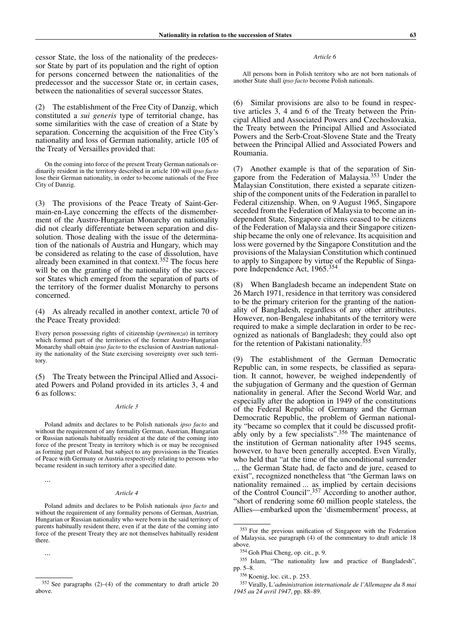cessor State, the loss of the nationality of the predecessor State by part of its population and the right of option for persons concerned between the nationalities of the predecessor and the successor State or, in certain cases, between the nationalities of several successor States.

(2) The establishment of the Free City of Danzig, which constituted a *sui generis* type of territorial change, has some similarities with the case of creation of a State by separation. Concerning the acquisition of the Free City's nationality and loss of German nationality, article 105 of the Treaty of Versailles provided that:

On the coming into force of the present Treaty German nationals ordinarily resident in the territory described in article 100 will *ipso facto* lose their German nationality, in order to become nationals of the Free City of Danzig.

(3) The provisions of the Peace Treaty of Saint-Germain-en-Laye concerning the effects of the dismemberment of the Austro-Hungarian Monarchy on nationality did not clearly differentiate between separation and dissolution. Those dealing with the issue of the determination of the nationals of Austria and Hungary, which may be considered as relating to the case of dissolution, have already been examined in that context.<sup>352</sup> The focus here will be on the granting of the nationality of the successor States which emerged from the separation of parts of the territory of the former dualist Monarchy to persons concerned.

(4) As already recalled in another context, article 70 of the Peace Treaty provided:

Every person possessing rights of citizenship (*pertinenza*) in territory which formed part of the territories of the former Austro-Hungarian Monarchy shall obtain *ipso facto* to the exclusion of Austrian nationality the nationality of the State exercising sovereignty over such territory.

(5) The Treaty between the Principal Allied and Associated Powers and Poland provided in its articles 3, 4 and 6 as follows:

### *Article 3*

Poland admits and declares to be Polish nationals *ipso facto* and without the requirement of any formality German, Austrian, Hungarian or Russian nationals habitually resident at the date of the coming into force of the present Treaty in territory which is or may be recognised as forming part of Poland, but subject to any provisions in the Treaties of Peace with Germany or Austria respectively relating to persons who became resident in such territory after a specified date.

#### *Article 4*

Poland admits and declares to be Polish nationals *ipso facto* and without the requirement of any formality persons of German, Austrian, Hungarian or Russian nationality who were born in the said territory of parents habitually resident there, even if at the date of the coming into force of the present Treaty they are not themselves habitually resident there.

...

...

### *Article 6*

All persons born in Polish territory who are not born nationals of another State shall *ipso facto* become Polish nationals.

(6) Similar provisions are also to be found in respective articles 3, 4 and 6 of the Treaty between the Principal Allied and Associated Powers and Czechoslovakia, the Treaty between the Principal Allied and Associated Powers and the Serb-Croat-Slovene State and the Treaty between the Principal Allied and Associated Powers and Roumania.

(7) Another example is that of the separation of Singapore from the Federation of Malaysia.353 Under the Malaysian Constitution, there existed a separate citizenship of the component units of the Federation in parallel to Federal citizenship. When, on 9 August 1965, Singapore seceded from the Federation of Malaysia to become an independent State, Singapore citizens ceased to be citizens of the Federation of Malaysia and their Singapore citizenship became the only one of relevance. Its acquisition and loss were governed by the Singapore Constitution and the provisions of the Malaysian Constitution which continued to apply to Singapore by virtue of the Republic of Singapore Independence Act, 1965.<sup>354</sup>

(8) When Bangladesh became an independent State on 26 March 1971, residence in that territory was considered to be the primary criterion for the granting of the nationality of Bangladesh, regardless of any other attributes. However, non-Bengalese inhabitants of the territory were required to make a simple declaration in order to be recognized as nationals of Bangladesh; they could also opt for the retention of Pakistani nationality.<sup>355</sup>

(9) The establishment of the German Democratic Republic can, in some respects, be classified as separation. It cannot, however, be weighed independently of the subjugation of Germany and the question of German nationality in general. After the Second World War, and especially after the adoption in 1949 of the constitutions of the Federal Republic of Germany and the German Democratic Republic, the problem of German nationality "became so complex that it could be discussed profitably only by a few specialists".<sup>356</sup> The maintenance of the institution of German nationality after 1945 seems, however, to have been generally accepted. Even Virally, who held that "at the time of the unconditional surrender ... the German State had, de facto and de jure, ceased to exist", recognized nonetheless that "the German laws on nationality remained ... as implied by certain decisions of the Control Council". <sup>35</sup><sup>7</sup> According to another author, "short of rendering some 60 million people stateless, the Allies—embarked upon the 'dismemberment' process, at

<sup>352</sup> See paragraphs (2)–(4) of the commentary to draft article 20 above.

<sup>353</sup> For the previous unification of Singapore with the Federation of Malaysia, see paragraph (4) of the commentary to draft article 18 above.

<sup>354</sup> Goh Phai Cheng, op. cit., p. 9.

<sup>355</sup> Islam, "The nationality law and practice of Bangladesh", pp. 5–8.

<sup>356</sup> Koenig, loc. cit., p. 253.

<sup>357</sup> Virally, L*'administration internationale de l'Allemagne du 8 mai 1945 au 24 avril 1947*, pp. 88–89.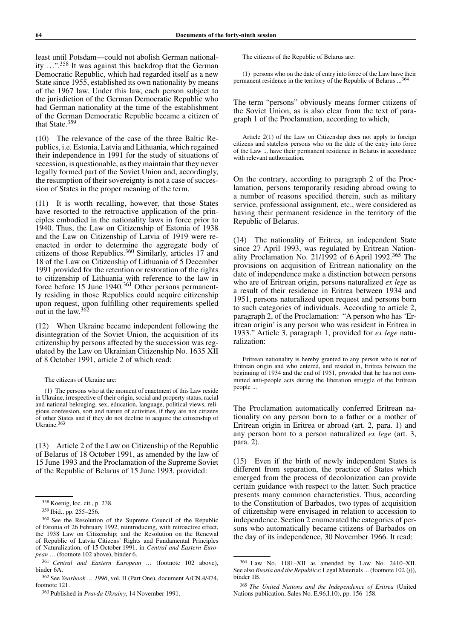least until Potsdam—could not abolish German nationality …".<sup>358</sup> It was against this backdrop that the German Democratic Republic, which had regarded itself as a new State since 1955, established its own nationality by means of the 1967 law. Under this law, each person subject to the jurisdiction of the German Democratic Republic who had German nationality at the time of the establishment of the German Democratic Republic became a citizen of that State.<sup>359</sup>

(10) The relevance of the case of the three Baltic Republics, i.e. Estonia, Latvia and Lithuania, which regained their independence in 1991 for the study of situations of secession, is questionable, as they maintain that they never legally formed part of the Soviet Union and, accordingly, the resumption of their sovereignty is not a case of succession of States in the proper meaning of the term.

(11) It is worth recalling, however, that those States have resorted to the retroactive application of the principles embodied in the nationality laws in force prior to 1940. Thus, the Law on Citizenship of Estonia of 1938 and the Law on Citizenship of Latvia of 1919 were reenacted in order to determine the aggregate body of citizens of those Republics.360 Similarly, articles 17 and 18 of the Law on Citizenship of Lithuania of 5 December 1991 provided for the retention or restoration of the rights to citizenship of Lithuania with reference to the law in force before 15 June 1940.361 Other persons permanently residing in those Republics could acquire citizenship upon request, upon fulfilling other requirements spelled out in the law.<sup>362</sup>

(12) When Ukraine became independent following the disintegration of the Soviet Union, the acquisition of its citizenship by persons affected by the succession was regulated by the Law on Ukrainian Citizenship No. 1635 XII of 8 October 1991, article 2 of which read:

The citizens of Ukraine are:

(1) The persons who at the moment of enactment of this Law reside in Ukraine, irrespective of their origin, social and property status, racial and national belonging, sex, education, language, political views, religious confession, sort and nature of activities, if they are not citizens of other States and if they do not decline to acquire the citizenship of Ukraine.<sup>363</sup>

(13) Article 2 of the Law on Citizenship of the Republic of Belarus of 18 October 1991, as amended by the law of 15 June 1993 and the Proclamation of the Supreme Soviet of the Republic of Belarus of 15 June 1993, provided:

The citizens of the Republic of Belarus are:

(1) persons who on the date of entry into force of the Law have their permanent residence in the territory of the Republic of Belarus ...

The term "persons" obviously means former citizens of the Soviet Union, as is also clear from the text of paragraph 1 of the Proclamation, according to which,

Article 2(1) of the Law on Citizenship does not apply to foreign citizens and stateless persons who on the date of the entry into force of the Law ... have their permanent residence in Belarus in accordance with relevant authorization.

On the contrary, according to paragraph 2 of the Proclamation, persons temporarily residing abroad owing to a number of reasons specified therein, such as military service, professional assignment, etc., were considered as having their permanent residence in the territory of the Republic of Belarus.

(14) The nationality of Eritrea, an independent State since 27 April 1993, was regulated by Eritrean Nationality Proclamation No. 21/1992 of 6 April 1992.<sup>365</sup> The provisions on acquisition of Eritrean nationality on the date of independence make a distinction between persons who are of Eritrean origin, persons naturalized *ex lege* as a result of their residence in Eritrea between 1934 and 1951, persons naturalized upon request and persons born to such categories of individuals. According to article 2, paragraph 2, of the Proclamation: "A person who has 'Eritrean origin' is any person who was resident in Eritrea in 1933." Article 3, paragraph 1, provided for *ex lege* naturalization:

Eritrean nationality is hereby granted to any person who is not of Eritrean origin and who entered, and resided in, Eritrea between the beginning of 1934 and the end of 1951, provided that he has not committed anti-people acts during the liberation struggle of the Eritrean people ...

The Proclamation automatically conferred Eritrean nationality on any person born to a father or a mother of Eritrean origin in Eritrea or abroad (art. 2, para. 1) and any person born to a person naturalized *ex lege* (art. 3, para. 2).

(15) Even if the birth of newly independent States is different from separation, the practice of States which emerged from the process of decolonization can provide certain guidance with respect to the latter. Such practice presents many common characteristics. Thus, according to the Constitution of Barbados, two types of acquisition of citizenship were envisaged in relation to accession to independence. Section 2 enumerated the categories of persons who automatically became citizens of Barbados on the day of its independence, 30 November 1966. It read:

<sup>358</sup> Koenig, loc. cit., p. 238.

<sup>359</sup> Ibid., pp. 255–256.

<sup>360</sup> See the Resolution of the Supreme Council of the Republic of Estonia of 26 February 1992, reintroducing, with retroactive effect, the 1938 Law on Citizenship; and the Resolution on the Renewal of Republic of Latvia Citizens' Rights and Fundamental Principles of Naturalization, of 15 October 1991, in *Central and Eastern European …* (footnote 102 above), binder 6.

<sup>361</sup>*Central and Eastern European …* (footnote 102 above), binder 6A.

<sup>362</sup> See *Yearbook … 1996*, vol. II (Part One), document A/CN.4/474, footnote 121.

<sup>363</sup> Published in *Pravda Ukrainy*, 14 November 1991.

<sup>364</sup> Law No. 1181–XII as amended by Law No. 2410–XII. See also *Russia and the Republics*: Legal Materials ... (footnote 102 (*j*)), binder 1B.

<sup>365</sup>*The United Nations and the Independence of Eritrea* (United Nations publication, Sales No. E.96.I.10), pp. 156–158.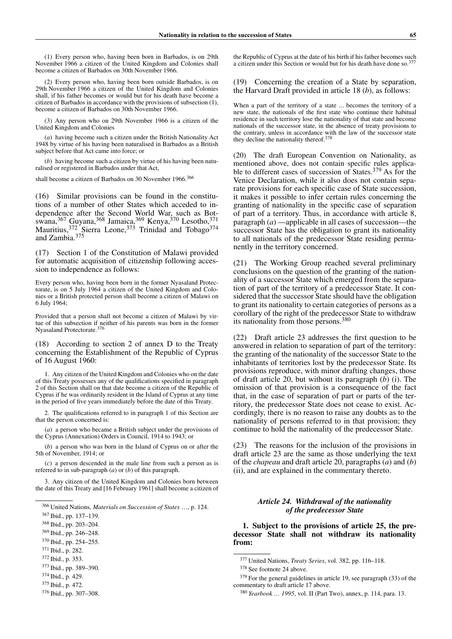(1) Every person who, having been born in Barbados, is on 29th November 1966 a citizen of the United Kingdom and Colonies shall become a citizen of Barbados on 30th November 1966.

(2) Every person who, having been born outside Barbados, is on 29th November 1966 a citizen of the United Kingdom and Colonies shall, if his father becomes or would but for his death have become a citizen of Barbados in accordance with the provisions of subsection (1), become a citizen of Barbados on 30th November 1966.

(3) Any person who on 29th November 1966 is a citizen of the United Kingdom and Colonies

(*a*) having become such a citizen under the British Nationality Act 1948 by virtue of his having been naturalised in Barbados as a British subject before that Act came into force; or

(*b*) having become such a citizen by virtue of his having been naturalised or registered in Barbados under that Act,

shall become a citizen of Barbados on 30 November 1966.366

(16) Similar provisions can be found in the constitutions of a number of other States which acceded to independence after the Second World War, such as Botswana,<sup>367</sup> Guyana,<sup>368</sup> Jamaica,<sup>369</sup> Kenya,<sup>370</sup> Lesotho,<sup>371</sup> Mauritius,  $372$  Sierra Leone,  $373$  Trinidad and Tobago  $374$ and Zambia.375

(17) Section 1 of the Constitution of Malawi provided for automatic acquisition of citizenship following accession to independence as follows:

Every person who, having been born in the former Nyasaland Protectorate, is on 5 July 1964 a citizen of the United Kingdom and Colonies or a British protected person shall become a citizen of Malawi on 6 July 1964;

Provided that a person shall not become a citizen of Malawi by virtue of this subsection if neither of his parents was born in the former Nyasaland Protectorate.376

(18) According to section 2 of annex D to the Treaty concerning the Establishment of the Republic of Cyprus of 16 August 1960:

1. Any citizen of the United Kingdom and Colonies who on the date of this Treaty possesses any of the qualifications specified in paragraph 2 of this Section shall on that date become a citizen of the Republic of Cyprus if he was ordinarily resident in the Island of Cyprus at any time in the period of five years immediately before the date of this Treaty.

2. The qualifications referred to in paragraph 1 of this Section are that the person concerned is:

(*a*) a person who became a British subject under the provisions of the Cyprus (Annexation) Orders in Council, 1914 to 1943; or

(*b*) a person who was born in the Island of Cyprus on or after the 5th of November, 1914; or

(*c*) a person descended in the male line from such a person as is referred to in sub-paragraph (*a*) or (*b*) of this paragraph.

3. Any citizen of the United Kingdom and Colonies born between the date of this Treaty and [16 February 1961] shall become a citizen of

367 Ibid., pp. 137–139.

369 Ibid., pp. 246–248.

372 Ibid., p. 353.

- 374 Ibid., p. 429.
- 375 Ibid., p. 472.

376 Ibid., pp. 307–308.

the Republic of Cyprus at the date of his birth if his father becomes such a citizen under this Section or would but for his death have done so.<sup>377</sup>

(19) Concerning the creation of a State by separation, the Harvard Draft provided in article 18 (*b*), as follows:

When a part of the territory of a state ... becomes the territory of a new state, the nationals of the first state who continue their habitual residence in such territory lose the nationality of that state and become nationals of the successor state, in the absence of treaty provisions to the contrary, unless in accordance with the law of the successor state they decline the nationality thereof.<sup>378</sup>

(20) The draft European Convention on Nationality, as mentioned above, does not contain specific rules applicable to different cases of succession of States.<sup>379</sup> As for the Venice Declaration, while it also does not contain separate provisions for each specific case of State succession, it makes it possible to infer certain rules concerning the granting of nationality in the specific case of separation of part of a territory. Thus, in accordance with article 8, paragraph (*a*) —applicable in all cases of succession—the successor State has the obligation to grant its nationality to all nationals of the predecessor State residing permanently in the territory concerned.

(21) The Working Group reached several preliminary conclusions on the question of the granting of the nationality of a successor State which emerged from the separation of part of the territory of a predecessor State. It considered that the successor State should have the obligation to grant its nationality to certain categories of persons as a corollary of the right of the predecessor State to withdraw its nationality from those persons.<sup>380</sup>

(22) Draft article 23 addresses the first question to be answered in relation to separation of part of the territory: the granting of the nationality of the successor State to the inhabitants of territories lost by the predecessor State. Its provisions reproduce, with minor drafting changes, those of draft article 20, but without its paragraph (*b*) (i). The omission of that provision is a consequence of the fact that, in the case of separation of part or parts of the territory, the predecessor State does not cease to exist. Accordingly, there is no reason to raise any doubts as to the nationality of persons referred to in that provision; they continue to hold the nationality of the predecessor State.

(23) The reasons for the inclusion of the provisions in draft article 23 are the same as those underlying the text of the *chapeau* and draft article 20, paragraphs (*a*) and (*b*) (ii), and are explained in the commentary thereto.

# *Article 24. Withdrawal of the nationality of the predecessor State*

**1. Subject to the provisions of article 25, the predecessor State shall not withdraw its nationality from:**

<sup>366</sup> United Nations, *Materials on Succession of States* …, p. 124.

<sup>368</sup> Ibid., pp. 203–204.

<sup>370</sup> Ibid., pp. 254–255.

<sup>371</sup> Ibid., p. 282.

<sup>373</sup> Ibid., pp. 389–390.

<sup>377</sup> United Nations, *Treaty Series*, vol. 382, pp. 116–118.

<sup>378</sup> See footnote 24 above.

<sup>379</sup> For the general guidelines in article 19, see paragraph (33) of the commentary to draft article 17 above.

<sup>380</sup>*Yearbook … 1995*, vol. II (Part Two), annex, p. 114, para. 13.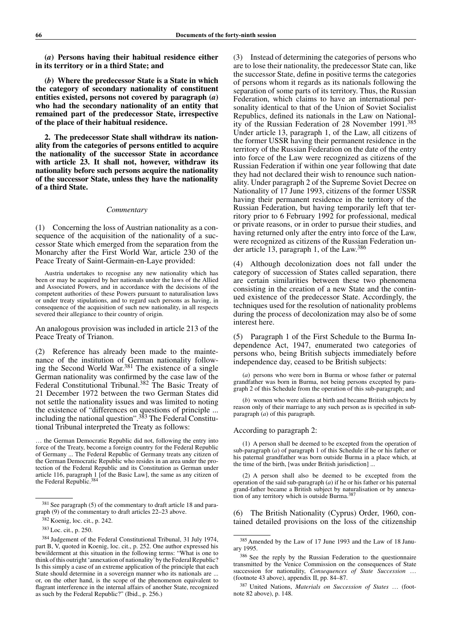**(***a***) Persons having their habitual residence either in its territory or in a third State; and**

**(***b***) Where the predecessor State is a State in which the category of secondary nationality of constituent entities existed, persons not covered by paragraph (***a***) who had the secondary nationality of an entity that remained part of the predecessor State, irrespective of the place of their habitual residence.**

**2. The predecessor State shall withdraw its nationality from the categories of persons entitled to acquire the nationality of the successor State in accordance with article 23. It shall not, however, withdraw its nationality before such persons acquire the nationality of the successor State, unless they have the nationality of a third State.**

#### *Commentary*

Concerning the loss of Austrian nationality as a consequence of the acquisition of the nationality of a successor State which emerged from the separation from the Monarchy after the First World War, article 230 of the Peace Treaty of Saint-Germain-en-Laye provided:

Austria undertakes to recognise any new nationality which has been or may be acquired by her nationals under the laws of the Allied and Associated Powers, and in accordance with the decisions of the competent authorities of these Powers pursuant to naturalisation laws or under treaty stipulations, and to regard such persons as having, in consequence of the acquisition of such new nationality, in all respects severed their allegiance to their country of origin.

An analogous provision was included in article 213 of the Peace Treaty of Trianon.

(2) Reference has already been made to the maintenance of the institution of German nationality following the Second World War.<sup>381</sup> The existence of a single German nationality was confirmed by the case law of the Federal Constitutional Tribunal.<sup>382</sup> The Basic Treaty of 21 December 1972 between the two German States did not settle the nationality issues and was limited to noting the existence of "differences on questions of principle ... including the national question". 383 The Federal Constitutional Tribunal interpreted the Treaty as follows:

… the German Democratic Republic did not, following the entry into force of the Treaty, become a foreign country for the Federal Republic of Germany ... The Federal Republic of Germany treats any citizen of the German Democratic Republic who resides in an area under the protection of the Federal Republic and its Constitution as German under article 116, paragraph 1 [of the Basic Law], the same as any citizen of the Federal Republic.<sup>384</sup>

(3) Instead of determining the categories of persons who are to lose their nationality, the predecessor State can, like the successor State, define in positive terms the categories of persons whom it regards as its nationals following the separation of some parts of its territory. Thus, the Russian Federation, which claims to have an international personality identical to that of the Union of Soviet Socialist Republics, defined its nationals in the Law on Nationality of the Russian Federation of 28 November 1991.<sup>385</sup> Under article 13, paragraph 1, of the Law, all citizens of the former USSR having their permanent residence in the territory of the Russian Federation on the date of the entry into force of the Law were recognized as citizens of the Russian Federation if within one year following that date they had not declared their wish to renounce such nationality. Under paragraph 2 of the Supreme Soviet Decree on Nationality of 17 June 1993, citizens of the former USSR having their permanent residence in the territory of the Russian Federation, but having temporarily left that territory prior to 6 February 1992 for professional, medical or private reasons, or in order to pursue their studies, and having returned only after the entry into force of the Law, were recognized as citizens of the Russian Federation under article 13, paragraph 1, of the Law.386

(4) Although decolonization does not fall under the category of succession of States called separation, there are certain similarities between these two phenomena consisting in the creation of a new State and the continued existence of the predecessor State. Accordingly, the techniques used for the resolution of nationality problems during the process of decolonization may also be of some interest here.

(5) Paragraph 1 of the First Schedule to the Burma Independence Act, 1947, enumerated two categories of persons who, being British subjects immediately before independence day, ceased to be British subjects:

(*a*) persons who were born in Burma or whose father or paternal grandfather was born in Burma, not being persons excepted by paragraph 2 of this Schedule from the operation of this sub-paragraph; and

(*b*) women who were aliens at birth and became British subjects by reason only of their marriage to any such person as is specified in subparagraph (*a*) of this paragraph.

### According to paragraph 2:

(1) A person shall be deemed to be excepted from the operation of sub-paragraph (*a*) of paragraph 1 of this Schedule if he or his father or his paternal grandfather was born outside Burma in a place which, at the time of the birth, [was under British jurisdiction] ...

(2) A person shall also be deemed to be excepted from the operation of the said sub-paragraph (*a*) if he or his father or his paternal grand-father became a British subject by naturalisation or by annexation of any territory which is outside Burma.387

(6) The British Nationality (Cyprus) Order, 1960, contained detailed provisions on the loss of the citizenship

<sup>381</sup> See paragraph (5) of the commentary to draft article 18 and paragraph (9) of the commentary to draft articles 22–23 above.

<sup>382</sup> Koenig, loc. cit., p. 242.

<sup>383</sup> Loc. cit., p. 250.

<sup>384</sup> Judgement of the Federal Constitutional Tribunal, 31 July 1974, part B, V, quoted in Koenig, loc. cit., p. 252. One author expressed his bewilderment at this situation in the following terms: "What is one to think of this outright 'annexation of nationality' by the Federal Republic? Is this simply a case of an extreme application of the principle that each State should determine in a sovereign manner who its nationals are ... or, on the other hand, is the scope of the phenomenon equivalent to flagrant interference in the internal affairs of another State, recognized as such by the Federal Republic?" (Ibid., p. 256.)

<sup>385</sup> Amended by the Law of 17 June 1993 and the Law of 18 January 1995.

<sup>386</sup> See the reply by the Russian Federation to the questionnaire transmitted by the Venice Commission on the consequences of State succession for nationality, *Consequences of State Succession* … (footnote 43 above), appendix II, pp. 84–87.

<sup>387</sup> United Nations, *Materials on Succession of States* … (footnote 82 above), p. 148.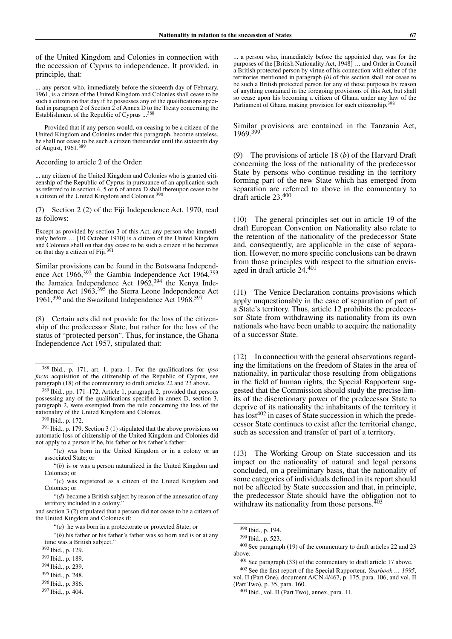of the United Kingdom and Colonies in connection with the accession of Cyprus to independence. It provided, in principle, that:

... any person who, immediately before the sixteenth day of February, 1961, is a citizen of the United Kingdom and Colonies shall cease to be such a citizen on that day if he possesses any of the qualifications specified in paragraph 2 of Section 2 of Annex D to the Treaty concerning the Establishment of the Republic of Cyprus ...<sup>3</sup>

Provided that if any person would, on ceasing to be a citizen of the United Kingdom and Colonies under this paragraph, become stateless, he shall not cease to be such a citizen thereunder until the sixteenth day of August, 1961.<sup>389</sup>

#### According to article 2 of the Order:

... any citizen of the United Kingdom and Colonies who is granted citizenship of the Republic of Cyprus in pursuance of an application such as referred to in section 4, 5 or 6 of annex D shall thereupon cease to be a citizen of the United Kingdom and Colonies.390

(7) Section 2 (2) of the Fiji Independence Act, 1970, read as follows:

Except as provided by section 3 of this Act, any person who immediately before … [10 October 1970] is a citizen of the United Kingdom and Colonies shall on that day cease to be such a citizen if he becomes on that day a citizen of Fiji.<sup>391</sup>

Similar provisions can be found in the Botswana Independence Act 1966,<sup>392</sup> the Gambia Independence Act 1964,<sup>393</sup> the Jamaica Independence Act  $1962$ ,  $394$  the Kenya Independence Act 1963,395 the Sierra Leone Independence Act 1961, $396$  and the Swaziland Independence Act 1968. $397$ 

(8) Certain acts did not provide for the loss of the citizenship of the predecessor State, but rather for the loss of the status of "protected person". Thus, for instance, the Ghana Independence Act 1957, stipulated that:

automatic loss of citizenship of the United Kingdom and Colonies did not apply to a person if he, his father or his father's father:

"(*a*) was born in the United Kingdom or in a colony or an associated State; or

"(*b*) is or was a person naturalized in the United Kingdom and Colonies; or

"(*c*) was registered as a citizen of the United Kingdom and Colonies; or

"(*d*) became a British subject by reason of the annexation of any territory included in a colony.'

and section 3 (2) stipulated that a person did not cease to be a citizen of the United Kingdom and Colonies if:

"(*b*) his father or his father's father was so born and is or at any time was a British subject."

<sup>392</sup> Ibid., p. 129.

394 Ibid., p. 239.

396 Ibid., p. 386.

<sup>397</sup> Ibid., p. 404.

... a person who, immediately before the appointed day, was for the purposes of the [British Nationality Act, 1948] … and Order in Council a British protected person by virtue of his connection with either of the territories mentioned in paragraph *(b)* of this section shall not cease to be such a British protected person for any of those purposes by reason of anything contained in the foregoing provisions of this Act, but shall so cease upon his becoming a citizen of Ghana under any law of the Parliament of Ghana making provision for such citizenship.<sup>398</sup>

Similar provisions are contained in the Tanzania Act, 1969.399

(9) The provisions of article 18 (*b*) of the Harvard Draft concerning the loss of the nationality of the predecessor State by persons who continue residing in the territory forming part of the new State which has emerged from separation are referred to above in the commentary to draft article 23.400

(10) The general principles set out in article 19 of the draft European Convention on Nationality also relate to the retention of the nationality of the predecessor State and, consequently, are applicable in the case of separation. However, no more specific conclusions can be drawn from those principles with respect to the situation envisaged in draft article 24.401

(11) The Venice Declaration contains provisions which apply unquestionably in the case of separation of part of a State's territory. Thus, article 12 prohibits the predecessor State from withdrawing its nationality from its own nationals who have been unable to acquire the nationality of a successor State.

(12) In connection with the general observations regarding the limitations on the freedom of States in the area of nationality, in particular those resulting from obligations in the field of human rights, the Special Rapporteur suggested that the Commission should study the precise limits of the discretionary power of the predecessor State to deprive of its nationality the inhabitants of the territory it has lost<sup>402</sup> in cases of State succession in which the predecessor State continues to exist after the territorial change, such as secession and transfer of part of a territory.

(13) The Working Group on State succession and its impact on the nationality of natural and legal persons concluded, on a preliminary basis, that the nationality of some categories of individuals defined in its report should not be affected by State succession and that, in principle, the predecessor State should have the obligation not to withdraw its nationality from those persons.<sup>403</sup>

<sup>388</sup> Ibid., p. 171, art. 1, para. 1. For the qualifications for *ipso facto* acquisition of the citizenship of the Republic of Cyprus, see paragraph (18) of the commentary to draft articles 22 and 23 above.

<sup>389</sup> Ibid., pp. 171–172. Article 1, paragraph 2, provided that persons possessing any of the qualifications specified in annex D, section 3, paragraph 2, were exempted from the rule concerning the loss of the nationality of the United Kingdom and Colonies.<br><sup>390</sup> Ibid., p. 172.<br><sup>391</sup> Ibid., p. 179. Section 3 (1) stipulated that the above provisions on

<sup>&</sup>quot;(*a*) he was born in a protectorate or protected State; or

<sup>393</sup> Ibid., p. 189.

<sup>395</sup> Ibid., p. 248.

<sup>398</sup> Ibid., p. 194.

<sup>399</sup> Ibid., p. 523.

<sup>400</sup> See paragraph (19) of the commentary to draft articles 22 and 23 above.

<sup>401</sup> See paragraph (33) of the commentary to draft article 17 above.

<sup>402</sup> See the first report of the Special Rapporteur, *Yearbook … 1995*, vol. II (Part One), document A/CN.4/467, p. 175, para. 106, and vol. II (Part Two), p. 35, para. 160.

<sup>403</sup> Ibid., vol. II (Part Two), annex, para. 11.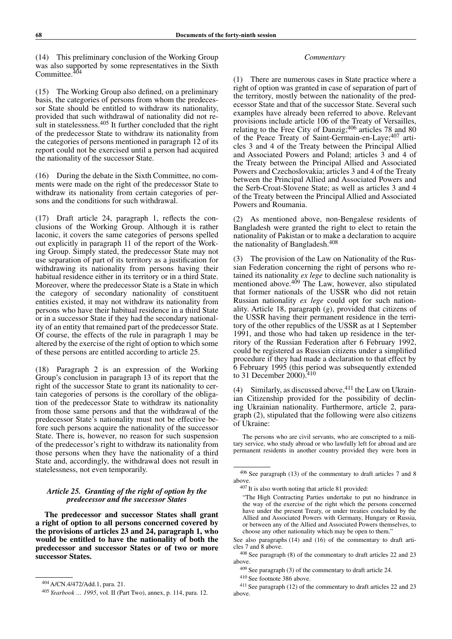(14) This preliminary conclusion of the Working Group was also supported by some representatives in the Sixth Committee.<sup>404</sup>

(15) The Working Group also defined, on a preliminary basis, the categories of persons from whom the predecessor State should be entitled to withdraw its nationality, provided that such withdrawal of nationality did not result in statelessness.<sup>405</sup> It further concluded that the right of the predecessor State to withdraw its nationality from the categories of persons mentioned in paragraph 12 of its report could not be exercised until a person had acquired the nationality of the successor State.

(16) During the debate in the Sixth Committee, no comments were made on the right of the predecessor State to withdraw its nationality from certain categories of persons and the conditions for such withdrawal.

(17) Draft article 24, paragraph 1, reflects the conclusions of the Working Group. Although it is rather laconic, it covers the same categories of persons spelled out explicitly in paragraph 11 of the report of the Working Group. Simply stated, the predecessor State may not use separation of part of its territory as a justification for withdrawing its nationality from persons having their habitual residence either in its territory or in a third State. Moreover, where the predecessor State is a State in which the category of secondary nationality of constituent entities existed, it may not withdraw its nationality from persons who have their habitual residence in a third State or in a successor State if they had the secondary nationality of an entity that remained part of the predecessor State. Of course, the effects of the rule in paragraph 1 may be altered by the exercise of the right of option to which some of these persons are entitled according to article 25.

(18) Paragraph 2 is an expression of the Working Group's conclusion in paragraph 13 of its report that the right of the successor State to grant its nationality to certain categories of persons is the corollary of the obligation of the predecessor State to withdraw its nationality from those same persons and that the withdrawal of the predecessor State's nationality must not be effective before such persons acquire the nationality of the successor State. There is, however, no reason for such suspension of the predecessor's right to withdraw its nationality from those persons when they have the nationality of a third State and, accordingly, the withdrawal does not result in statelessness, not even temporarily.

# *Article 25. Granting of the right of option by the predecessor and the successor States*

**The predecessor and successor States shall grant a right of option to all persons concerned covered by the provisions of articles 23 and 24, paragraph 1, who would be entitled to have the nationality of both the predecessor and successor States or of two or more successor States.**

### *Commentary*

(1) There are numerous cases in State practice where a right of option was granted in case of separation of part of the territory, mostly between the nationality of the predecessor State and that of the successor State. Several such examples have already been referred to above. Relevant provisions include article 106 of the Treaty of Versailles, relating to the Free City of Danzig:  $406$  articles 78 and 80 of the Peace Treaty of Saint-Germain-en-Laye;<sup>407</sup> articles 3 and 4 of the Treaty between the Principal Allied and Associated Powers and Poland; articles 3 and 4 of the Treaty between the Principal Allied and Associated Powers and Czechoslovakia; articles 3 and 4 of the Treaty between the Principal Allied and Associated Powers and the Serb-Croat-Slovene State; as well as articles 3 and 4 of the Treaty between the Principal Allied and Associated Powers and Roumania.

(2) As mentioned above, non-Bengalese residents of Bangladesh were granted the right to elect to retain the nationality of Pakistan or to make a declaration to acquire the nationality of Bangladesh.408

(3) The provision of the Law on Nationality of the Russian Federation concerning the right of persons who retained its nationality *ex lege* to decline such nationality is mentioned above.<sup>409</sup> The Law, however, also stipulated that former nationals of the USSR who did not retain Russian nationality *ex lege* could opt for such nationality. Article 18, paragraph (*g*), provided that citizens of the USSR having their permanent residence in the territory of the other republics of the USSR as at 1 September 1991, and those who had taken up residence in the territory of the Russian Federation after 6 February 1992, could be registered as Russian citizens under a simplified procedure if they had made a declaration to that effect by 6 February 1995 (this period was subsequently extended to 31 December 2000).<sup>410</sup>

(4) Similarly, as discussed above,  $411$  the Law on Ukrainian Citizenship provided for the possibility of declining Ukrainian nationality. Furthermore, article 2, paragraph (2), stipulated that the following were also citizens of Ukraine:

The persons who are civil servants, who are conscripted to a military service, who study abroad or who lawfully left for abroad and are permanent residents in another country provided they were born in

<sup>404</sup> A/CN.4/472/Add.1, para. 21.

<sup>405</sup>*Yearbook … 1995*, vol. II (Part Two), annex, p. 114, para. 12.

<sup>406</sup> See paragraph (13) of the commentary to draft articles 7 and 8 above.

<sup>407</sup> It is also worth noting that article 81 provided:

<sup>&</sup>quot;The High Contracting Parties undertake to put no hindrance in the way of the exercise of the right which the persons concerned have under the present Treaty, or under treaties concluded by the Allied and Associated Powers with Germany, Hungary or Russia, or between any of the Allied and Associated Powers themselves, to choose any other nationality which may be open to them."

See also paragraphs (14) and (16) of the commentary to draft articles 7 and 8 above.

<sup>408</sup> See paragraph (8) of the commentary to draft articles 22 and 23 above.

<sup>409</sup> See paragraph (3) of the commentary to draft article 24.

<sup>410</sup> See footnote 386 above.

<sup>411</sup> See paragraph (12) of the commentary to draft articles 22 and 23 above.